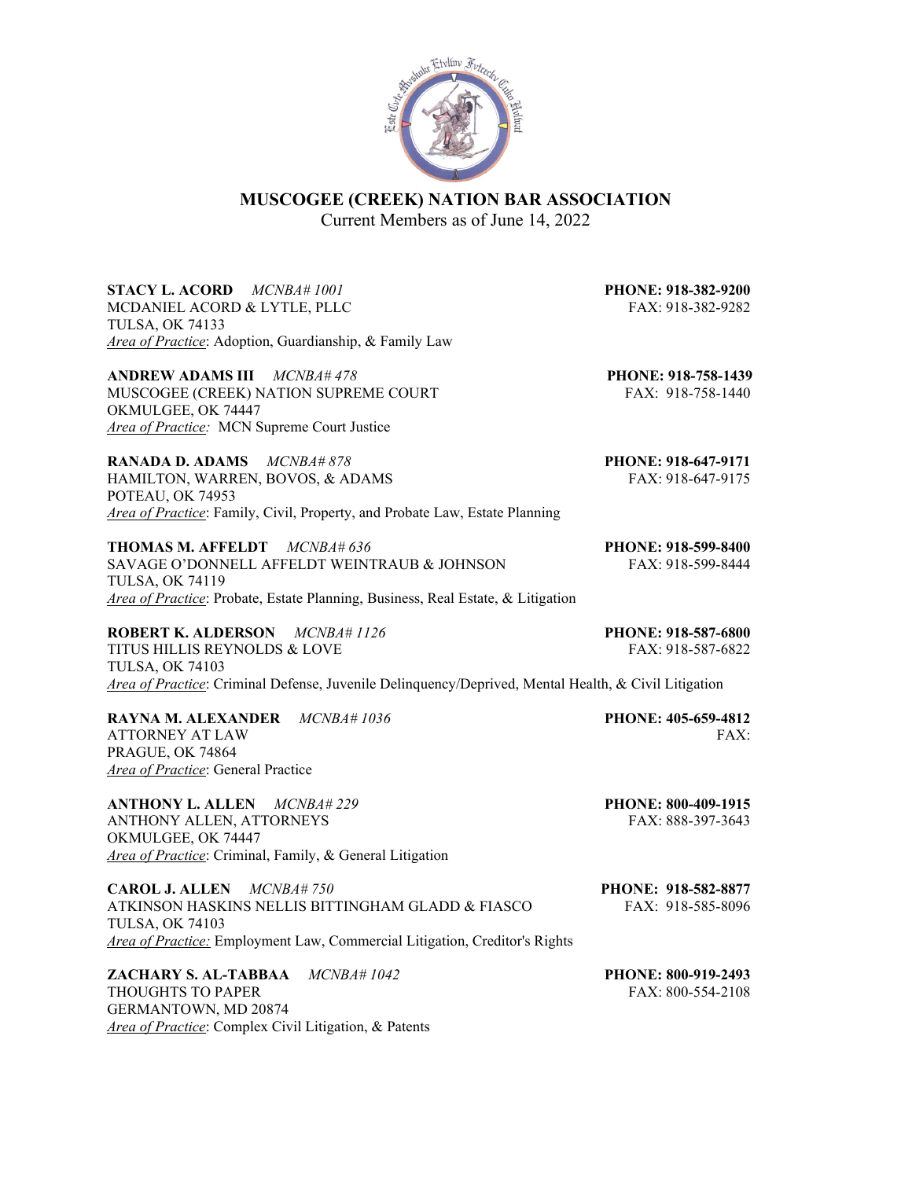

# **MUSCOGEE (CREEK) NATION BAR ASSOCIATION**

Current Members as of June 14, 2022

**STACY L. ACORD** *MCNBA# 1001* **PHONE: 918-382-9200** MCDANIEL ACORD & LYTLE, PLLC FAX: 918-382-9282 TULSA, OK 74133 *Area of Practice*: Adoption, Guardianship, & Family Law

**ANDREW ADAMS III** *MCNBA# 478* **PHONE: 918-758-1439** MUSCOGEE (CREEK) NATION SUPREME COURT FAX: 918-758-1440 OKMULGEE, OK 74447 *Area of Practice:* MCN Supreme Court Justice

**RANADA D. ADAMS** *MCNBA# 878* **PHONE: 918-647-9171** HAMILTON, WARREN, BOVOS, & ADAMS FAX: 918-647-9175 POTEAU, OK 74953 *Area of Practice*: Family, Civil, Property, and Probate Law, Estate Planning

**THOMAS M. AFFELDT** *MCNBA# 636* **PHONE: 918-599-8400** SAVAGE O'DONNELL AFFELDT WEINTRAUB & JOHNSON FAX: 918-599-8444 TULSA, OK 74119 *Area of Practice*: Probate, Estate Planning, Business, Real Estate, & Litigation

**ROBERT K. ALDERSON** *MCNBA# 1126* **PHONE: 918-587-6800** TITUS HILLIS REYNOLDS & LOVE FAX: 918-587-6822 TULSA, OK 74103 *Area of Practice*: Criminal Defense, Juvenile Delinquency/Deprived, Mental Health, & Civil Litigation

**RAYNA M. ALEXANDER** *MCNBA# 1036* **PHONE: 405-659-4812** ATTORNEY AT LAW FAX: PRAGUE, OK 74864 *Area of Practice*: General Practice

**ANTHONY L. ALLEN** *MCNBA# 229* **PHONE: 800-409-1915** ANTHONY ALLEN, ATTORNEYS FAX: 888-397-3643 OKMULGEE, OK 74447 *Area of Practice*: Criminal, Family, & General Litigation

**CAROL J. ALLEN** *MCNBA# 750* **PHONE: 918-582-8877** ATKINSON HASKINS NELLIS BITTINGHAM GLADD & FIASCO FAX: 918-585-8096 TULSA, OK 74103 *Area of Practice:* Employment Law, Commercial Litigation, Creditor's Rights

**ZACHARY S. AL-TABBAA** *MCNBA# 1042* **PHONE: 800-919-2493** THOUGHTS TO PAPER THOUGHTS TO PAPER GERMANTOWN, MD 20874 *Area of Practice*: Complex Civil Litigation, & Patents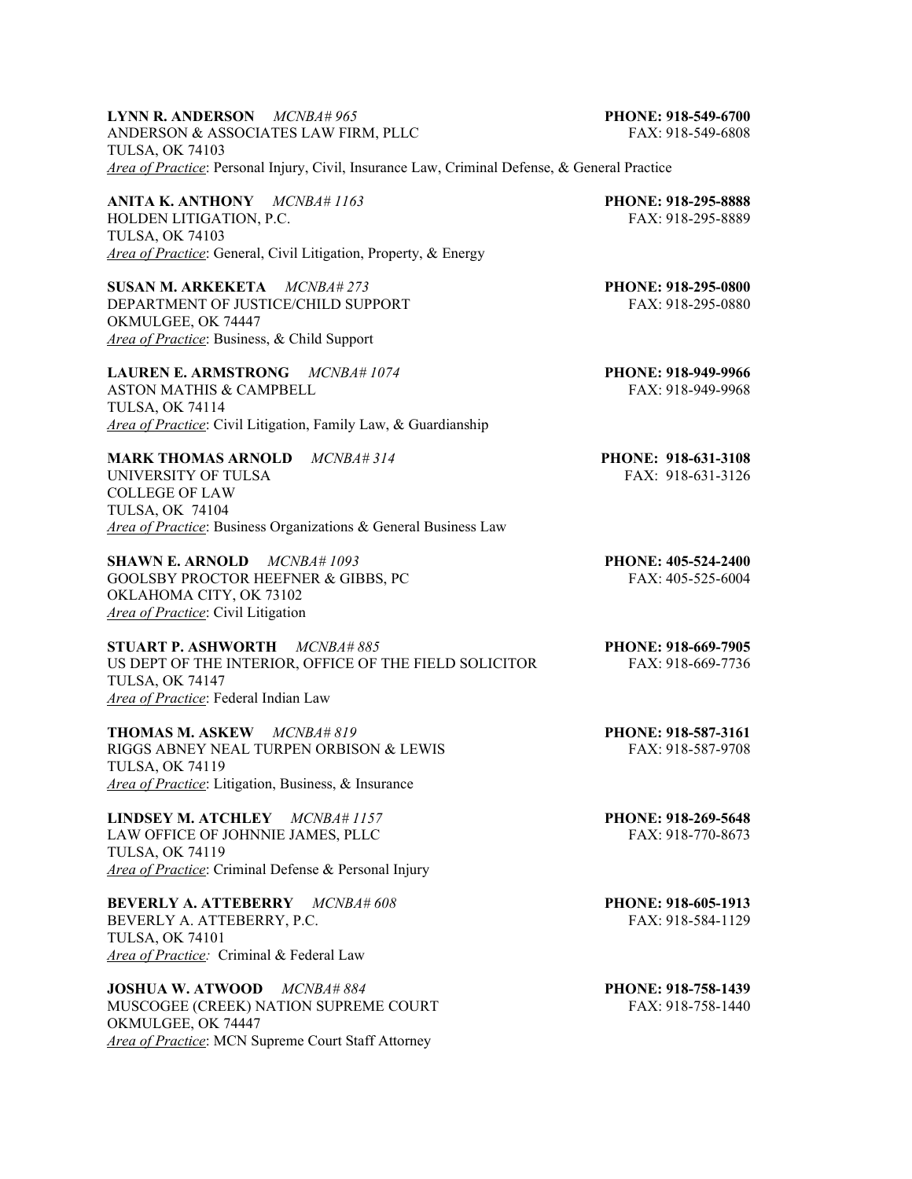| <b>LYNN R. ANDERSON</b> $MCNBA\#965$                                                          | PHONE: 918-549-6700 |
|-----------------------------------------------------------------------------------------------|---------------------|
| ANDERSON & ASSOCIATES LAW FIRM. PLLC—                                                         | FAX: 918-549-6808   |
| TULSA. OK 74103                                                                               |                     |
| Area of Practice: Personal Injury, Civil, Insurance Law, Criminal Defense, & General Practice |                     |

**ANITA K. ANTHONY** *MCNBA# 1163* **PHONE: 918-295-8888** HOLDEN LITIGATION, P.C. FAX: 918-295-8889 TULSA, OK 74103 *Area of Practice*: General, Civil Litigation, Property, & Energy

**SUSAN M. ARKEKETA** *MCNBA# 273* **PHONE: 918-295-0800** DEPARTMENT OF JUSTICE/CHILD SUPPORT FAX: 918-295-0880 OKMULGEE, OK 74447 *Area of Practice*: Business, & Child Support

**LAUREN E. ARMSTRONG** *MCNBA# 1074* **PHONE: 918-949-9966** ASTON MATHIS & CAMPBELL **FAX: 918-949-9968** TULSA, OK 74114 *Area of Practice*: Civil Litigation, Family Law, & Guardianship

**MARK THOMAS ARNOLD** *MCNBA# 314* **PHONE: 918-631-3108** UNIVERSITY OF TULSA FAX: 918-631-3126 COLLEGE OF LAW TULSA, OK 74104 *Area of Practice*: Business Organizations & General Business Law

**SHAWN E. ARNOLD** *MCNBA# 1093* **PHONE: 405-524-2400** GOOLSBY PROCTOR HEEFNER & GIBBS, PC FAX: 405-525-6004 OKLAHOMA CITY, OK 73102 *Area of Practice*: Civil Litigation

**STUART P. ASHWORTH** *MCNBA# 885* **PHONE: 918-669-7905** US DEPT OF THE INTERIOR, OFFICE OF THE FIELD SOLICITOR FAX: 918-669-7736 TULSA, OK 74147 *Area of Practice*: Federal Indian Law

**THOMAS M. ASKEW** *MCNBA# 819* **PHONE: 918-587-3161** RIGGS ABNEY NEAL TURPEN ORBISON & LEWIS FAX: 918-587-9708 TULSA, OK 74119 *Area of Practice*: Litigation, Business, & Insurance

**LINDSEY M. ATCHLEY** *MCNBA# 1157* **PHONE: 918-269-5648** LAW OFFICE OF JOHNNIE JAMES, PLLC TULSA, OK 74119 *Area of Practice*: Criminal Defense & Personal Injury

**BEVERLY A. ATTEBERRY** *MCNBA# 608* **PHONE: 918-605-1913** BEVERLY A. ATTEBERRY, P.C. FAX: 918-584-1129 TULSA, OK 74101 *Area of Practice:* Criminal & Federal Law

**JOSHUA W. ATWOOD** *MCNBA# 884* **PHONE: 918-758-1439**<br>MUSCOGEE (CREEK) NATION SUPREME COURT FAX: 918-758-1440 MUSCOGEE (CREEK) NATION SUPREME COURT OKMULGEE, OK 74447 *Area of Practice*: MCN Supreme Court Staff Attorney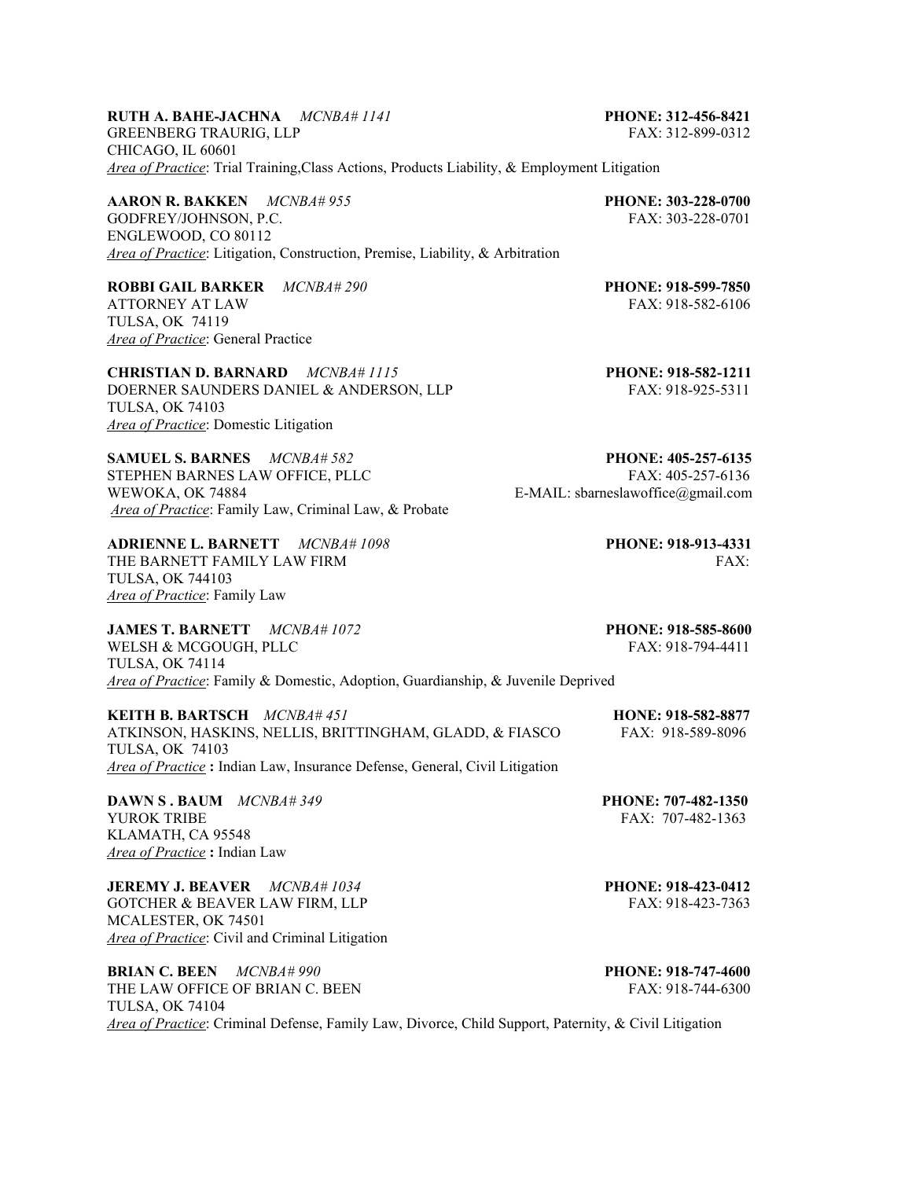## **RUTH A. BAHE-JACHNA** *MCNBA# 1141* **PHONE: 312-456-8421**

GREENBERG TRAURIG, LLP FAX: 312-899-0312 CHICAGO, IL 60601 *Area of Practice*: Trial Training,Class Actions, Products Liability, & Employment Litigation

**AARON R. BAKKEN** *MCNBA# 955* **PHONE: 303-228-0700** GODFREY/JOHNSON, P.C. FAX: 303-228-0701 ENGLEWOOD, CO 80112 *Area of Practice*: Litigation, Construction, Premise, Liability, & Arbitration

**ROBBI GAIL BARKER** *MCNBA# 290* **PHONE: 918-599-7850** ATTORNEY AT LAW FAX: 918-582-6106 TULSA, OK 74119 *Area of Practice*: General Practice

**CHRISTIAN D. BARNARD** *MCNBA# 1115* **PHONE: 918-582-1211** DOERNER SAUNDERS DANIEL & ANDERSON, LLP FAX: 918-925-5311 TULSA, OK 74103 *Area of Practice*: Domestic Litigation

**SAMUEL S. BARNES**  $MCNBA# 582$ <br> **STEPHEN BARNES LAW OFFICE, PLLC** FAX: 405-257-6136 STEPHEN BARNES LAW OFFICE, PLLC WEWOKA, OK 74884 **E-MAIL:** sbarneslawoffice@gmail.com *Area of Practice*: Family Law, Criminal Law, & Probate

**ADRIENNE L. BARNETT** *MCNBA# 1098* **PHONE: 918-913-4331** THE BARNETT FAMILY LAW FIRM FAX: THE BARNETT FAMILY LAW FIRM TULSA, OK 744103 *Area of Practice*: Family Law

**JAMES T. BARNETT** *MCNBA# 1072* **PHONE: 918-585-8600** WELSH & MCGOUGH, PLLC FAX: 918-794-4411 TULSA, OK 74114 *Area of Practice*: Family & Domestic, Adoption, Guardianship, & Juvenile Deprived

**KEITH B. BARTSCH** *MCNBA# 451* **HONE: 918-582-8877** ATKINSON, HASKINS, NELLIS, BRITTINGHAM, GLADD, & FIASCO FAX: 918-589-8096 TULSA, OK 74103 *Area of Practice* **:** Indian Law, Insurance Defense, General, Civil Litigation

**DAWN S . BAUM** *MCNBA# 349* **PHONE: 707-482-1350** YUROK TRIBE FAX: 707-482-1363 KLAMATH, CA 95548 *Area of Practice* **:** Indian Law

**JEREMY J. BEAVER** *MCNBA# 1034* **PHONE: 918-423-0412** GOTCHER & BEAVER LAW FIRM, LLP FAX: 918-423-7363 MCALESTER, OK 74501 *Area of Practice*: Civil and Criminal Litigation

**BRIAN C. BEEN** *MCNBA# 990* **PHONE: 918-747-4600** THE LAW OFFICE OF BRIAN C. BEEN FAX: 918-744-6300 TULSA, OK 74104 *Area of Practice*: Criminal Defense, Family Law, Divorce, Child Support, Paternity, & Civil Litigation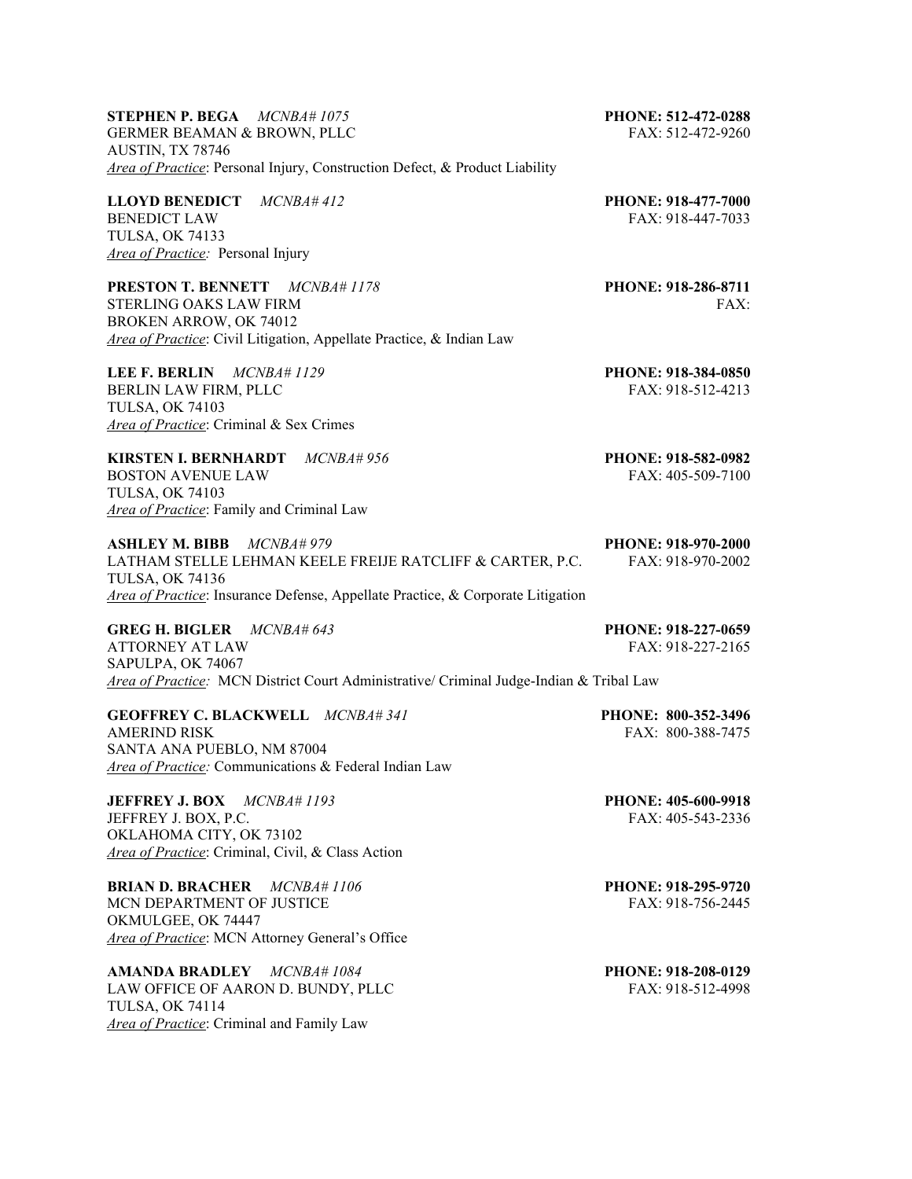**STEPHEN P. BEGA** *MCNBA# 1075* **PHONE: 512-472-0288** GERMER BEAMAN & BROWN, PLLC FAX: 512-472-9260 AUSTIN, TX 78746 *Area of Practice*: Personal Injury, Construction Defect, & Product Liability

**LLOYD BENEDICT** *MCNBA# 412* **PHONE: 918-477-7000 PHONE: 918-447-7033** TULSA, OK 74133 *Area of Practice:* Personal Injury

**PRESTON T. BENNETT** *MCNBA# 1178* **PHONE: 918-286-8711** STERLING OAKS LAW FIRM FAX: BROKEN ARROW, OK 74012 *Area of Practice*: Civil Litigation, Appellate Practice, & Indian Law

**LEE F. BERLIN** *MCNBA# 1129* **PHONE: 918-384-0850** BERLIN LAW FIRM, PLLC FAX: 918-512-4213 TULSA, OK 74103 *Area of Practice*: Criminal & Sex Crimes

FAX: 918-447-7033

**KIRSTEN I. BERNHARDT** *MCNBA# 956* **PHONE: 918-582-0982** BOSTON AVENUE LAW FAX: 405-509-7100 TULSA, OK 74103 *Area of Practice*: Family and Criminal Law

**ASHLEY M. BIBB** *MCNBA# 979* **PHONE: 918-970-2000** LATHAM STELLE LEHMAN KEELE FREIJE RATCLIFF & CARTER, P.C. FAX: 918-970-2002 TULSA, OK 74136 *Area of Practice*: Insurance Defense, Appellate Practice, & Corporate Litigation

**GREG H. BIGLER** *MCNBA# 643* **PHONE: 918-227-0659** ATTORNEY AT LAW FAX: 918-227-2165 SAPULPA, OK 74067 *Area of Practice:* MCN District Court Administrative/ Criminal Judge-Indian & Tribal Law

**GEOFFREY C. BLACKWELL** *MCNBA# 341* **PHONE: 800-352-3496** SANTA ANA PUEBLO, NM 87004 *Area of Practice:* Communications & Federal Indian Law

**JEFFREY J. BOX** *MCNBA# 1193* **PHONE: 405-600-9918 JEFFREY J. BOX, P.C. FAX: 405-543-2336** OKLAHOMA CITY, OK 73102 *Area of Practice*: Criminal, Civil, & Class Action

**BRIAN D. BRACHER** *MCNBA# 1106* **PHONE: 918-295-9720** MCN DEPARTMENT OF JUSTICE THE SERVICE STATE FAX: 918-756-2445 OKMULGEE, OK 74447 *Area of Practice*: MCN Attorney General's Office

**AMANDA BRADLEY** *MCNBA# 1084* **PHONE: 918-208-0129**  LAW OFFICE OF AARON D. BUNDY, PLLC FAX: 918-512-4998 TULSA, OK 74114 *Area of Practice*: Criminal and Family Law

FAX: 800-388-7475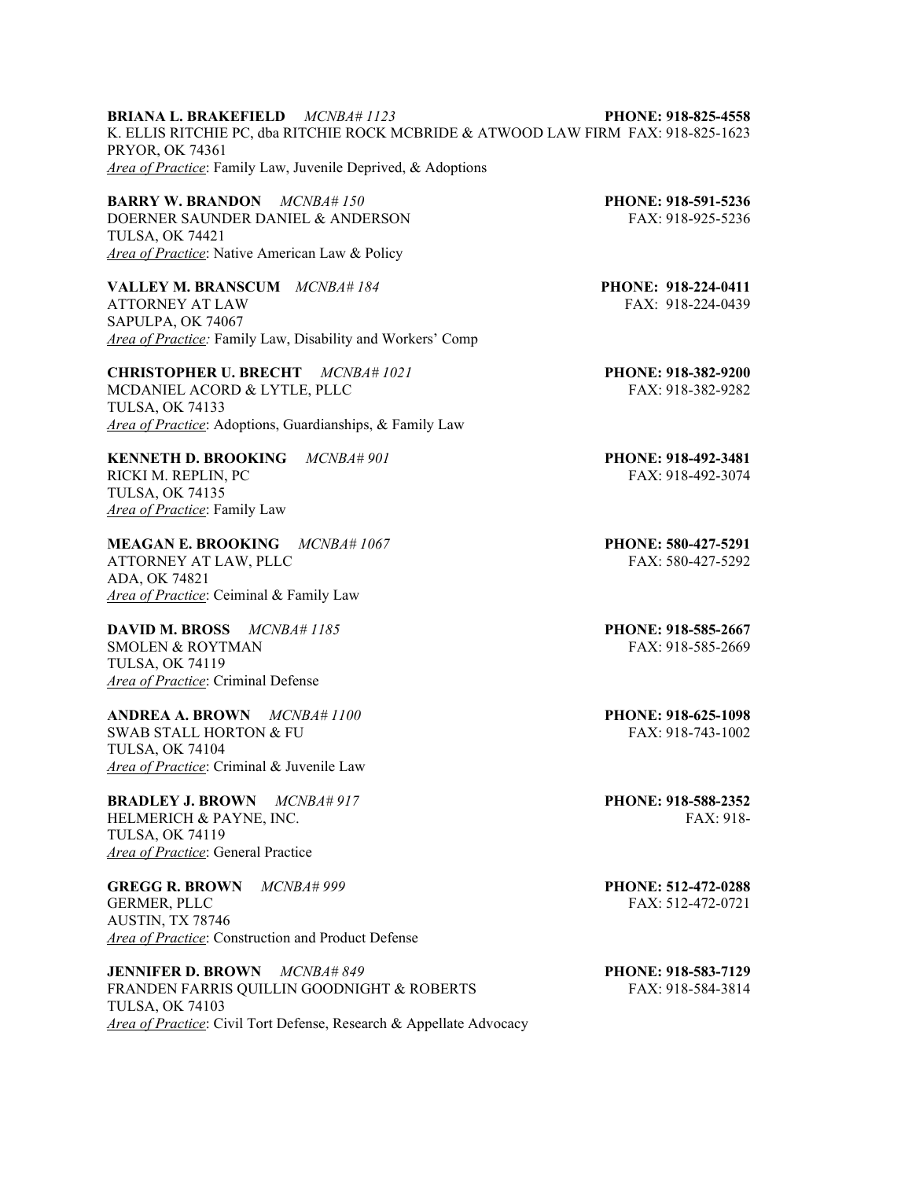**BRIANA L. BRAKEFIELD** *MCNBA# 1123* **PHONE: 918-825-4558** K. ELLIS RITCHIE PC, dba RITCHIE ROCK MCBRIDE & ATWOOD LAW FIRM FAX: 918-825-1623 PRYOR, OK 74361 *Area of Practice*: Family Law, Juvenile Deprived, & Adoptions

**BARRY W. BRANDON** *MCNBA# 150* **PHONE: 918-591-5236** DOERNER SAUNDER DANIEL & ANDERSON FAX: 918-925-5236 TULSA, OK 74421 *Area of Practice*: Native American Law & Policy

**VALLEY M. BRANSCUM** *MCNBA# 184* **PHONE: 918-224-0411** ATTORNEY AT LAW FAX: 918-224-0439 SAPULPA, OK 74067 *Area of Practice:* Family Law, Disability and Workers' Comp

**CHRISTOPHER U. BRECHT** *MCNBA# 1021* **PHONE: 918-382-9200** MCDANIEL ACORD & LYTLE, PLLC FAX: 918-382-9282 TULSA, OK 74133 *Area of Practice*: Adoptions, Guardianships, & Family Law

**KENNETH D. BROOKING** *MCNBA# 901* **PHONE: 918-492-3481** RICKI M. REPLIN, PC FAX: 918-492-3074 TULSA, OK 74135 *Area of Practice*: Family Law

**MEAGAN E. BROOKING** *MCNBA# 1067* **PHONE: 580-427-5291** ATTORNEY AT LAW, PLLC FAX: 580-427-5292 ADA, OK 74821 *Area of Practice*: Ceiminal & Family Law

**DAVID M. BROSS** *MCNBA# 1185* **PHONE: 918-585-2667** SMOLEN & ROYTMAN FAX: 918-585-2669 TULSA, OK 74119 *Area of Practice*: Criminal Defense

**ANDREA A. BROWN** *MCNBA# 1100* **PHONE: 918-625-1098** SWAB STALL HORTON & FU TULSA, OK 74104 *Area of Practice*: Criminal & Juvenile Law

**BRADLEY J. BROWN** *MCNBA# 917* **PHONE: 918-588-2352**  HELMERICH & PAYNE, INC. THELMERICH & PAYNE, INC. TULSA, OK 74119 *Area of Practice*: General Practice

**GREGG R. BROWN** *MCNBA# 999* **PHONE: 512-472-0288** GERMER, PLLC FAX: 512-472-0721 AUSTIN, TX 78746 *Area of Practice*: Construction and Product Defense

**JENNIFER D. BROWN** *MCNBA# 849* **PHONE: 918-583-7129** FRANDEN FARRIS QUILLIN GOODNIGHT & ROBERTS FAX: 918-584-3814 TULSA, OK 74103 *Area of Practice*: Civil Tort Defense, Research & Appellate Advocacy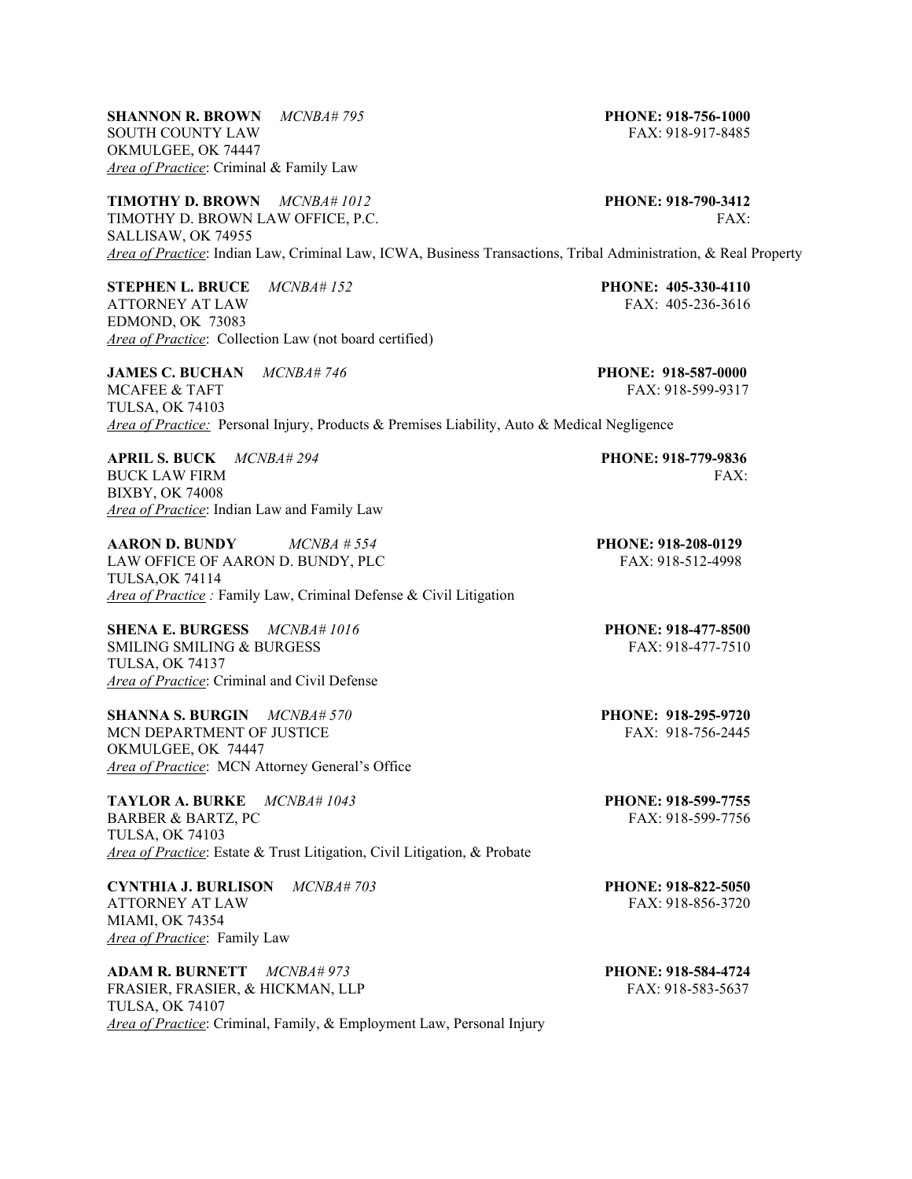**SHANNON R. BROWN** *MCNBA# 795* **PHONE: 918-756-1000** SOUTH COUNTY LAW FAX: 918-917-8485 OKMULGEE, OK 74447 *Area of Practice*: Criminal & Family Law

**TIMOTHY D. BROWN** *MCNBA# 1012* **PHONE: 918-790-3412** TIMOTHY D. BROWN LAW OFFICE, P.C. FAX: FAX: SALLISAW, OK 74955 *Area of Practice*: Indian Law, Criminal Law, ICWA, Business Transactions, Tribal Administration, & Real Property

**STEPHEN L. BRUCE** *MCNBA# 152* **PHONE: 405-330-4110** ATTORNEY AT LAW FAX: 405-236-3616 EDMOND, OK 73083 *Area of Practice*: Collection Law (not board certified)

**JAMES C. BUCHAN** *MCNBA# 746* **PHONE: 918-587-0000**  MCAFEE & TAFT FAX: 918-599-9317 TULSA, OK 74103 *Area of Practice:* Personal Injury, Products & Premises Liability, Auto & Medical Negligence

**APRIL S. BUCK** *MCNBA# 294* **PHONE: 918-779-9836** BUCK LAW FIRM FAX: BIXBY, OK 74008 *Area of Practice*: Indian Law and Family Law

**AARON D. BUNDY** *MCNBA # 554* **PHONE: 918-208-0129** LAW OFFICE OF AARON D. BUNDY, PLC FAX: 918-512-4998 TULSA,OK 74114 *Area of Practice :* Family Law, Criminal Defense & Civil Litigation

**SHENA E. BURGESS** *MCNBA# 1016* **PHONE: 918-477-8500**  SMILING SMILING & BURGESS FAX: 918-477-7510 TULSA, OK 74137 *Area of Practice*: Criminal and Civil Defense

**SHANNA S. BURGIN** *MCNBA# 570* **PHONE: 918-295-9720**<br> **MCN DEPARTMENT OF JUSTICE FAX: 918-756-2445** MCN DEPARTMENT OF JUSTICE OKMULGEE, OK 74447 *Area of Practice*: MCN Attorney General's Office

**TAYLOR A. BURKE** *MCNBA# 1043* **PHONE: 918-599-7755** BARBER & BARTZ, PC FAX: 918-599-7756 TULSA, OK 74103 *Area of Practice*: Estate & Trust Litigation, Civil Litigation, & Probate

**CYNTHIA J. BURLISON** *MCNBA# 703* **PHONE: 918-822-5050** ATTORNEY AT LAW FAX: 918-856-3720 MIAMI, OK 74354 *Area of Practice*: Family Law

**ADAM R. BURNETT** *MCNBA# 973* **PHONE: 918-584-4724** FRASIER, FRASIER, & HICKMAN, LLP FAX: 918-583-5637 TULSA, OK 74107 *Area of Practice*: Criminal, Family, & Employment Law, Personal Injury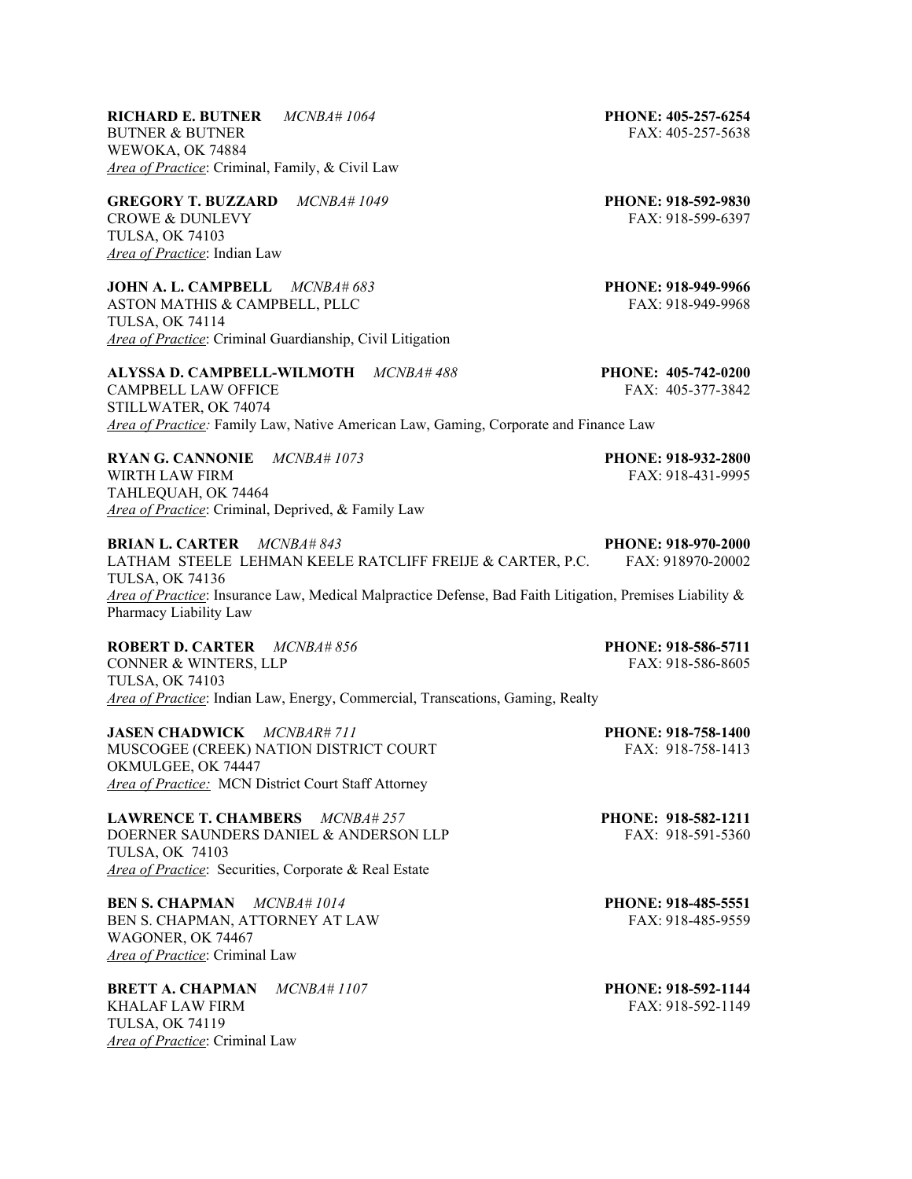**RICHARD E. BUTNER** *MCNBA# 1064* **PHONE: 405-257-6254** BUTNER & BUTNER FAX: 405-257-5638 WEWOKA, OK 74884 *Area of Practice*: Criminal, Family, & Civil Law

**GREGORY T. BUZZARD** *MCNBA# 1049* **PHONE: 918-592-9830**  CROWE & DUNLEVY FAX: 918-599-6397 TULSA, OK 74103 *Area of Practice*: Indian Law

**JOHN A. L. CAMPBELL** *MCNBA# 683* **PHONE: 918-949-9966** ASTON MATHIS & CAMPBELL, PLLC FAX: 918-949-9968 TULSA, OK 74114 *Area of Practice*: Criminal Guardianship, Civil Litigation

**ALYSSA D. CAMPBELL-WILMOTH** *MCNBA# 488* **PHONE: 405-742-0200**  CAMPBELL LAW OFFICE THE SERVICE STATE FAX: 405-377-3842 STILLWATER, OK 74074 *Area of Practice:* Family Law, Native American Law, Gaming, Corporate and Finance Law

**RYAN G. CANNONIE** *MCNBA# 1073* **PHONE: 918-932-2800** WIRTH LAW FIRM 6 2012 12:30 12:30 12:30 12:30 12:30 12:30 12:30 12:30 12:30 12:30 12:30 12:30 12:30 12:30 12:30 TAHLEQUAH, OK 74464 *Area of Practice*: Criminal, Deprived, & Family Law

**BRIAN L. CARTER** *MCNBA# 843* **PHONE: 918-970-2000** LATHAM STEELE LEHMAN KEELE RATCLIFF FREIJE & CARTER, P.C. FAX: 918970-20002 TULSA, OK 74136 *Area of Practice*: Insurance Law, Medical Malpractice Defense, Bad Faith Litigation, Premises Liability & Pharmacy Liability Law

**ROBERT D. CARTER** *MCNBA# 856* **PHONE: 918-586-5711** CONNER & WINTERS, LLP FAX: 918-586-8605 TULSA, OK 74103 *Area of Practice*: Indian Law, Energy, Commercial, Transcations, Gaming, Realty

**JASEN CHADWICK** *MCNBAR# 711* **PHONE: 918-758-1400** MUSCOGEE (CREEK) NATION DISTRICT COURT FAX: 918-758-1413 OKMULGEE, OK 74447 *Area of Practice:* MCN District Court Staff Attorney

**LAWRENCE T. CHAMBERS** *MCNBA# 257* **PHONE: 918-582-1211** DOERNER SAUNDERS DANIEL & ANDERSON LLP TULSA, OK 74103 *Area of Practice*: Securities, Corporate & Real Estate

**BEN S. CHAPMAN** *MCNBA# 1014* **PHONE: 918-485-5551** BEN S. CHAPMAN, ATTORNEY AT LAW FAX: 918-485-9559 WAGONER, OK 74467 *Area of Practice*: Criminal Law

**BRETT A. CHAPMAN** *MCNBA# 1107* **PHONE: 918-592-1144** KHALAF LAW FIRM FAX: 918-592-1149 TULSA, OK 74119 *Area of Practice*: Criminal Law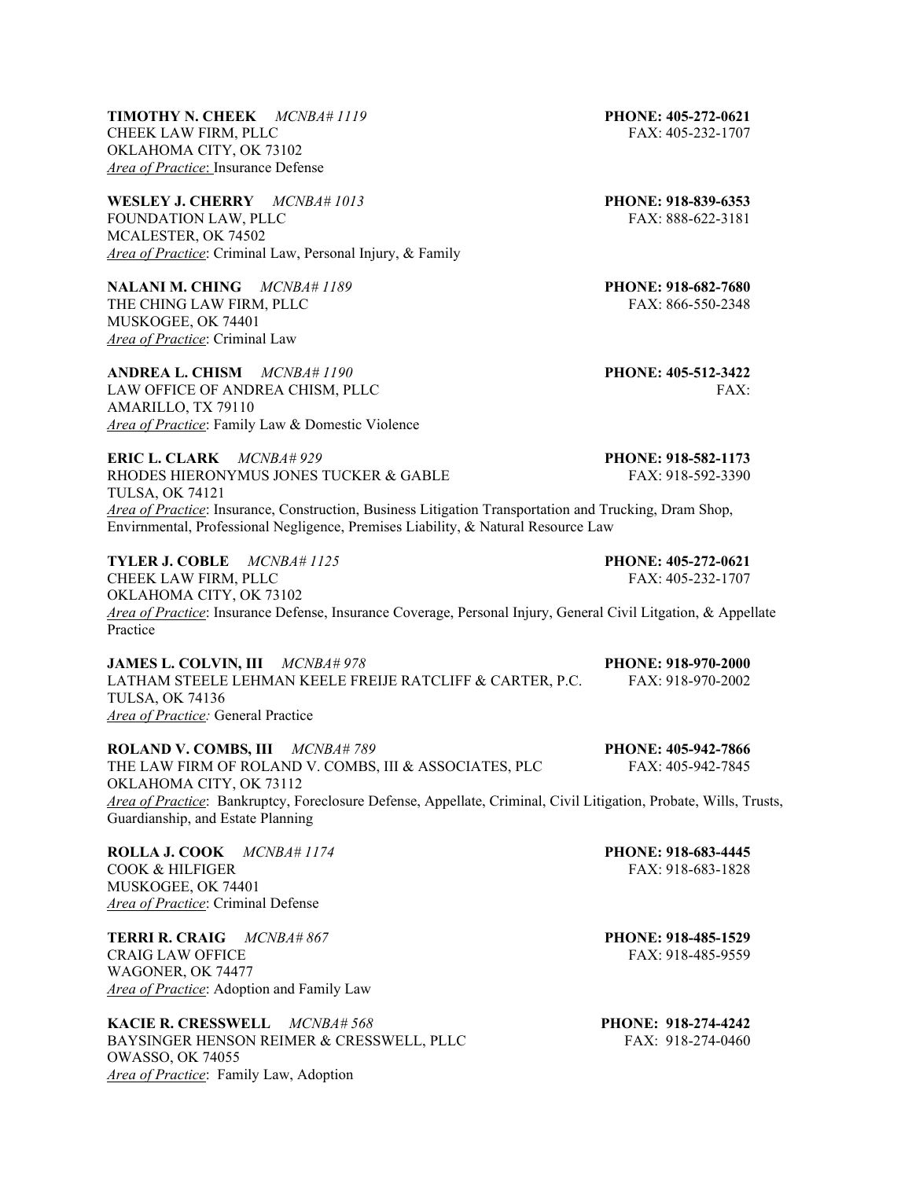**TIMOTHY N. CHEEK** *MCNBA# 1119* **PHONE: 405-272-0621** CHEEK LAW FIRM, PLLC FAX: 405-232-1707 OKLAHOMA CITY, OK 73102 *Area of Practice*: Insurance Defense

**WESLEY J. CHERRY** *MCNBA# 1013* **PHONE: 918-839-6353** FOUNDATION LAW, PLLC FAX: 888-622-3181 MCALESTER, OK 74502 *Area of Practice*: Criminal Law, Personal Injury, & Family

**NALANI M. CHING** *MCNBA# 1189* **PHONE: 918-682-7680** THE CHING LAW FIRM, PLLC THE CHING LAW FIRM, PLLC MUSKOGEE, OK 74401 *Area of Practice*: Criminal Law

**ANDREA L. CHISM** *MCNBA# 1190* **PHONE: 405-512-3422** LAW OFFICE OF ANDREA CHISM, PLLC FAX: FAX: AMARILLO, TX 79110 *Area of Practice*: Family Law & Domestic Violence

**ERIC L. CLARK** *MCNBA# 929* **PHONE: 918-582-1173**  RHODES HIERONYMUS JONES TUCKER & GABLE FAX: 918-592-3390 TULSA, OK 74121 *Area of Practice*: Insurance, Construction, Business Litigation Transportation and Trucking, Dram Shop, Envirnmental, Professional Negligence, Premises Liability, & Natural Resource Law

**TYLER J. COBLE** *MCNBA# 1125* **PHONE: 405-272-0621** CHEEK LAW FIRM, PLLC **FAX: 405-232-1707** OKLAHOMA CITY, OK 73102 *Area of Practice*: Insurance Defense, Insurance Coverage, Personal Injury, General Civil Litgation, & Appellate Practice

**JAMES L. COLVIN, III** *MCNBA# 978* **PHONE: 918-970-2000** LATHAM STEELE LEHMAN KEELE FREIJE RATCLIFF & CARTER, P.C. TULSA, OK 74136 *Area of Practice:* General Practice

**ROLAND V. COMBS, III** *MCNBA# 789* **PHONE: 405-942-7866** THE LAW FIRM OF ROLAND V. COMBS, III & ASSOCIATES, PLC FAX: 405-942-7845 OKLAHOMA CITY, OK 73112 *Area of Practice*: Bankruptcy, Foreclosure Defense, Appellate, Criminal, Civil Litigation, Probate, Wills, Trusts, Guardianship, and Estate Planning

**ROLLA J. COOK** *MCNBA# 1174* **PHONE: 918-683-4445** COOK & HILFIGER FAX: 918-683-1828 MUSKOGEE, OK 74401 *Area of Practice*: Criminal Defense

**TERRI R. CRAIG** *MCNBA# 867* **PHONE: 918-485-1529**  CRAIG LAW OFFICE THE SERVICE SERVICE SERVICE SERVICE SERVICE SERVICE SERVICE SERVICE SERVICE SERVICE SERVICE S WAGONER, OK 74477 *Area of Practice*: Adoption and Family Law

**KACIE R. CRESSWELL** *MCNBA# 568* **PHONE: 918-274-4242** BAYSINGER HENSON REIMER & CRESSWELL, PLLC OWASSO, OK 74055 *Area of Practice*: Family Law, Adoption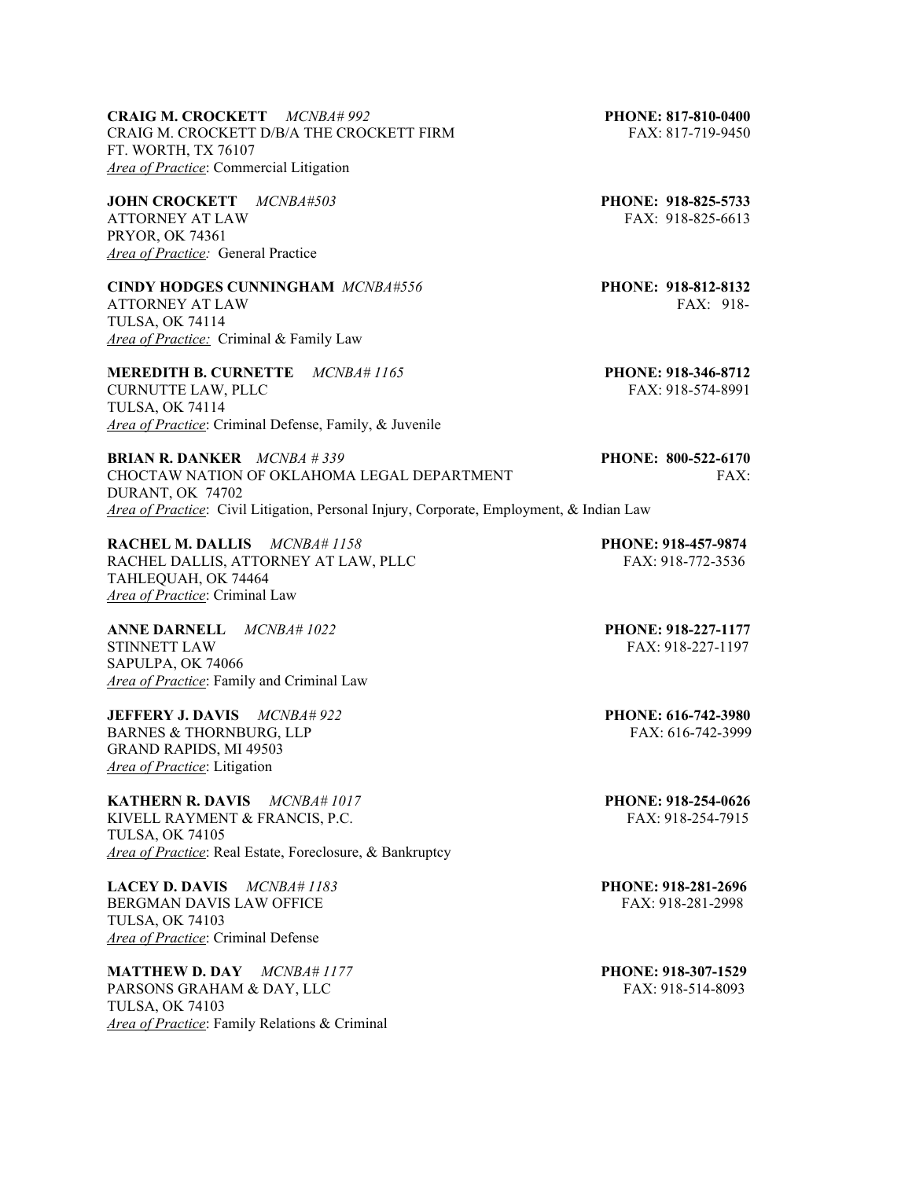**CRAIG M. CROCKETT** *MCNBA# 992* **PHONE: 817-810-0400** CRAIG M. CROCKETT D/B/A THE CROCKETT FIRM FAX: 817-719-9450 FT. WORTH, TX 76107 *Area of Practice*: Commercial Litigation

**JOHN CROCKETT** *MCNBA#503* **PHONE: 918-825-5733**  ATTORNEY AT LAW FAX: 918-825-6613 PRYOR, OK 74361 *Area of Practice:* General Practice

**CINDY HODGES CUNNINGHAM** *MCNBA#556* **PHONE: 918-812-8132** ATTORNEY AT LAW FAX: 918-

TULSA, OK 74114 *Area of Practice:* Criminal & Family Law

**MEREDITH B. CURNETTE** *MCNBA# 1165* **PHONE: 918-346-8712** CURNUTTE LAW, PLLC FAX: 918-574-8991 TULSA, OK 74114 *Area of Practice*: Criminal Defense, Family, & Juvenile

**BRIAN R. DANKER** *MCNBA # 339* **PHONE: 800-522-6170**  CHOCTAW NATION OF OKLAHOMA LEGAL DEPARTMENT FAX: DURANT, OK 74702 *Area of Practice*: Civil Litigation, Personal Injury, Corporate, Employment, & Indian Law

**RACHEL M. DALLIS** *MCNBA# 1158* **PHONE: 918-457-9874** RACHEL DALLIS, ATTORNEY AT LAW, PLLC FAX: 918-772-3536 TAHLEQUAH, OK 74464 *Area of Practice*: Criminal Law

**ANNE DARNELL** *MCNBA# 1022* **PHONE: 918-227-1177** STINNETT LAW FAX: 918-227-1197 SAPULPA, OK 74066 *Area of Practice*: Family and Criminal Law

**JEFFERY J. DAVIS** *MCNBA# 922* **PHONE: 616-742-3980**  BARNES & THORNBURG, LLP GRAND RAPIDS, MI 49503 *Area of Practice*: Litigation

**KATHERN R. DAVIS** *MCNBA# 1017* **PHONE: 918-254-0626** KIVELL RAYMENT & FRANCIS, P.C. FAX: 918-254-7915 TULSA, OK 74105 *Area of Practice*: Real Estate, Foreclosure, & Bankruptcy

**LACEY D. DAVIS** *MCNBA# 1183* **PHONE: 918-281-2696** BERGMAN DAVIS LAW OFFICE FAX: 918-281-2998 TULSA, OK 74103 *Area of Practice*: Criminal Defense

**MATTHEW D. DAY** *MCNBA# 1177* **PHONE: 918-307-1529** PARSONS GRAHAM & DAY, LLC FAX: 918-514-8093 TULSA, OK 74103 *Area of Practice*: Family Relations & Criminal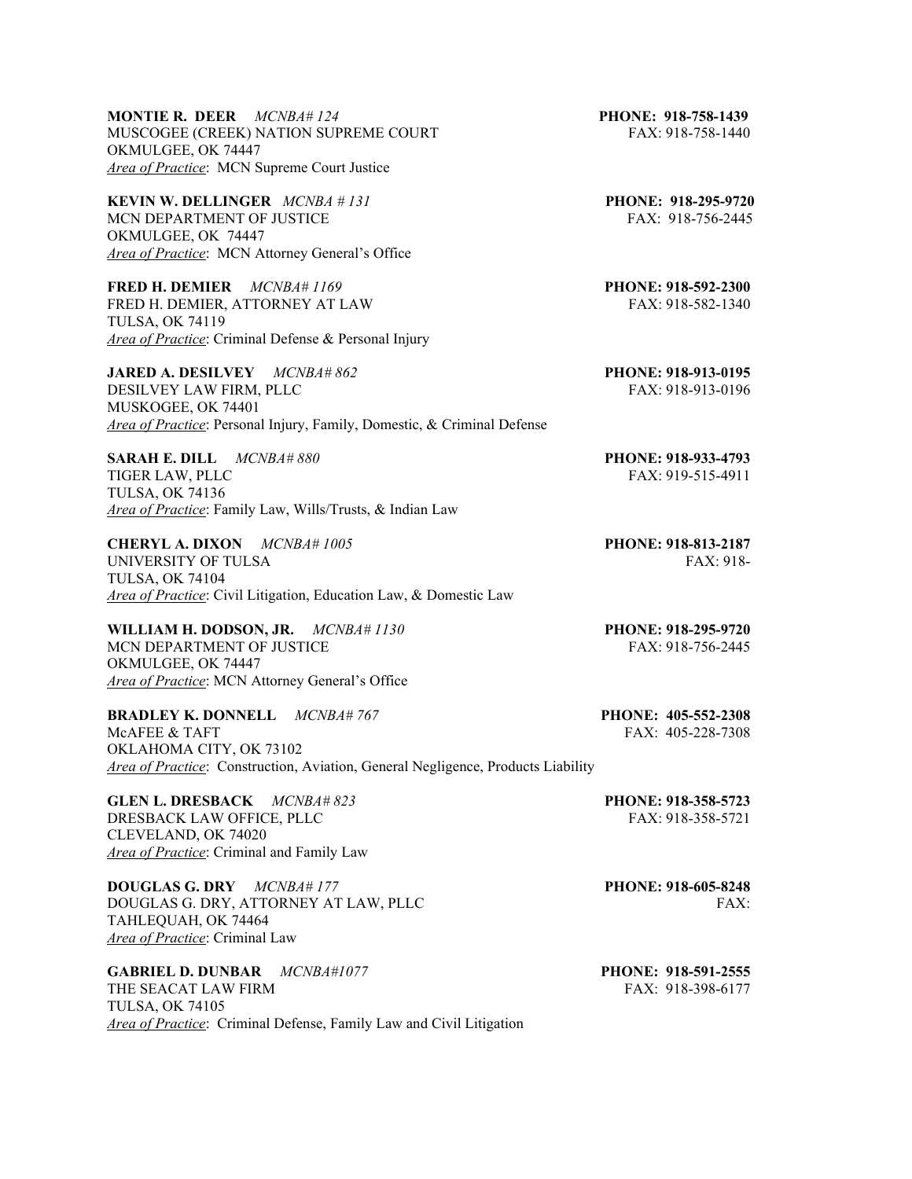**MONTIE R. DEER** *MCNBA# 124* **PHONE: 918-758-1439** MUSCOGEE (CREEK) NATION SUPREME COURT FAX: 918-758-1440 OKMULGEE, OK 74447 *Area of Practice*: MCN Supreme Court Justice

**KEVIN W. DELLINGER** *MCNBA # 131* **PHONE: 918-295-9720** MCN DEPARTMENT OF JUSTICE FAX: 918-756-2445 OKMULGEE, OK 74447 *Area of Practice*: MCN Attorney General's Office

**FRED H. DEMIER** *MCNBA# 1169* **PHONE: 918-592-2300**  FRED H. DEMIER, ATTORNEY AT LAW FAX: 918-582-1340 TULSA, OK 74119 *Area of Practice*: Criminal Defense & Personal Injury

**JARED A. DESILVEY** *MCNBA# 862* **PHONE: 918-913-0195**  DESILVEY LAW FIRM, PLLC FAX: 918-913-0196 MUSKOGEE, OK 74401 *Area of Practice*: Personal Injury, Family, Domestic, & Criminal Defense

**SARAH E. DILL** *MCNBA# 880* **PHONE: 918-933-4793**  TIGER LAW, PLLC FAX: 919-515-4911 TULSA, OK 74136 *Area of Practice*: Family Law, Wills/Trusts, & Indian Law

**CHERYL A. DIXON** *MCNBA# 1005* **PHONE: 918-813-2187** UNIVERSITY OF TULSA FAX: 918-TULSA, OK 74104 *Area of Practice*: Civil Litigation, Education Law, & Domestic Law

**WILLIAM H. DODSON, JR.** *MCNBA# 1130* **PHONE: 918-295-9720** MCN DEPARTMENT OF JUSTICE FAX: 918-756-2445 OKMULGEE, OK 74447 *Area of Practice*: MCN Attorney General's Office

**BRADLEY K. DONNELL** *MCNBA# 767* **PHONE: 405-552-2308**  OKLAHOMA CITY, OK 73102 *Area of Practice*: Construction, Aviation, General Negligence, Products Liability

**GLEN L. DRESBACK** *MCNBA# 823* **PHONE: 918-358-5723**  DRESBACK LAW OFFICE, PLLC FAX: 918-358-5721 CLEVELAND, OK 74020 *Area of Practice*: Criminal and Family Law

**DOUGLAS G. DRY** *MCNBA# 177* **PHONE: 918-605-8248** DOUGLAS G. DRY, ATTORNEY AT LAW, PLLC FAX: TAHLEQUAH, OK 74464 *Area of Practice*: Criminal Law

**GABRIEL D. DUNBAR** *MCNBA#1077* **PHONE: 918-591-2555** THE SEACAT LAW FIRM FAX: 918-398-6177 TULSA, OK 74105 *Area of Practice*: Criminal Defense, Family Law and Civil Litigation

 $FAX: 405-228-7308$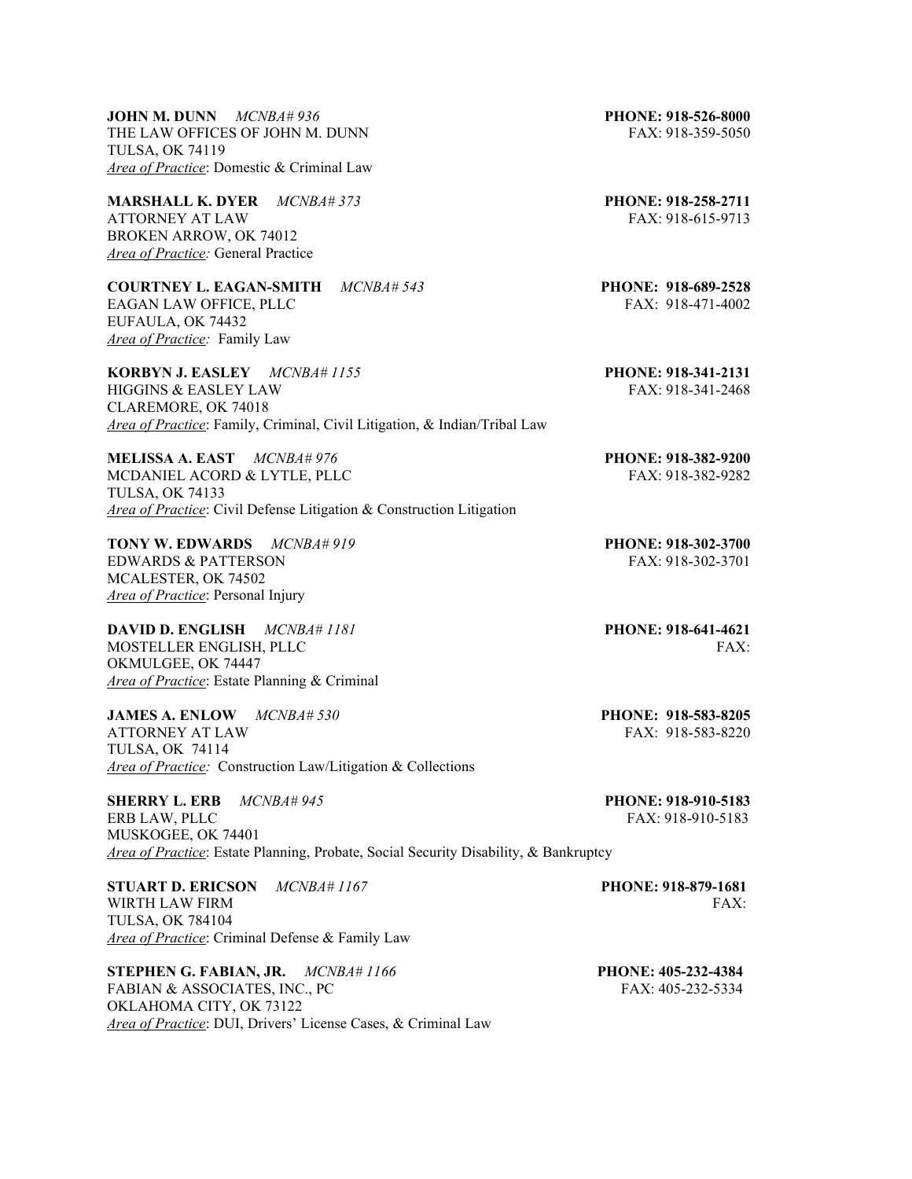**JOHN M. DUNN** *MCNBA# 936* **PHONE: 918-526-8000** THE LAW OFFICES OF JOHN M. DUNN FAX: 918-359-5050 TULSA, OK 74119 *Area of Practice*: Domestic & Criminal Law

**MARSHALL K. DYER** *MCNBA# 373* **PHONE: 918-258-2711**  ATTORNEY AT LAW FAX: 918-615-9713 BROKEN ARROW, OK 74012 *Area of Practice:* General Practice

**COURTNEY L. EAGAN-SMITH** *MCNBA# 543* **PHONE: 918-689-2528** EAGAN LAW OFFICE, PLLC FAX: 918-471-4002 EUFAULA, OK 74432 *Area of Practice:* Family Law

**KORBYN J. EASLEY** *MCNBA# 1155* **PHONE: 918-341-2131** HIGGINS & EASLEY LAW FAX: 918-341-2468 CLAREMORE, OK 74018 *Area of Practice*: Family, Criminal, Civil Litigation, & Indian/Tribal Law

**MELISSA A. EAST** *MCNBA# 976* **PHONE: 918-382-9200**  MCDANIEL ACORD & LYTLE, PLLC FAX: 918-382-9282 TULSA, OK 74133 *Area of Practice*: Civil Defense Litigation & Construction Litigation

**TONY W. EDWARDS** *MCNBA# 919* **PHONE: 918-302-3700** EDWARDS & PATTERSON FAX: 918-302-3701 MCALESTER, OK 74502 *Area of Practice*: Personal Injury

**DAVID D. ENGLISH** *MCNBA# 1181* **PHONE: 918-641-4621** MOSTELLER ENGLISH, PLLC FAX: OKMULGEE, OK 74447 *Area of Practice*: Estate Planning & Criminal

**JAMES A. ENLOW** *MCNBA# 530* **PHONE: 918-583-8205 ATTORNEY AT LAW** TULSA, OK 74114 *Area of Practice:* Construction Law/Litigation & Collections

**SHERRY L. ERB** *MCNBA# 945* **PHONE: 918-910-5183**  ERB LAW, PLLC FAX: 918-910-5183 MUSKOGEE, OK 74401 *Area of Practice*: Estate Planning, Probate, Social Security Disability, & Bankruptcy

**STUART D. ERICSON** *MCNBA# 1167* **PHONE: 918-879-1681** WIRTH LAW FIRM FAX: TULSA, OK 784104 *Area of Practice*: Criminal Defense & Family Law

**STEPHEN G. FABIAN, JR.** *MCNBA# 1166* **PHONE: 405-232-4384** FABIAN & ASSOCIATES, INC., PC FABIAN 6 (FAX: 405-232-5334) OKLAHOMA CITY, OK 73122 *Area of Practice*: DUI, Drivers' License Cases, & Criminal Law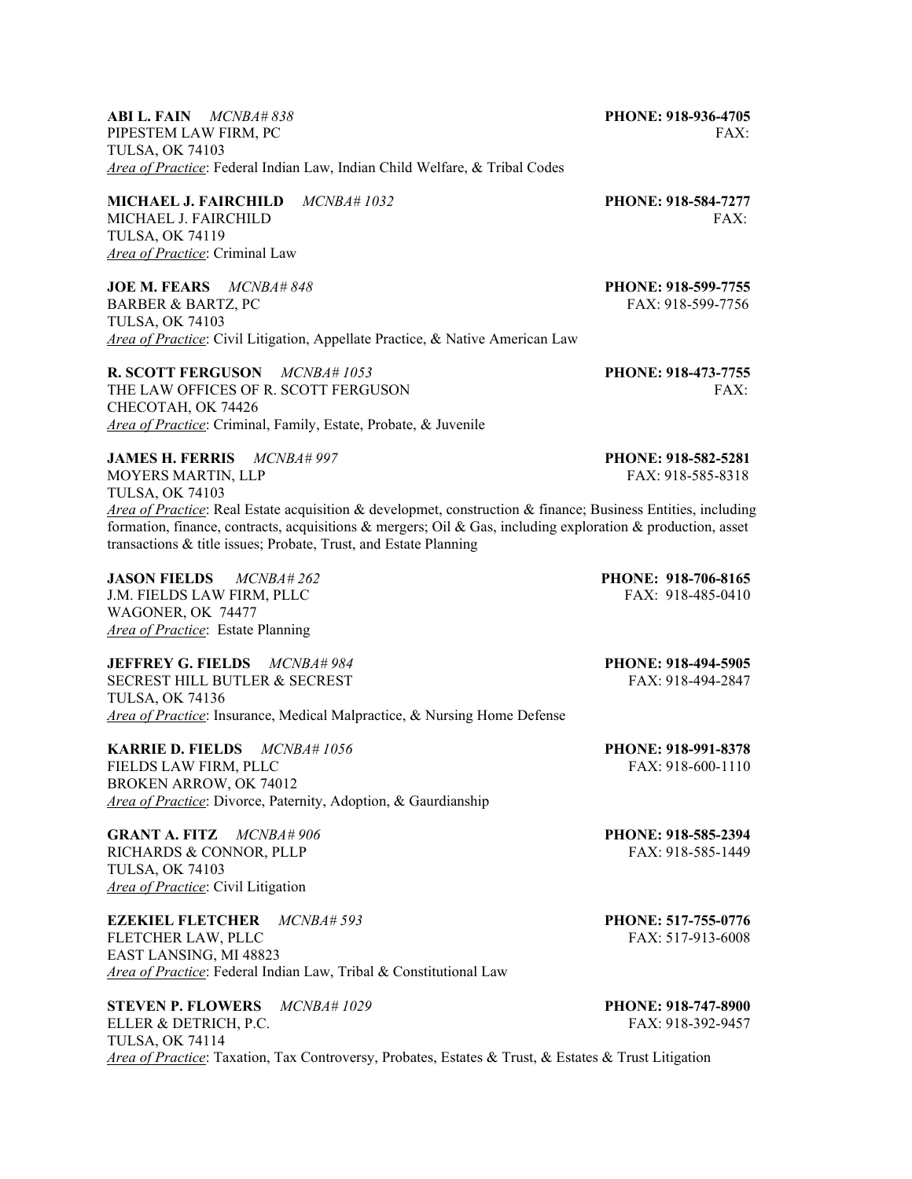**ABI L. FAIN** *MCNBA# 838* **PHONE: 918-936-4705**  PIPESTEM LAW FIRM, PC FAX: TULSA, OK 74103 *Area of Practice*: Federal Indian Law, Indian Child Welfare, & Tribal Codes

**MICHAEL J. FAIRCHILD** *MCNBA# 1032* **PHONE: 918-584-7277** MICHAEL J. FAIRCHILD **FAX:** FAIRCHILD TULSA, OK 74119 *Area of Practice*: Criminal Law

**JOE M. FEARS** *MCNBA# 848* **PHONE: 918-599-7755**  BARBER & BARTZ, PC FAX: 918-599-7756 TULSA, OK 74103 *Area of Practice*: Civil Litigation, Appellate Practice, & Native American Law

**R. SCOTT FERGUSON** *MCNBA# 1053* **PHONE: 918-473-7755** THE LAW OFFICES OF R. SCOTT FERGUSON FAX: CHECOTAH, OK 74426 *Area of Practice*: Criminal, Family, Estate, Probate, & Juvenile

**JAMES H. FERRIS** *MCNBA# 997* **PHONE: 918-582-5281** MOYERS MARTIN, LLP FAX: 918-585-8318 TULSA, OK 74103 *Area of Practice*: Real Estate acquisition & developmet, construction & finance; Business Entities, including formation, finance, contracts, acquisitions  $\&$  mergers; Oil  $\&$  Gas, including exploration  $\&$  production, asset transactions & title issues; Probate, Trust, and Estate Planning

**JASON FIELDS** *MCNBA# 262* **PHONE: 918-706-8165**  J.M. FIELDS LAW FIRM, PLLC FAX: 918-485-0410 WAGONER, OK 74477 *Area of Practice*: Estate Planning

**JEFFREY G. FIELDS** *MCNBA# 984* **PHONE: 918-494-5905**  SECREST HILL BUTLER & SECREST TULSA, OK 74136 *Area of Practice*: Insurance, Medical Malpractice, & Nursing Home Defense

**KARRIE D. FIELDS** *MCNBA# 1056* **PHONE: 918-991-8378**  FIELDS LAW FIRM, PLLC FAX: 918-600-1110 BROKEN ARROW, OK 74012 *Area of Practice*: Divorce, Paternity, Adoption, & Gaurdianship

**GRANT A. FITZ** *MCNBA# 906* **PHONE: 918-585-2394**  RICHARDS & CONNOR, PLLP FAX: 918-585-1449 TULSA, OK 74103 *Area of Practice*: Civil Litigation

**EZEKIEL FLETCHER** *MCNBA# 593* **PHONE: 517-755-0776**<br>**FLETCHER LAW. PLLC PHONE: 517-913-6008** FLETCHER LAW, PLLC EAST LANSING, MI 48823 *Area of Practice*: Federal Indian Law, Tribal & Constitutional Law

**STEVEN P. FLOWERS** *MCNBA# 1029* **PHONE: 918-747-8900** ELLER & DETRICH, P.C. **FAX: 918-392-9457** TULSA, OK 74114 *Area of Practice*: Taxation, Tax Controversy, Probates, Estates & Trust, & Estates & Trust Litigation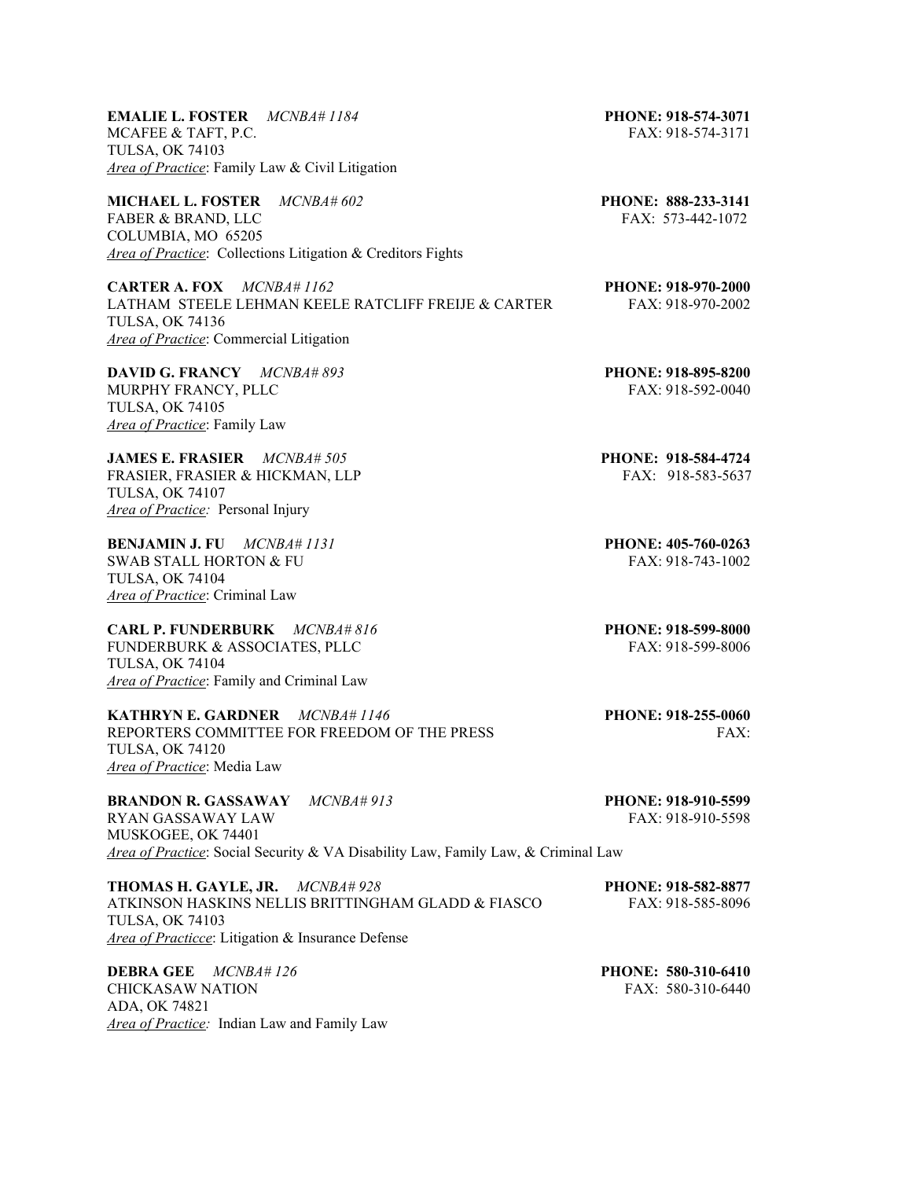**EMALIE L. FOSTER** *MCNBA# 1184* **PHONE: 918-574-3071** MCAFEE & TAFT, P.C. FAX: 918-574-3171 TULSA, OK 74103 *Area of Practice*: Family Law & Civil Litigation

**MICHAEL L. FOSTER** *MCNBA# 602* **PHONE: 888-233-3141** FABER & BRAND, LLC FABER & BRAND, LLC COLUMBIA, MO 65205 *Area of Practice*: Collections Litigation & Creditors Fights

**CARTER A. FOX** *MCNBA# 1162* **PHONE: 918-970-2000** LATHAM STEELE LEHMAN KEELE RATCLIFF FREIJE & CARTER FAX: 918-970-2002 TULSA, OK 74136 *Area of Practice*: Commercial Litigation

**DAVID G. FRANCY** *MCNBA# 893* **PHONE: 918-895-8200** MURPHY FRANCY, PLLC FAX: 918-592-0040 TULSA, OK 74105 *Area of Practice*: Family Law

**JAMES E. FRASIER** *MCNBA# 505* **PHONE: 918-584-4724**  FRASIER, FRASIER & HICKMAN, LLP FAX: 918-583-5637 TULSA, OK 74107 *Area of Practice:* Personal Injury

**BENJAMIN J. FU** *MCNBA# 1131* **PHONE: 405-760-0263** SWAB STALL HORTON & FU FAX: 918-743-1002 TULSA, OK 74104 *Area of Practice*: Criminal Law

**CARL P. FUNDERBURK** *MCNBA# 816* **PHONE: 918-599-8000** FUNDERBURK & ASSOCIATES, PLLC FAX: 918-599-8006 TULSA, OK 74104 *Area of Practice*: Family and Criminal Law

**KATHRYN E. GARDNER** *MCNBA# 1146* **PHONE: 918-255-0060** REPORTERS COMMITTEE FOR FREEDOM OF THE PRESS FAX: TULSA, OK 74120 *Area of Practice*: Media Law

**BRANDON R. GASSAWAY** *MCNBA# 913* **PHONE: 918-910-5599**  RYAN GASSAWAY LAW FAX: 918-910-5598 MUSKOGEE, OK 74401 *Area of Practice*: Social Security & VA Disability Law, Family Law, & Criminal Law

**THOMAS H. GAYLE, JR.** *MCNBA# 928* **PHONE: 918-582-8877**  ATKINSON HASKINS NELLIS BRITTINGHAM GLADD & FIASCO FAX: 918-585-8096 TULSA, OK 74103 *Area of Practicce*: Litigation & Insurance Defense

**DEBRA GEE** *MCNBA# 126* **PHONE: 580-310-6410** CHICKASAW NATION FAX: 580-310-6440 ADA, OK 74821 *Area of Practice:* Indian Law and Family Law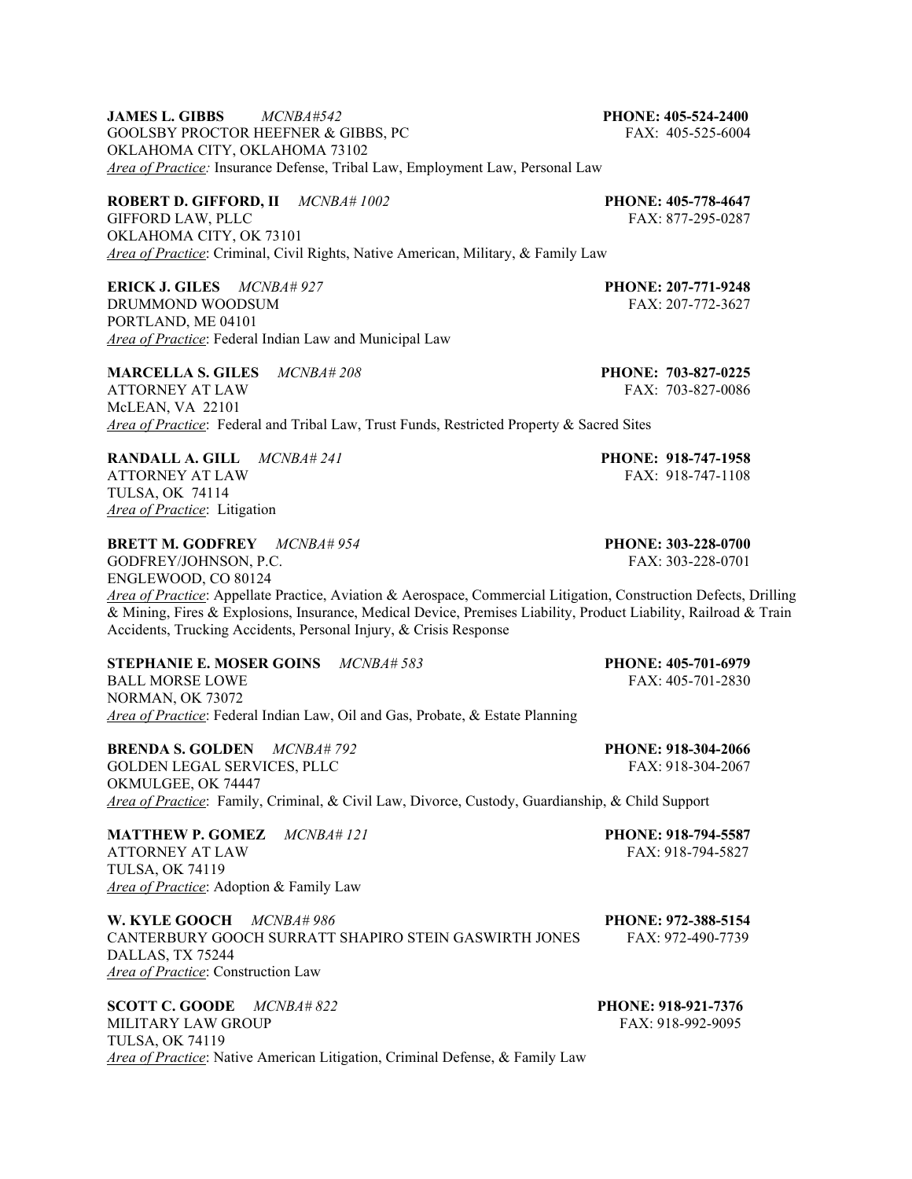**JAMES L. GIBBS** *MCNBA#542* **PHONE: 405-524-2400**  GOOLSBY PROCTOR HEEFNER & GIBBS, PC FAX: 405-525-6004 OKLAHOMA CITY, OKLAHOMA 73102 *Area of Practice:* Insurance Defense, Tribal Law, Employment Law, Personal Law

**ROBERT D. GIFFORD, II** *MCNBA# 1002* **PHONE: 405-778-4647** GIFFORD LAW, PLLC OKLAHOMA CITY, OK 73101 *Area of Practice*: Criminal, Civil Rights, Native American, Military, & Family Law

**ERICK J. GILES** *MCNBA# 927* **PHONE: 207-771-9248** DRUMMOND WOODSUM FAX: 207-772-3627 PORTLAND, ME 04101 *Area of Practice*: Federal Indian Law and Municipal Law

**MARCELLA S. GILES** *MCNBA# 208* **PHONE: 703-827-0225**  ATTORNEY AT LAW FAX: 703-827-0086 McLEAN, VA 22101 *Area of Practice*: Federal and Tribal Law, Trust Funds, Restricted Property & Sacred Sites

**RANDALL A. GILL** *MCNBA# 241* **PHONE: 918-747-1958**  ATTORNEY AT LAW TULSA, OK 74114 *Area of Practice*: Litigation

**BRETT M. GODFREY** *MCNBA# 954* **PHONE: 303-228-0700** 

GODFREY/JOHNSON, P.C. FAX: 303-228-0701 ENGLEWOOD, CO 80124 *Area of Practice*: Appellate Practice, Aviation & Aerospace, Commercial Litigation, Construction Defects, Drilling & Mining, Fires & Explosions, Insurance, Medical Device, Premises Liability, Product Liability, Railroad & Train Accidents, Trucking Accidents, Personal Injury, & Crisis Response

**STEPHANIE E. MOSER GOINS**  $MCNBA# 583$  **PHONE: 405-701-6979**<br>BALL MORSE LOWE **FAX: 405-701-2830** BALL MORSE LOWE NORMAN, OK 73072 *Area of Practice*: Federal Indian Law, Oil and Gas, Probate, & Estate Planning

**BRENDA S. GOLDEN** *MCNBA# 792* **PHONE: 918-304-2066** GOLDEN LEGAL SERVICES, PLLC FAX: 918-304-2067 OKMULGEE, OK 74447 *Area of Practice*: Family, Criminal, & Civil Law, Divorce, Custody, Guardianship, & Child Support

**MATTHEW P. GOMEZ** *MCNBA# 121* **PHONE: 918-794-5587**  ATTORNEY AT LAW FAX: 918-794-5827 TULSA, OK 74119 *Area of Practice*: Adoption & Family Law

**W. KYLE GOOCH**  $MCNBA# 986$  **PHONE: 972-388-5154 CANTERBURY GOOCH SURRATT SHAPIRO STEIN GASWIRTH JONES FAX: 972-490-7739** CANTERBURY GOOCH SURRATT SHAPIRO STEIN GASWIRTH JONES DALLAS, TX 75244 *Area of Practice*: Construction Law

**SCOTT C. GOODE** *MCNBA# 822* **PHONE: 918-921-7376** MILITARY LAW GROUP FAX: 918-992-9095 TULSA, OK 74119 *Area of Practice*: Native American Litigation, Criminal Defense, & Family Law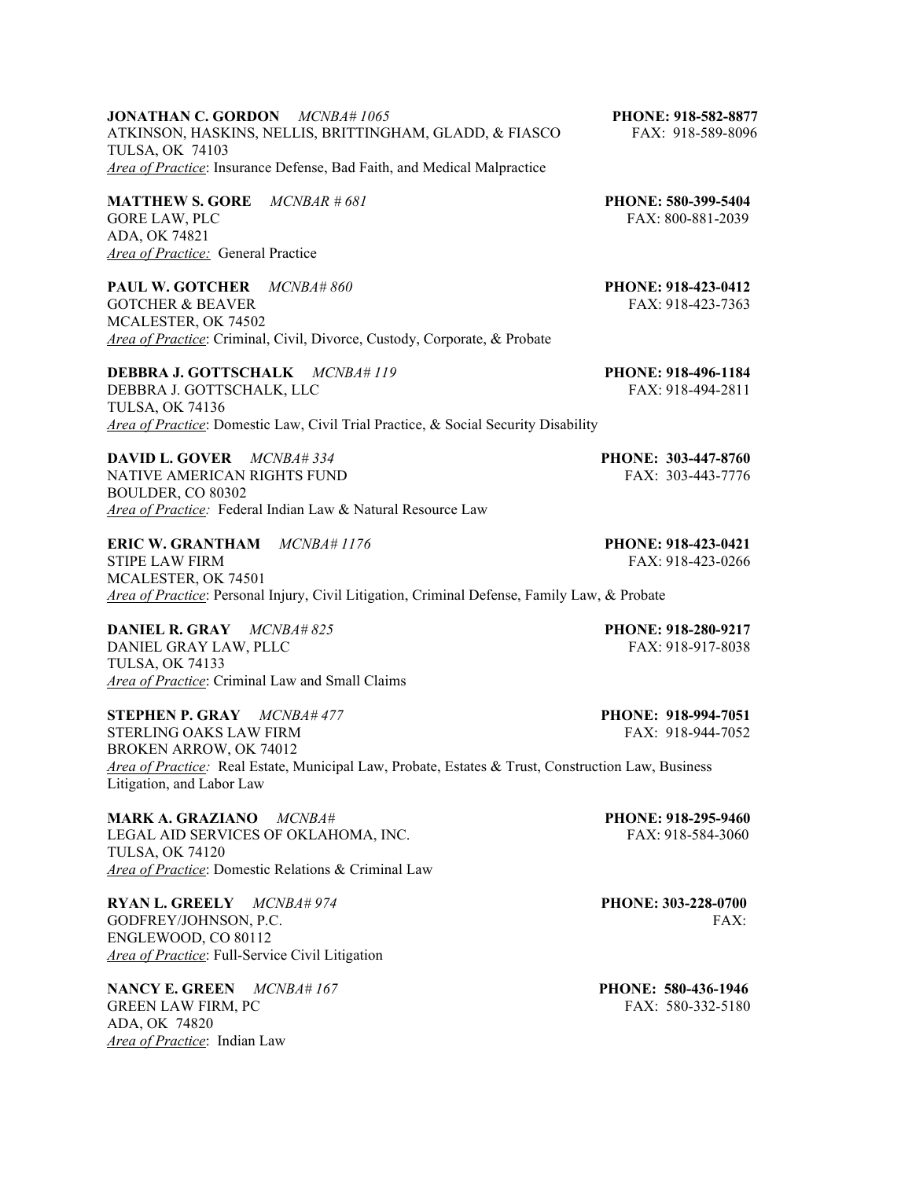## **JONATHAN C. GORDON** *MCNBA# 1065* **PHONE: 918-582-8877** ATKINSON, HASKINS, NELLIS, BRITTINGHAM, GLADD, & FIASCO FAX: 918-589-8096 TULSA, OK 74103 *Area of Practice*: Insurance Defense, Bad Faith, and Medical Malpractice

**MATTHEW S. GORE** *MCNBAR # 681* **PHONE: 580-399-5404** GORE LAW, PLC FAX: 800-881-2039 ADA, OK 74821 *Area of Practice:* General Practice

**PAUL W. GOTCHER** *MCNBA# 860* **PHONE: 918-423-0412** GOTCHER & BEAVER FAX: 918-423-7363 MCALESTER, OK 74502 *Area of Practice*: Criminal, Civil, Divorce, Custody, Corporate, & Probate

**DEBBRA J. GOTTSCHALK** *MCNBA# 119* **PHONE: 918-496-1184**  DEBBRA J. GOTTSCHALK, LLC FAX: 918-494-2811 TULSA, OK 74136 *Area of Practice*: Domestic Law, Civil Trial Practice, & Social Security Disability

**DAVID L. GOVER** *MCNBA# 334* **PHONE: 303-447-8760**  NATIVE AMERICAN RIGHTS FUND FAX: 303-443-7776 BOULDER, CO 80302 *Area of Practice:* Federal Indian Law & Natural Resource Law

**ERIC W. GRANTHAM** *MCNBA# 1176* **PHONE: 918-423-0421** STIPE LAW FIRM FAX: 918-423-0266 MCALESTER, OK 74501 *Area of Practice*: Personal Injury, Civil Litigation, Criminal Defense, Family Law, & Probate

**DANIEL R. GRAY** *MCNBA# 825* **PHONE: 918-280-9217** DANIEL GRAY LAW, PLLC FAX: 918-917-8038 TULSA, OK 74133 *Area of Practice*: Criminal Law and Small Claims

**STEPHEN P. GRAY** *MCNBA# 477* **PHONE: 918-994-7051** STERLING OAKS LAW FIRM BROKEN ARROW, OK 74012 *Area of Practice:* Real Estate, Municipal Law, Probate, Estates & Trust, Construction Law, Business Litigation, and Labor Law

**MARK A. GRAZIANO** *MCNBA#* **PHONE: 918-295-9460** *PHONE: 918-295-9460 PHONE: 918-295-9460 PHONE: 918-295-9460* LEGAL AID SERVICES OF OKLAHOMA, INC. TULSA, OK 74120 *Area of Practice*: Domestic Relations & Criminal Law

**RYAN L. GREELY** *MCNBA# 974* **PHONE: 303-228-0700**  GODFREY/JOHNSON, P.C. FAX: FAX: ENGLEWOOD, CO 80112 *Area of Practice*: Full-Service Civil Litigation

**NANCY E. GREEN** *MCNBA# 167* **PHONE: 580-436-1946** GREEN LAW FIRM, PC 68 (1992) 6 (1993) 6 (1993) 6 (1994) 6 (1994) 6 (1994) 6 (1994) 6 (1995) 6 (1996) 6 (1997) 6 (1997) 7 (1997) 6 (1997) 7 (1997) 7 (1997) 7 (1997) 7 (1997) 7 (1997) 7 (1997) 7 (1997) 7 (1997) 7 (1997) 7 (1 ADA, OK 74820 *Area of Practice*: Indian Law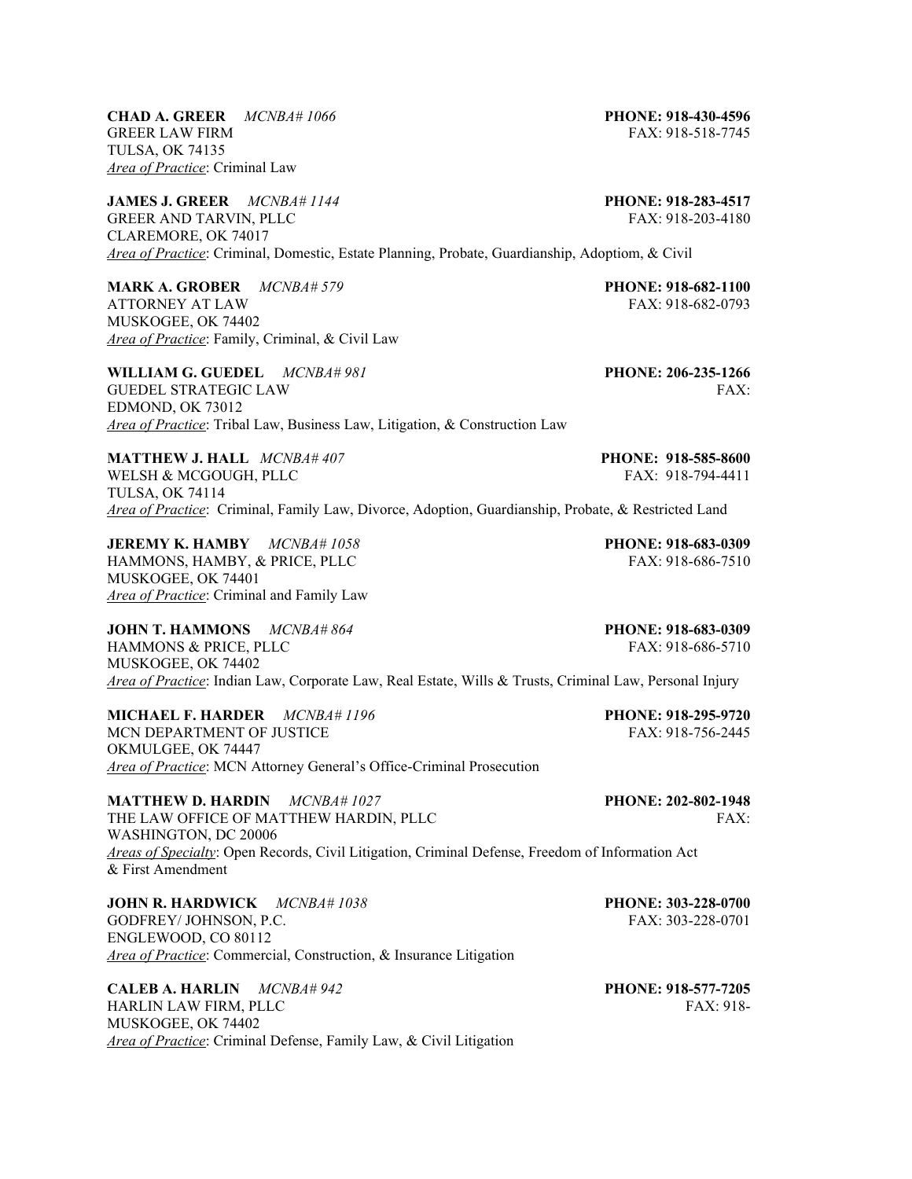**CHAD A. GREER** *MCNBA# 1066* **PHONE: 918-430-4596** GREER LAW FIRM FAX: 918-518-7745 TULSA, OK 74135 *Area of Practice*: Criminal Law

**JAMES J. GREER** *MCNBA# 1144* **PHONE: 918-283-4517** GREER AND TARVIN, PLLC FAX: 918-203-4180 CLAREMORE, OK 74017 *Area of Practice*: Criminal, Domestic, Estate Planning, Probate, Guardianship, Adoptiom, & Civil

**MARK A. GROBER** *MCNBA# 579* **PHONE: 918-682-1100**  ATTORNEY AT LAW FAX: 918-682-0793 MUSKOGEE, OK 74402 *Area of Practice*: Family, Criminal, & Civil Law

**WILLIAM G. GUEDEL** *MCNBA# 981* **PHONE: 206-235-1266** GUEDEL STRATEGIC LAW FAX: EDMOND, OK 73012 *Area of Practice*: Tribal Law, Business Law, Litigation, & Construction Law

**MATTHEW J. HALL** *MCNBA# 407* **PHONE: 918-585-8600** WELSH & MCGOUGH, PLLC FAX: 918-794-4411 TULSA, OK 74114 *Area of Practice*: Criminal, Family Law, Divorce, Adoption, Guardianship, Probate, & Restricted Land

**JEREMY K. HAMBY** *MCNBA# 1058* **PHONE: 918-683-0309** HAMMONS, HAMBY, & PRICE, PLLC FAX: 918-686-7510 MUSKOGEE, OK 74401 *Area of Practice*: Criminal and Family Law

**JOHN T. HAMMONS** *MCNBA# 864* **PHONE: 918-683-0309**  HAMMONS & PRICE, PLLC FAX: 918-686-5710 MUSKOGEE, OK 74402 *Area of Practice*: Indian Law, Corporate Law, Real Estate, Wills & Trusts, Criminal Law, Personal Injury

**MICHAEL F. HARDER** *MCNBA# 1196* **PHONE: 918-295-9720** MCN DEPARTMENT OF JUSTICE OKMULGEE, OK 74447 *Area of Practice*: MCN Attorney General's Office-Criminal Prosecution

**MATTHEW D. HARDIN** *MCNBA# 1027* **PHONE: 202-802-1948**  THE LAW OFFICE OF MATTHEW HARDIN, PLLC FAX: WASHINGTON, DC 20006 *Areas of Specialty*: Open Records, Civil Litigation, Criminal Defense, Freedom of Information Act & First Amendment

**JOHN R. HARDWICK** *MCNBA# 1038* **PHONE: 303-228-0700** GODFREY/ JOHNSON, P.C. 6. 2008. THE SERVICE OF THE SERVICE OF THE SERVICE OF THE SERVICE OF THE SERVICE OF THE SERVICE OF THE SERVICE OF THE SERVICE OF THE SERVICE OF THE SERVICE OF THE SERVICE OF THE SERVICE OF THE SERVIC ENGLEWOOD, CO 80112 *Area of Practice*: Commercial, Construction, & Insurance Litigation

**CALEB A. HARLIN** *MCNBA# 942* **PHONE: 918-577-7205**  HARLIN LAW FIRM, PLLC FAX: 918-MUSKOGEE, OK 74402 *Area of Practice*: Criminal Defense, Family Law, & Civil Litigation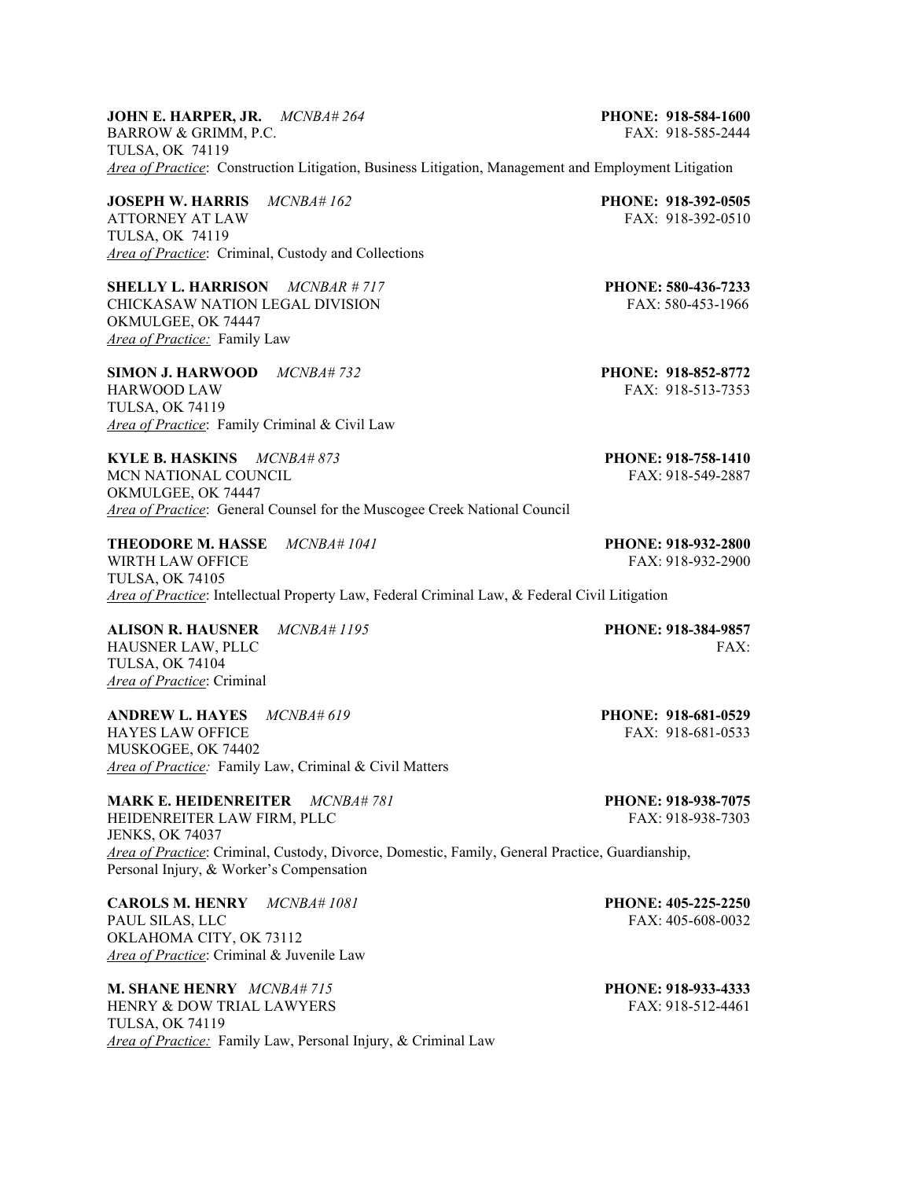# **JOHN E. HARPER, JR.** *MCNBA# 264* **PHONE: 918-584-1600**  BARROW & GRIMM, P.C. **FAX: 918-585-2444** TULSA, OK 74119 *Area of Practice*: Construction Litigation, Business Litigation, Management and Employment Litigation

**JOSEPH W. HARRIS** *MCNBA# 162* **PHONE: 918-392-0505**<br>ATTORNEY AT LAW **FAX: 918-392-0510** ATTORNEY AT LAW TULSA, OK 74119 *Area of Practice*: Criminal, Custody and Collections

**SHELLY L. HARRISON** *MCNBAR # 717* **PHONE: 580-436-7233**  CHICKASAW NATION LEGAL DIVISION FAX: 580-453-1966 OKMULGEE, OK 74447 *Area of Practice:* Family Law

**SIMON J. HARWOOD** *MCNBA# 732* **PHONE: 918-852-8772**  HARWOOD LAW FAX: 918-513-7353 TULSA, OK 74119 *Area of Practice*: Family Criminal & Civil Law

**KYLE B. HASKINS** *MCNBA# 873* **PHONE: 918-758-1410** MCN NATIONAL COUNCIL THE SERVICE OF THE SERVICE SERVICE SERVICE SERVICE SERVICE SERVICE SERVICE SERVICE SERVICE SERVICE SERVICE SERVICE SERVICE SERVICE SERVICE SERVICE SERVICE SERVICE SERVICE SERVICE SERVICE SERVICE SERVIC OKMULGEE, OK 74447 *Area of Practice*: General Counsel for the Muscogee Creek National Council

**THEODORE M. HASSE** *MCNBA# 1041* **PHONE: 918-932-2800** WIRTH LAW OFFICE THE SERVICE SERVICE SERVICE SERVICE SERVICE SERVICE SERVICE SERVICE SERVICE SERVICE SERVICE SERVICE SERVICE SERVICE SERVICE SERVICE SERVICE SERVICE SERVICE SERVICE SERVICE SERVICE SERVICE SERVICE SERVICE S TULSA, OK 74105 *Area of Practice*: Intellectual Property Law, Federal Criminal Law, & Federal Civil Litigation

**ALISON R. HAUSNER** *MCNBA# 1195* **PHONE: 918-384-9857** HAUSNER LAW, PLLC FAX: TULSA, OK 74104 *Area of Practice*: Criminal

**ANDREW L. HAYES** *MCNBA# 619* **PHONE: 918-681-0529 HAYES LAW OFFICE** MUSKOGEE, OK 74402 *Area of Practice:* Family Law, Criminal & Civil Matters

**MARK E. HEIDENREITER** *MCNBA# 781* **PHONE: 918-938-7075** HEIDENREITER LAW FIRM, PLLC FAX: 918-938-7303 JENKS, OK 74037

*Area of Practice*: Criminal, Custody, Divorce, Domestic, Family, General Practice, Guardianship, Personal Injury, & Worker's Compensation

**CAROLS M. HENRY** *MCNBA# 1081* **PHONE: 405-225-2250** PAUL SILAS, LLC FAX: 405-608-0032 OKLAHOMA CITY, OK 73112 *Area of Practice*: Criminal & Juvenile Law

**M. SHANE HENRY** *MCNBA# 715* **PHONE: 918-933-4333**  HENRY & DOW TRIAL LAWYERS FAX: 918-512-4461 TULSA, OK 74119 *Area of Practice:* Family Law, Personal Injury, & Criminal Law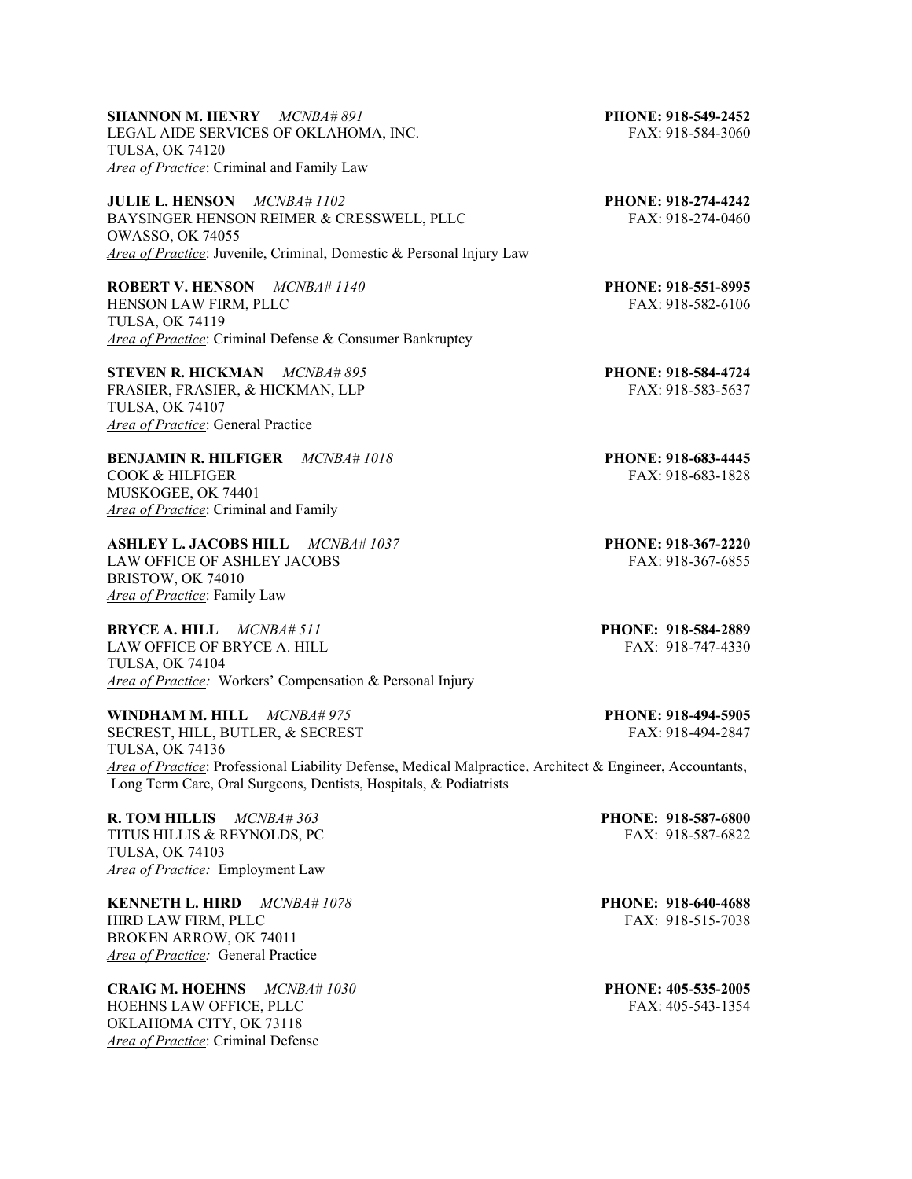**SHANNON M. HENRY** *MCNBA# 891* **PHONE: 918-549-2452**  LEGAL AIDE SERVICES OF OKLAHOMA, INC. FAX: 918-584-3060 TULSA, OK 74120 *Area of Practice*: Criminal and Family Law

**JULIE L. HENSON** *MCNBA# 1102* **PHONE: 918-274-4242**<br>BAYSINGER HENSON REIMER & CRESSWELL, PLLC **PHONE: 918-274-0460** BAYSINGER HENSON REIMER & CRESSWELL, PLLC OWASSO, OK 74055 *Area of Practice*: Juvenile, Criminal, Domestic & Personal Injury Law

**ROBERT V. HENSON** *MCNBA# 1140* **PHONE: 918-551-8995** HENSON LAW FIRM, PLLC FAX: 918-582-6106 TULSA, OK 74119 *Area of Practice*: Criminal Defense & Consumer Bankruptcy

**STEVEN R. HICKMAN** *MCNBA# 895* **PHONE: 918-584-4724**  FRASIER, FRASIER, & HICKMAN, LLP FAX: 918-583-5637 TULSA, OK 74107 *Area of Practice*: General Practice

**BENJAMIN R. HILFIGER** *MCNBA# 1018* **PHONE: 918-683-4445**  COOK & HILFIGER FAX: 918-683-1828 MUSKOGEE, OK 74401 *Area of Practice*: Criminal and Family

**ASHLEY L. JACOBS HILL** *MCNBA# 1037* **PHONE: 918-367-2220** LAW OFFICE OF ASHLEY JACOBS FAX: 918-367-6855 BRISTOW, OK 74010 *Area of Practice*: Family Law

**BRYCE A. HILL** *MCNBA# 511* **PHONE: 918-584-2889** LAW OFFICE OF BRYCE A. HILL FAX: 918-747-4330 TULSA, OK 74104 *Area of Practice:* Workers' Compensation & Personal Injury

**WINDHAM M. HILL**  $MCNBA# 975$ **<br>
<b>PHONE: 918-494-5905**<br> **PHONE: 918-494-2847**<br> **PHONE: 918-494-2847** SECREST, HILL, BUTLER, & SECREST TULSA, OK 74136 *Area of Practice*: Professional Liability Defense, Medical Malpractice, Architect & Engineer, Accountants, Long Term Care, Oral Surgeons, Dentists, Hospitals, & Podiatrists

**R. TOM HILLIS** *MCNBA# 363* **PHONE: 918-587-6800 PHONE: 918-587-6800 PHONE: 918-587-6822** TITUS HILLIS & REYNOLDS, PC TULSA, OK 74103 *Area of Practice:* Employment Law

**KENNETH L. HIRD** *MCNBA# 1078* **PHONE: 918-640-4688** HIRD LAW FIRM, PLLC FAX: 918-515-7038 BROKEN ARROW, OK 74011 *Area of Practice:* General Practice

**CRAIG M. HOEHNS** *MCNBA# 1030* **PHONE: 405-535-2005**  HOEHNS LAW OFFICE, PLLC FAX: 405-543-1354 OKLAHOMA CITY, OK 73118 *Area of Practice*: Criminal Defense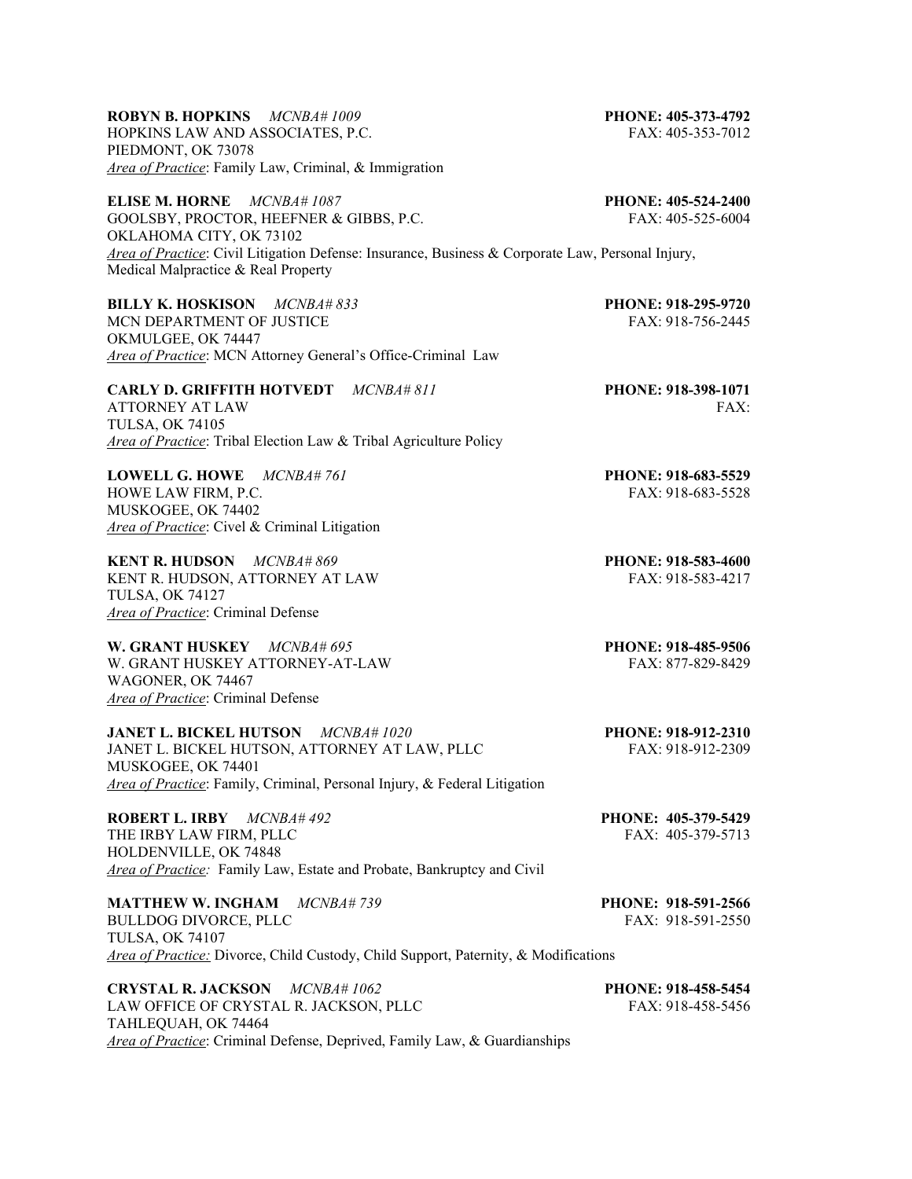# **ROBYN B. HOPKINS** *MCNBA# 1009* **PHONE: 405-373-4792**

HOPKINS LAW AND ASSOCIATES, P.C. FAX: 405-353-7012 PIEDMONT, OK 73078 *Area of Practice*: Family Law, Criminal, & Immigration

**ELISE M. HORNE** *MCNBA# 1087* **PHONE: 405-524-2400**  GOOLSBY, PROCTOR, HEEFNER & GIBBS, P.C. FAX: 405-525-6004 OKLAHOMA CITY, OK 73102 *Area of Practice*: Civil Litigation Defense: Insurance, Business & Corporate Law, Personal Injury, Medical Malpractice & Real Property

**BILLY K. HOSKISON** *MCNBA# 833* **PHONE: 918-295-9720** MCN DEPARTMENT OF JUSTICE FAX: 918-756-2445 OKMULGEE, OK 74447 *Area of Practice*: MCN Attorney General's Office-Criminal Law

**CARLY D. GRIFFITH HOTVEDT** *MCNBA# 811* **PHONE: 918-398-1071** ATTORNEY AT LAW FAX: TULSA, OK 74105 *Area of Practice*: Tribal Election Law & Tribal Agriculture Policy

**LOWELL G. HOWE** *MCNBA# 761* **PHONE: 918-683-5529** HOWE LAW FIRM, P.C. THE SECOND SECOND FAX: 918-683-5528 MUSKOGEE, OK 74402 *Area of Practice*: Civel & Criminal Litigation

**KENT R. HUDSON** *MCNBA# 869* **PHONE: 918-583-4600**  KENT R. HUDSON, ATTORNEY AT LAW FAX: 918-583-4217 TULSA, OK 74127 *Area of Practice*: Criminal Defense

**W. GRANT HUSKEY** *MCNBA# 695* **PHONE: 918-485-9506** W. GRANT HUSKEY ATTORNEY-AT-LAW FAX: 877-829-8429 WAGONER, OK 74467 *Area of Practice*: Criminal Defense

**JANET L. BICKEL HUTSON** *MCNBA# 1020* **PHONE: 918-912-2310**  JANET L. BICKEL HUTSON, ATTORNEY AT LAW, PLLC FAX: 918-912-2309 MUSKOGEE, OK 74401 *Area of Practice*: Family, Criminal, Personal Injury, & Federal Litigation

**ROBERT L. IRBY** *MCNBA# 492* **PHONE: 405-379-5429**  THE IRBY LAW FIRM, PLLC HOLDENVILLE, OK 74848 *Area of Practice:* Family Law, Estate and Probate, Bankruptcy and Civil

**MATTHEW W. INGHAM** *MCNBA# 739* **PHONE: 918-591-2566** BULLDOG DIVORCE, PLLC FAX: 918-591-2550 TULSA, OK 74107 *Area of Practice:* Divorce, Child Custody, Child Support, Paternity, & Modifications

**CRYSTAL R. JACKSON** *MCNBA# 1062* **PHONE: 918-458-5454** LAW OFFICE OF CRYSTAL R. JACKSON, PLLC FAX: 918-458-5456 TAHLEQUAH, OK 74464 *Area of Practice*: Criminal Defense, Deprived, Family Law, & Guardianships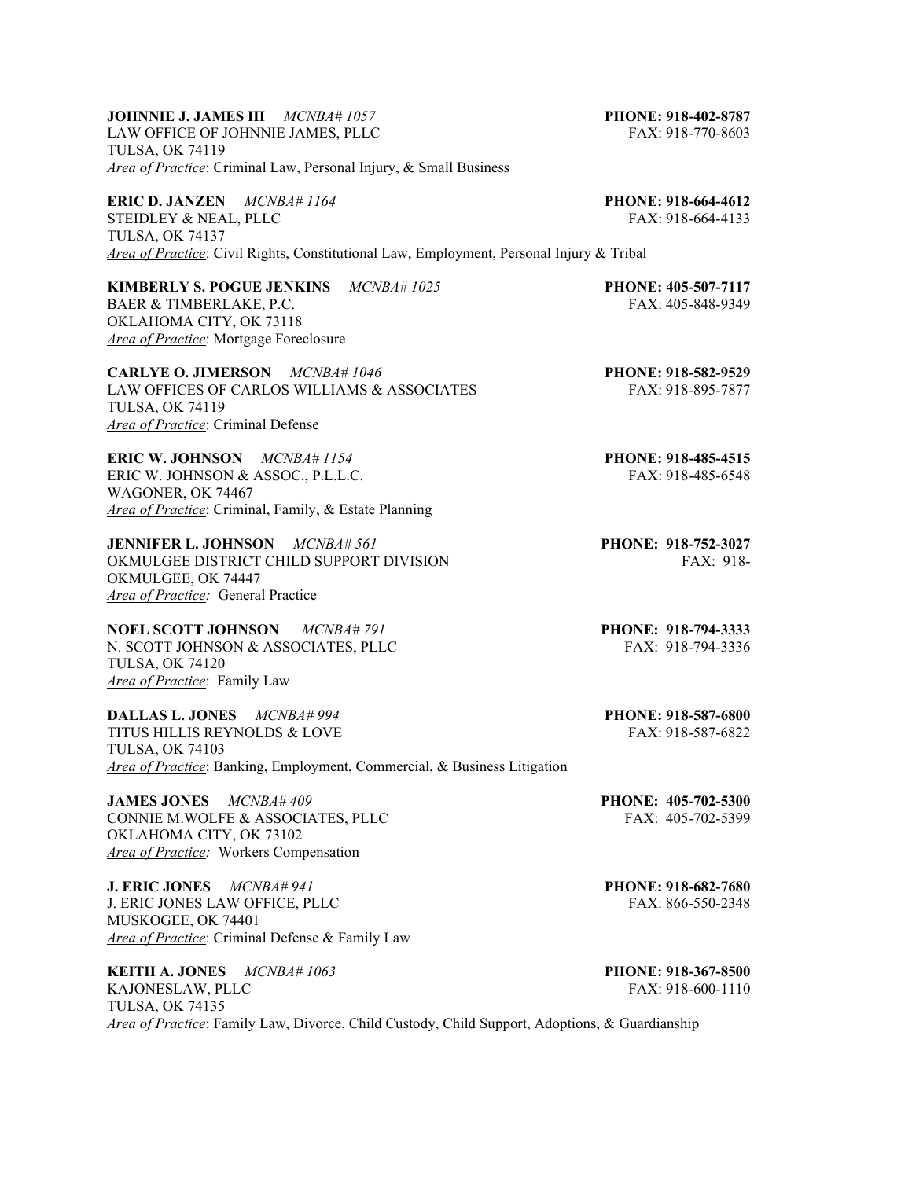# **JOHNNIE J. JAMES III** *MCNBA# 1057* **PHONE: 918-402-8787**

LAW OFFICE OF JOHNNIE JAMES, PLLC FAX: 918-770-8603 TULSA, OK 74119 *Area of Practice*: Criminal Law, Personal Injury, & Small Business

**ERIC D. JANZEN** *MCNBA# 1164* **PHONE: 918-664-4612** STEIDLEY & NEAL, PLLC FAX: 918-664-4133 TULSA, OK 74137 *Area of Practice*: Civil Rights, Constitutional Law, Employment, Personal Injury & Tribal

**KIMBERLY S. POGUE JENKINS** *MCNBA# 1025* **PHONE: 405-507-7117**  BAER & TIMBERLAKE, P.C. FAX: 405-848-9349

OKLAHOMA CITY, OK 73118 *Area of Practice*: Mortgage Foreclosure

**CARLYE O. JIMERSON** *MCNBA# 1046* **PHONE: 918-582-9529** LAW OFFICES OF CARLOS WILLIAMS & ASSOCIATES FAX: 918-895-7877 TULSA, OK 74119 *Area of Practice*: Criminal Defense

**ERIC W. JOHNSON** *MCNBA# 1154* **PHONE: 918-485-4515**  ERIC W. JOHNSON & ASSOC., P.L.L.C. FAX: 918-485-6548 WAGONER, OK 74467 *Area of Practice*: Criminal, Family, & Estate Planning

**JENNIFER L. JOHNSON** *MCNBA# 561* **PHONE: 918-752-3027**  OKMULGEE DISTRICT CHILD SUPPORT DIVISION FAX: 918-OKMULGEE, OK 74447 *Area of Practice:* General Practice

**NOEL SCOTT JOHNSON** *MCNBA# 791* **PHONE: 918-794-3333**  N. SCOTT JOHNSON & ASSOCIATES, PLLC FAX: 918-794-3336 TULSA, OK 74120 *Area of Practice*: Family Law

**DALLAS L. JONES** *MCNBA# 994* **PHONE: 918-587-6800**  TITUS HILLIS REYNOLDS & LOVE FAX: 918-587-6822 TULSA, OK 74103 *Area of Practice*: Banking, Employment, Commercial, & Business Litigation

**JAMES JONES** *MCNBA# 409* **PHONE: 405-702-5300** CONNIE M.WOLFE & ASSOCIATES, PLLC FAX: 405-702-5399 OKLAHOMA CITY, OK 73102 *Area of Practice:* Workers Compensation

**J. ERIC JONES** *MCNBA# 941* **PHONE: 918-682-7680**  J. ERIC JONES LAW OFFICE. PLLC FAX: 866-550-2348 MUSKOGEE, OK 74401 *Area of Practice*: Criminal Defense & Family Law

**KEITH A. JONES** *MCNBA# 1063* **PHONE: 918-367-8500**  KAJONESLAW, PLLC FAX: 918-600-1110 TULSA, OK 74135 *Area of Practice*: Family Law, Divorce, Child Custody, Child Support, Adoptions, & Guardianship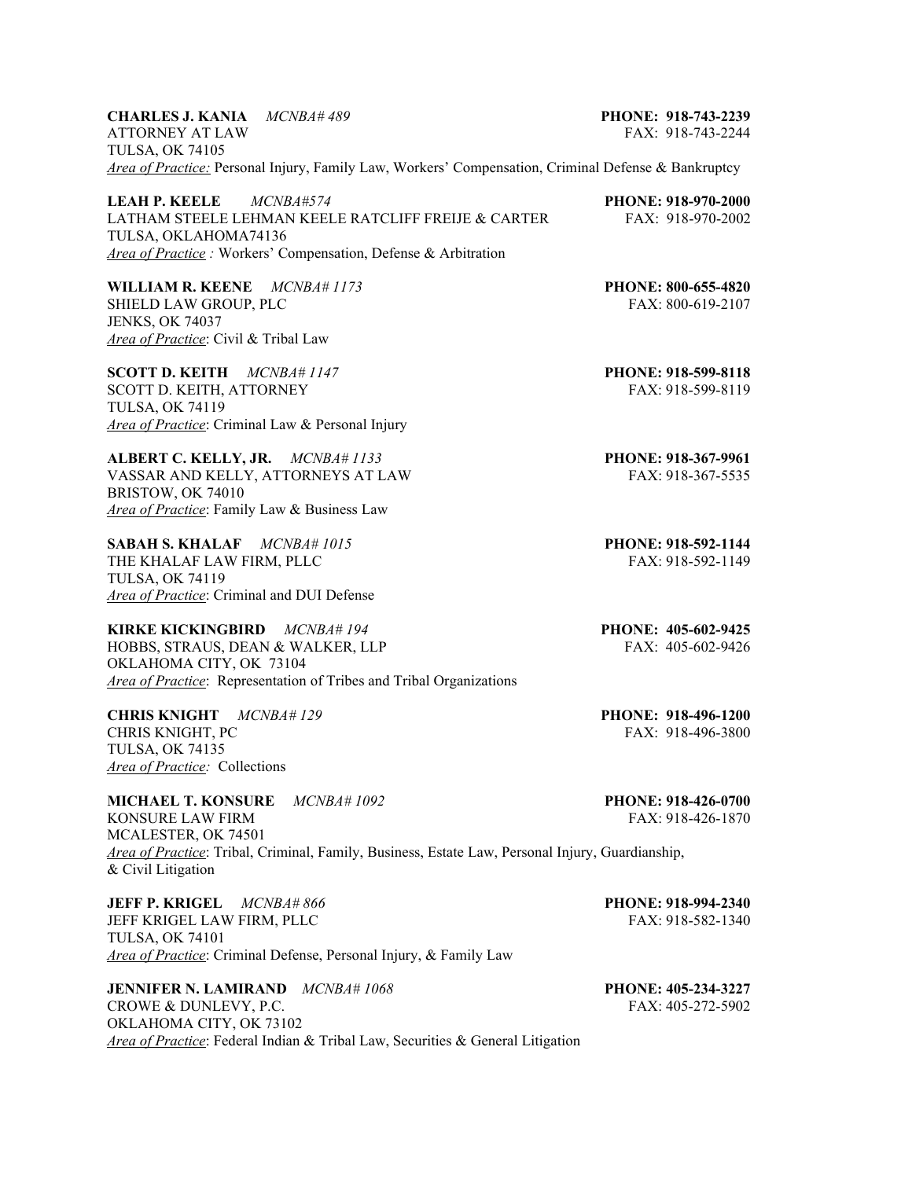| <b>CHARLES J. KANIA</b> MCNBA#489 |                                                                                                            | PHONE: 918-743-2239 |
|-----------------------------------|------------------------------------------------------------------------------------------------------------|---------------------|
| ATTORNEY AT LAW                   |                                                                                                            | FAX: 918-743-2244   |
| TULSA. OK 74105                   |                                                                                                            |                     |
|                                   | <i>Area of Practice:</i> Personal Injury, Family Law, Workers' Compensation, Criminal Defense & Bankruptcy |                     |

| <i>MCNBA#574</i><br>LEAH P. KEELE                              | <b>PHONE: 918-970-2000</b> |
|----------------------------------------------------------------|----------------------------|
| LATHAM STEELE LEHMAN KEELE RATCLIFF FRELIE & CARTER            | FAX: 918-970-2002          |
| TULSA, OKLAHOMA74136                                           |                            |
| Area of Practice: Workers' Compensation, Defense & Arbitration |                            |

**WILLIAM R. KEENE** *MCNBA# 1173* **PHONE: 800-655-4820** SHIELD LAW GROUP, PLC FAX: 800-619-2107 JENKS, OK 74037 *Area of Practice*: Civil & Tribal Law

**SCOTT D. KEITH** *MCNBA# 1147* **PHONE: 918-599-8118** SCOTT D. KEITH, ATTORNEY FAX: 918-599-8119 TULSA, OK 74119 *Area of Practice*: Criminal Law & Personal Injury

**ALBERT C. KELLY, JR.** *MCNBA# 1133* **PHONE: 918-367-9961** VASSAR AND KELLY, ATTORNEYS AT LAW FAX: 918-367-5535 BRISTOW, OK 74010 *Area of Practice*: Family Law & Business Law

**SABAH S. KHALAF** *MCNBA# 1015* **PHONE: 918-592-1144** THE KHALAF LAW FIRM, PLLC FAX: 918-592-1149 TULSA, OK 74119 *Area of Practice*: Criminal and DUI Defense

**KIRKE KICKINGBIRD** *MCNBA# 194* **PHONE: 405-602-9425**  HOBBS, STRAUS, DEAN & WALKER, LLP FAX: 405-602-9426 OKLAHOMA CITY, OK 73104 *Area of Practice*: Representation of Tribes and Tribal Organizations

**CHRIS KNIGHT** *MCNBA# 129* **PHONE: 918-496-1200**  CHRIS KNIGHT, PC TULSA, OK 74135 *Area of Practice:* Collections

**MICHAEL T. KONSURE** *MCNBA# 1092* **PHONE: 918-426-0700** KONSURE LAW FIRM FAX: 918-426-1870 MCALESTER, OK 74501 *Area of Practice*: Tribal, Criminal, Family, Business, Estate Law, Personal Injury, Guardianship, & Civil Litigation

**JEFF P. KRIGEL** *MCNBA# 866* **PHONE: 918-994-2340** JEFF KRIGEL LAW FIRM, PLLC FAX: 918-582-1340 TULSA, OK 74101 *Area of Practice*: Criminal Defense, Personal Injury, & Family Law

**JENNIFER N. LAMIRAND** *MCNBA# 1068* **PHONE: 405-234-3227** CROWE & DUNLEVY, P.C. FAX: 405-272-5902 OKLAHOMA CITY, OK 73102 *Area of Practice*: Federal Indian & Tribal Law, Securities & General Litigation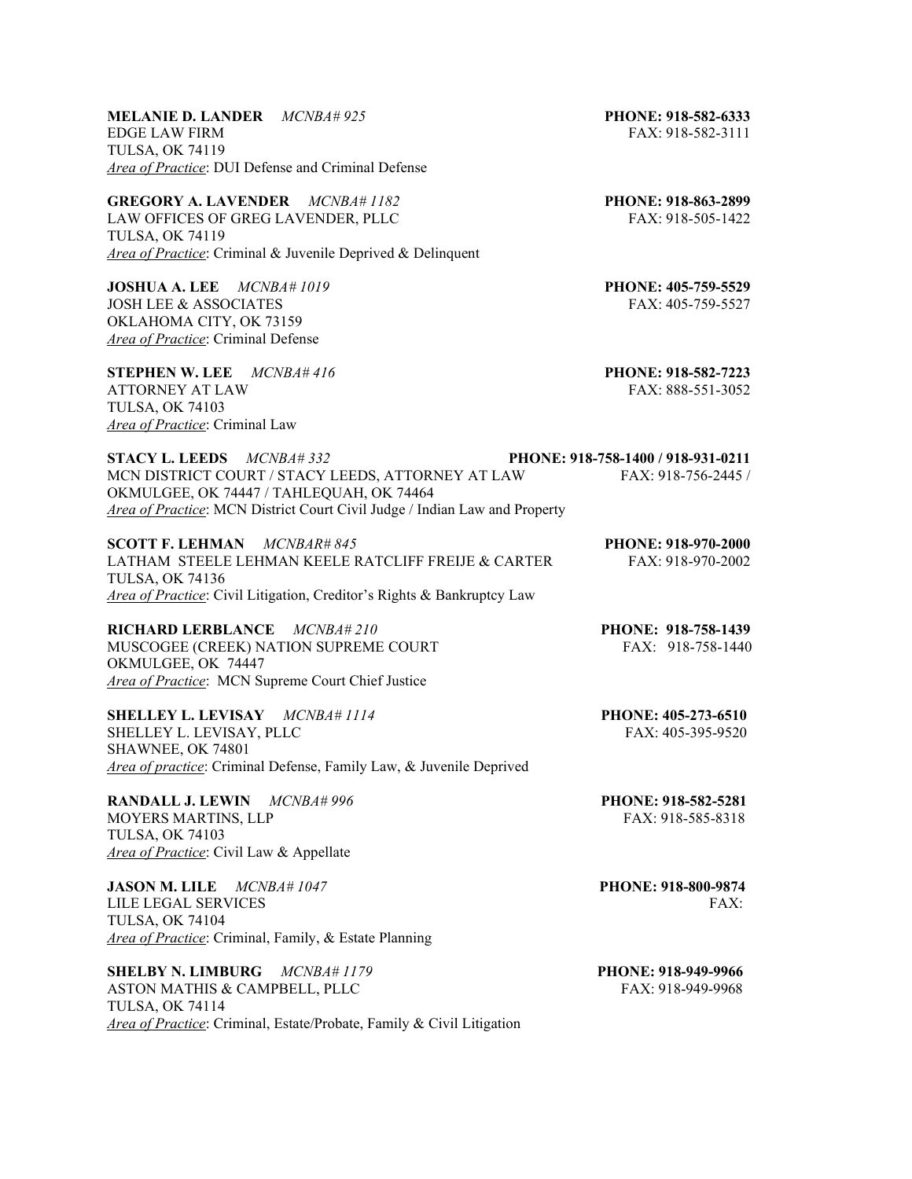## **MELANIE D. LANDER** *MCNBA# 925* **PHONE: 918-582-6333**  EDGE LAW FIRM FAX: 918-582-3111 TULSA, OK 74119 *Area of Practice*: DUI Defense and Criminal Defense

**GREGORY A. LAVENDER** *MCNBA# 1182* **PHONE: 918-863-2899** LAW OFFICES OF GREG LAVENDER, PLLC FAX: 918-505-1422 TULSA, OK 74119 *Area of Practice*: Criminal & Juvenile Deprived & Delinquent

**JOSHUA A. LEE** *MCNBA# 1019* **PHONE: 405-759-5529** JOSH LEE & ASSOCIATES FAX: 405-759-5527 OKLAHOMA CITY, OK 73159 *Area of Practice*: Criminal Defense

**STEPHEN W. LEE** *MCNBA# 416* **PHONE: 918-582-7223** ATTORNEY AT LAW FAX: 888-551-3052 TULSA, OK 74103 *Area of Practice*: Criminal Law

| <b>STACY L. LEEDS</b> $MCNBA#332$                                          | PHONE: 918-758-1400 / 918-931-0211 |
|----------------------------------------------------------------------------|------------------------------------|
| MCN DISTRICT COURT / STACY LEEDS, ATTORNEY AT LAW                          | FAX: 918-756-2445                  |
| OKMULGEE, OK 74447 / TAHLEQUAH, OK 74464                                   |                                    |
| Area of Practice: MCN District Court Civil Judge / Indian Law and Property |                                    |

| <b>SCOTT F. LEHMAN</b> $MCNBAR#845$                                    | <b>PHONE: 918-970-2000</b> |
|------------------------------------------------------------------------|----------------------------|
| LATHAM STEELE LEHMAN KEELE RATCLIFF FREIJE & CARTER                    | FAX: 918-970-2002          |
| TULSA, OK 74136                                                        |                            |
| Area of Practice: Civil Litigation, Creditor's Rights & Bankruptcy Law |                            |

**RICHARD LERBLANCE** *MCNBA# 210* **PHONE: 918-758-1439** MUSCOGEE (CREEK) NATION SUPREME COURT FAX: 918-758-1440 OKMULGEE, OK 74447 *Area of Practice*: MCN Supreme Court Chief Justice

**SHELLEY L. LEVISAY** *MCNBA# 1114* **PHONE: 405-273-6510** SHELLEY L. LEVISAY, PLLC SHAWNEE, OK 74801 *Area of practice*: Criminal Defense, Family Law, & Juvenile Deprived

**RANDALL J. LEWIN** *MCNBA# 996* **PHONE: 918-582-5281** MOYERS MARTINS, LLP FAX: 918-585-8318 TULSA, OK 74103 *Area of Practice*: Civil Law & Appellate

**JASON M. LILE** *MCNBA# 1047* **PHONE: 918-800-9874** LILE LEGAL SERVICES FAX: TULSA, OK 74104 *Area of Practice*: Criminal, Family, & Estate Planning

**SHELBY N. LIMBURG** *MCNBA# 1179* **PHONE: 918-949-9966** ASTON MATHIS & CAMPBELL, PLLC FAX: 918-949-9968 TULSA, OK 74114 *Area of Practice*: Criminal, Estate/Probate, Family & Civil Litigation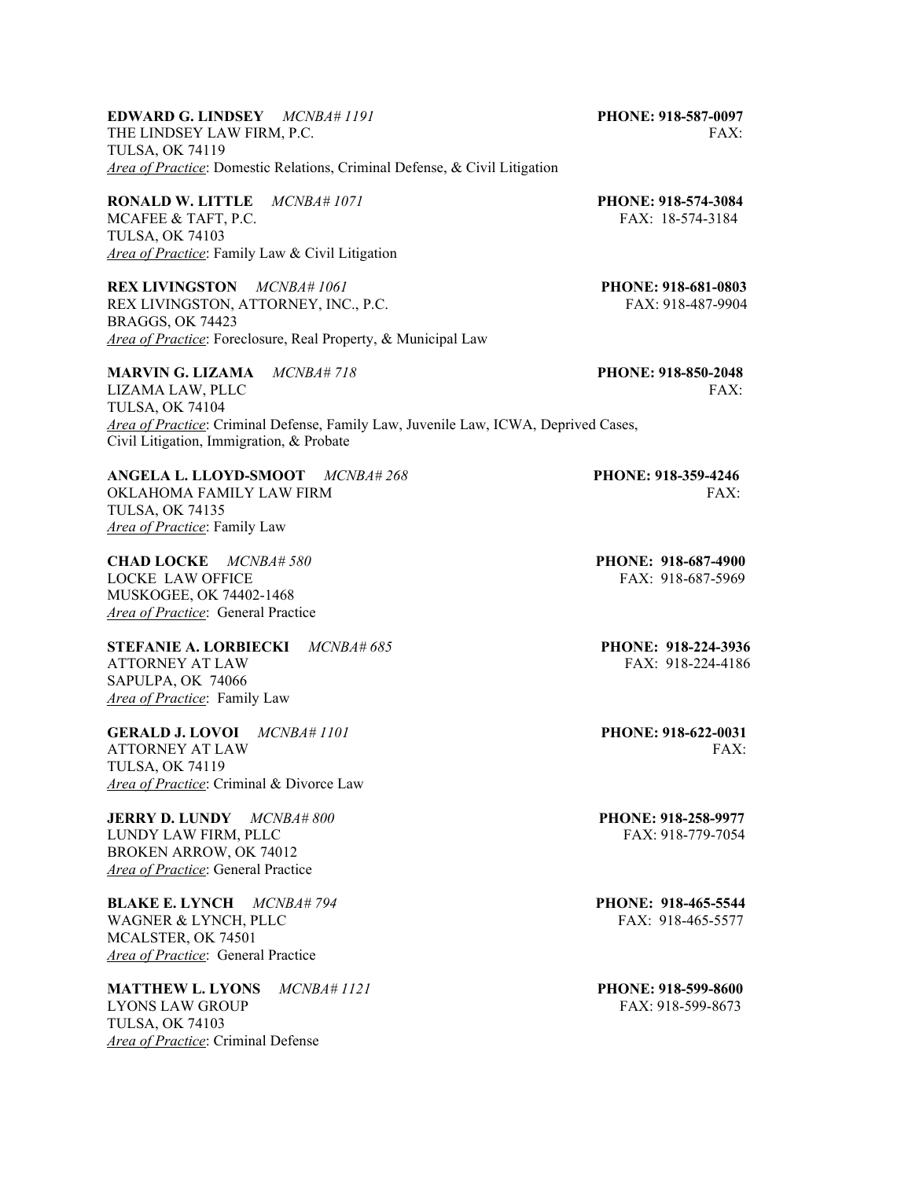# **EDWARD G. LINDSEY** *MCNBA# 1191* **PHONE: 918-587-0097** THE LINDSEY LAW FIRM, P.C. THE LINDSEY LAW FIRM, P.C. TULSA, OK 74119 *Area of Practice*: Domestic Relations, Criminal Defense, & Civil Litigation

**RONALD W. LITTLE** *MCNBA# 1071* **PHONE: 918-574-3084** MCAFEE & TAFT, P.C. FAX: 18-574-3184 TULSA, OK 74103 *Area of Practice*: Family Law & Civil Litigation

**REX LIVINGSTON** *MCNBA# 1061* **PHONE: 918-681-0803** REX LIVINGSTON, ATTORNEY, INC., P.C. FAX: 918-487-9904 BRAGGS, OK 74423 *Area of Practice*: Foreclosure, Real Property, & Municipal Law

**MARVIN G. LIZAMA** *MCNBA# 718* **PHONE: 918-850-2048**

TULSA, OK 74104 *Area of Practice*: Criminal Defense, Family Law, Juvenile Law, ICWA, Deprived Cases, Civil Litigation, Immigration, & Probate

**ANGELA L. LLOYD-SMOOT** *MCNBA# 268* **PHONE: 918-359-4246**  OKLAHOMA FAMILY LAW FIRM FAX: THE SERVICE OF THE SERVICE OF THE SERVICE OF THE SERVICE OF THE SERVICE OF THE SERVICE OF THE SERVICE OF THE SERVICE OF THE SERVICE OF THE SERVICE OF THE SERVICE OF THE SERVICE OF THE SERVICE TULSA, OK 74135 *Area of Practice*: Family Law

**CHAD LOCKE** *MCNBA# 580* **PHONE: 918-687-4900** LOCKE LAW OFFICE THE SERVICE SERVICE SERVICE SERVICE SERVICE SERVICE SERVICE SERVICE SERVICE SERVICE SERVICE S MUSKOGEE, OK 74402-1468 *Area of Practice*: General Practice

**STEFANIE A. LORBIECKI** *MCNBA# 685* **PHONE: 918-224-3936**  ATTORNEY AT LAW FAX: 918-224-4186 SAPULPA, OK 74066 *Area of Practice*: Family Law

**GERALD J. LOVOI** *MCNBA# 1101* **PHONE: 918-622-0031** ATTORNEY AT LAW FAX: TULSA, OK 74119 *Area of Practice*: Criminal & Divorce Law

**JERRY D. LUNDY** *MCNBA# 800* **PHONE: 918-258-9977**  LUNDY LAW FIRM, PLLC BROKEN ARROW, OK 74012 *Area of Practice*: General Practice

**BLAKE E. LYNCH** *MCNBA# 794* **PHONE: 918-465-5544**  WAGNER & LYNCH, PLLC FAX: 918-465-5577 MCALSTER, OK 74501 *Area of Practice*: General Practice

**MATTHEW L. LYONS** *MCNBA# 1121* **PHONE: 918-599-8600** LYONS LAW GROUP FAX: 918-599-8673 TULSA, OK 74103 *Area of Practice*: Criminal Defense

LIZAMA LAW, PLLC FAX: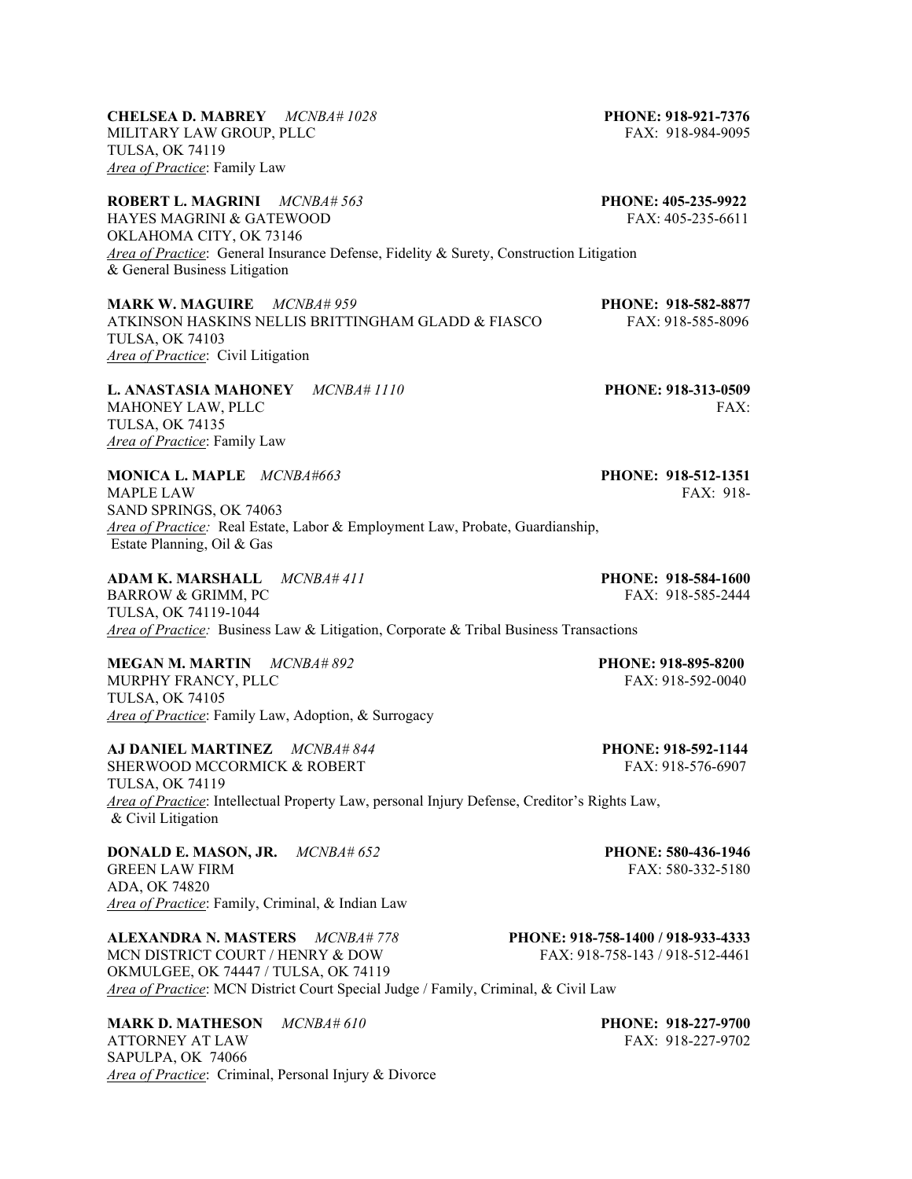MILITARY LAW GROUP, PLLC FAX: 918-984-9095 TULSA, OK 74119 *Area of Practice*: Family Law **ROBERT L. MAGRINI** *MCNBA# 563* **PHONE: 405-235-9922**

HAYES MAGRINI & GATEWOOD FAX: 405-235-6611 OKLAHOMA CITY, OK 73146 *Area of Practice*: General Insurance Defense, Fidelity & Surety, Construction Litigation & General Business Litigation

**MARK W. MAGUIRE** *MCNBA# 959* **PHONE: 918-582-8877** ATKINSON HASKINS NELLIS BRITTINGHAM GLADD & FIASCO FAX: 918-585-8096 TULSA, OK 74103 *Area of Practice*: Civil Litigation

**L. ANASTASIA MAHONEY** *MCNBA# 1110* **PHONE: 918-313-0509**  MAHONEY LAW, PLLC FAX: TULSA, OK 74135 *Area of Practice*: Family Law

**MONICA L. MAPLE** *MCNBA#663* **PHONE: 918-512-1351**  MAPLE LAW FAX: 918-SAND SPRINGS, OK 74063 *Area of Practice:* Real Estate, Labor & Employment Law, Probate, Guardianship, Estate Planning, Oil & Gas

**ADAM K. MARSHALL** *MCNBA# 411* **PHONE: 918-584-1600** BARROW & GRIMM, PC FAX: 918-585-2444 TULSA, OK 74119-1044 *Area of Practice:* Business Law & Litigation, Corporate & Tribal Business Transactions

**MEGAN M. MARTIN** *MCNBA# 892* **PHONE: 918-895-8200** MURPHY FRANCY, PLLC TULSA, OK 74105 *Area of Practice*: Family Law, Adoption, & Surrogacy

**AJ DANIEL MARTINEZ** *MCNBA# 844* **PHONE: 918-592-1144** SHERWOOD MCCORMICK & ROBERT FAX: 918-576-6907 TULSA, OK 74119 *Area of Practice*: Intellectual Property Law, personal Injury Defense, Creditor's Rights Law, & Civil Litigation

**DONALD E. MASON, JR.** *MCNBA# 652* **PHONE: 580-436-1946** GREEN LAW FIRM FAX: 580-332-5180 ADA, OK 74820 *Area of Practice*: Family, Criminal, & Indian Law

**ALEXANDRA N. MASTERS** *MCNBA# 778* **PHONE: 918-758-1400 / 918-933-4333** MCN DISTRICT COURT / HENRY & DOW FAX: 918-758-143 / 918-512-4461 OKMULGEE, OK 74447 / TULSA, OK 74119 *Area of Practice*: MCN District Court Special Judge / Family, Criminal, & Civil Law

**MARK D. MATHESON** *MCNBA# 610* **PHONE: 918-227-9700 PHONE: 918-227-9700 PHONE: 918-227-9700** ATTORNEY AT LAW SAPULPA, OK 74066 *Area of Practice*: Criminal, Personal Injury & Divorce

# **CHELSEA D. MABREY** *MCNBA# 1028* **PHONE: 918-921-7376**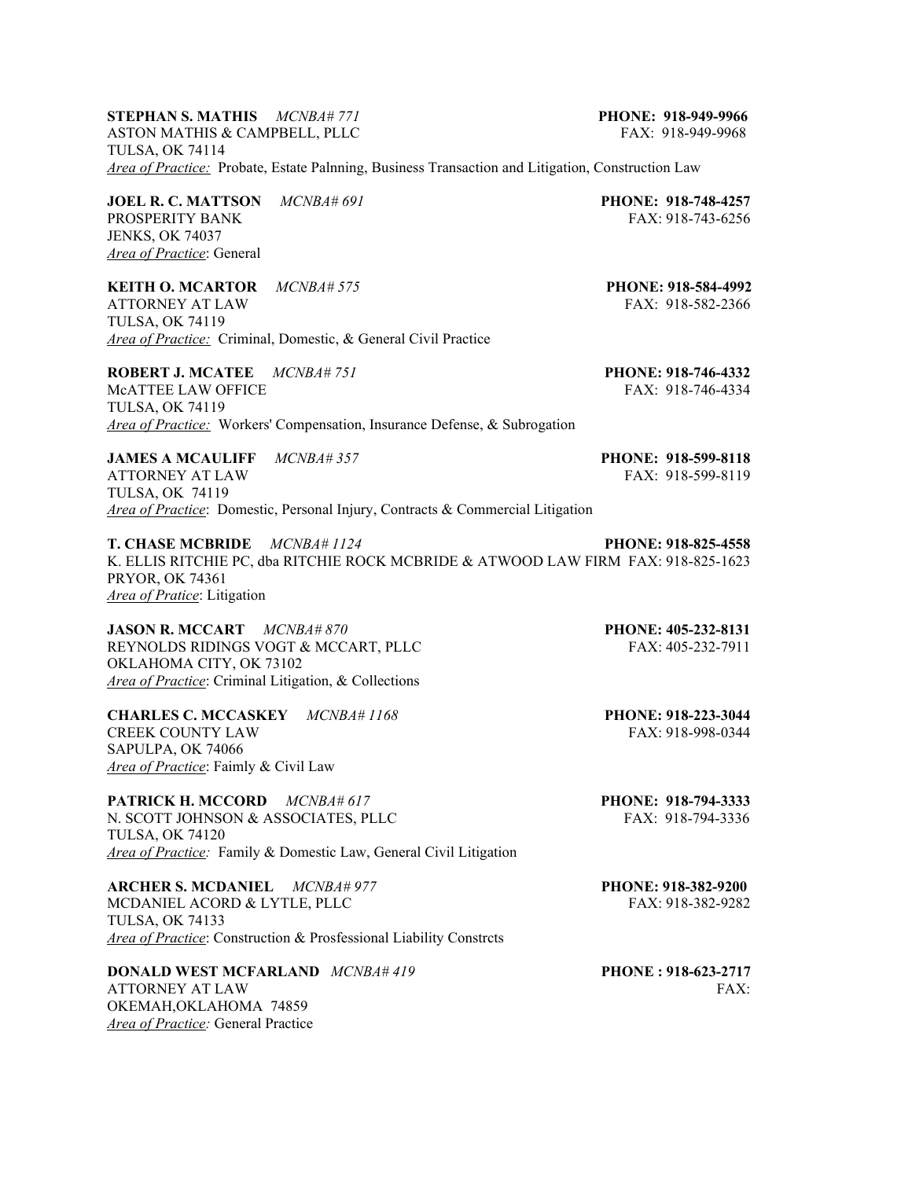## **STEPHAN S. MATHIS** *MCNBA# 771* **PHONE: 918-949-9966** ASTON MATHIS & CAMPBELL, PLLC FAX: 918-949-9968 TULSA, OK 74114 *Area of Practice:* Probate, Estate Palnning, Business Transaction and Litigation, Construction Law

**JOEL R. C. MATTSON** *MCNBA# 691* **PHONE: 918-748-4257 PROSPERITY BANK** *PHONE: 918-743-6256* PROSPERITY BANK JENKS, OK 74037 *Area of Practice*: General

**KEITH O. MCARTOR** *MCNBA# 575* **PHONE: 918-584-4992**  ATTORNEY AT LAW FAX: 918-582-2366 TULSA, OK 74119 *Area of Practice:* Criminal, Domestic, & General Civil Practice

**ROBERT J. MCATEE** *MCNBA# 751* **PHONE: 918-746-4332** McATTEE LAW OFFICE THE SERVICE SERVICE SERVICE SERVICE SERVICE SERVICE SERVICE SERVICE SERVICE SERVICE SERVICE TULSA, OK 74119 *Area of Practice:* Workers' Compensation, Insurance Defense, & Subrogation

**JAMES A MCAULIFF** *MCNBA# 357* **PHONE: 918-599-8118**  ATTORNEY AT LAW FAX: 918-599-8119 TULSA, OK 74119 *Area of Practice*: Domestic, Personal Injury, Contracts & Commercial Litigation

**T. CHASE MCBRIDE** *MCNBA# 1124* **PHONE: 918-825-4558** K. ELLIS RITCHIE PC, dba RITCHIE ROCK MCBRIDE & ATWOOD LAW FIRM FAX: 918-825-1623 PRYOR, OK 74361 *Area of Pratice*: Litigation

**JASON R. MCCART** *MCNBA# 870* **PHONE: 405-232-8131**  REYNOLDS RIDINGS VOGT & MCCART, PLLC OKLAHOMA CITY, OK 73102 *Area of Practice*: Criminal Litigation, & Collections

**CHARLES C. MCCASKEY** *MCNBA# 1168* **PHONE: 918-223-3044** CREEK COUNTY LAW SAPULPA, OK 74066 *Area of Practice*: Faimly & Civil Law

**PATRICK H. MCCORD** *MCNBA# 617* **PHONE: 918-794-3333** N. SCOTT JOHNSON & ASSOCIATES, PLLC FAX: 918-794-3336 TULSA, OK 74120 *Area of Practice:* Family & Domestic Law, General Civil Litigation

**ARCHER S. MCDANIEL** *MCNBA# 977* **PHONE: 918-382-9200**  MCDANIEL ACORD & LYTLE, PLLC FAX: 918-382-9282 TULSA, OK 74133 *Area of Practice*: Construction & Prosfessional Liability Constrcts

**DONALD WEST MCFARLAND** *MCNBA# 419* **PHONE : 918-623-2717**  ATTORNEY AT LAW FAX: OKEMAH,OKLAHOMA 74859 *Area of Practice:* General Practice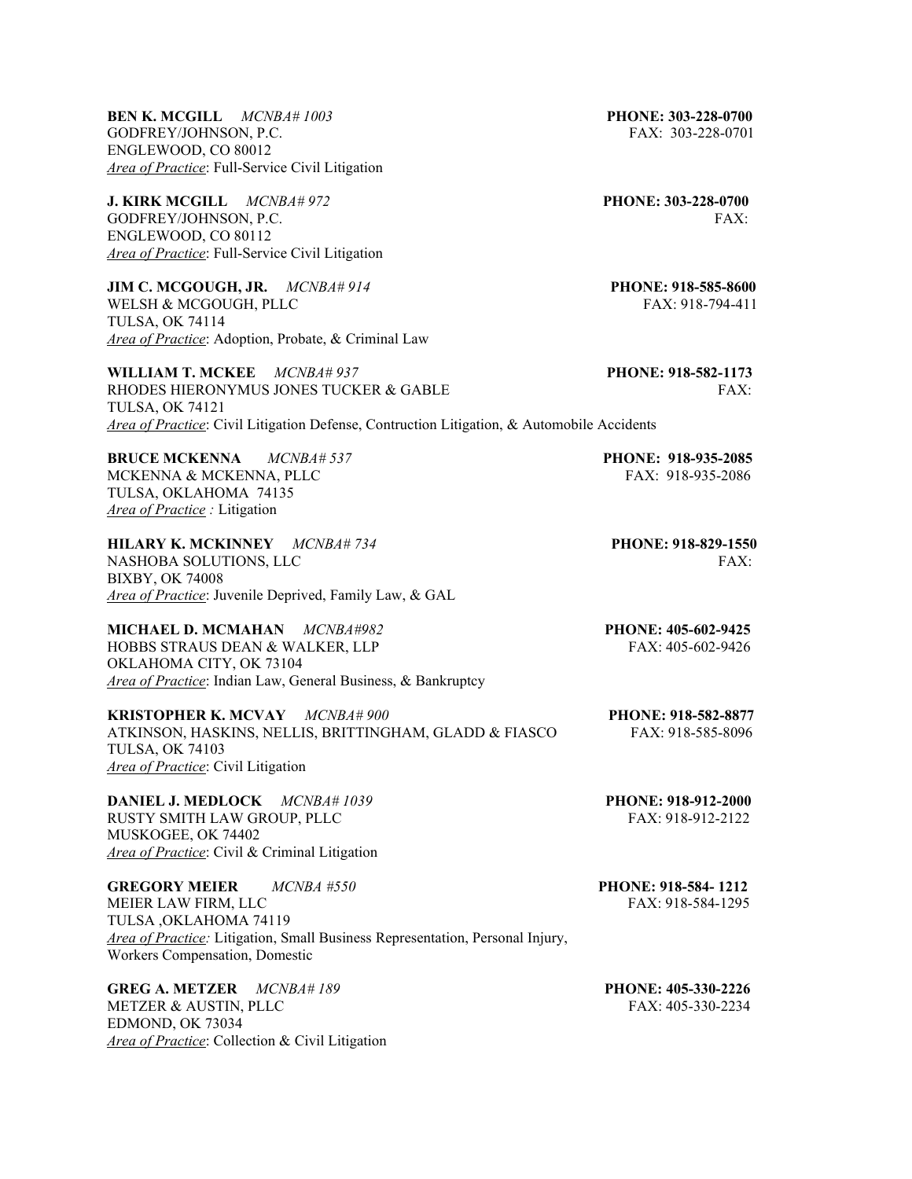**BEN K. MCGILL** *MCNBA# 1003* **PHONE: 303-228-0700**  GODFREY/JOHNSON, P.C. FAX: 303-228-0701 ENGLEWOOD, CO 80012 *Area of Practice*: Full-Service Civil Litigation

**J. KIRK MCGILL** *MCNBA# 972* **PHONE: 303-228-0700** GODFREY/JOHNSON, P.C. FAX: ENGLEWOOD, CO 80112 *Area of Practice*: Full-Service Civil Litigation

**JIM C. MCGOUGH, JR.** *MCNBA# 914* **PHONE: 918-585-8600** WELSH & MCGOUGH, PLLC FAX: 918-794-411 TULSA, OK 74114 *Area of Practice*: Adoption, Probate, & Criminal Law

**WILLIAM T. MCKEE** *MCNBA# 937* **PHONE: 918-582-1173**  RHODES HIERONYMUS JONES TUCKER & GABLE FAX: TULSA, OK 74121 *Area of Practice*: Civil Litigation Defense, Contruction Litigation, & Automobile Accidents

**BRUCE MCKENNA** *MCNBA# 537* **PHONE: 918-935-2085**  MCKENNA & MCKENNA, PLLC TULSA, OKLAHOMA 74135 *Area of Practice :* Litigation

**HILARY K. MCKINNEY** *MCNBA# 734* **PHONE: 918-829-1550**  NASHOBA SOLUTIONS, LLC FAX: BIXBY, OK 74008 *Area of Practice*: Juvenile Deprived, Family Law, & GAL

**MICHAEL D. MCMAHAN** *MCNBA#982* **PHONE: 405-602-9425**<br>HOBBS STRAUS DEAN & WALKER, LLP FAX: 405-602-9426 HOBBS STRAUS DEAN & WALKER, LLP OKLAHOMA CITY, OK 73104 *Area of Practice*: Indian Law, General Business, & Bankruptcy

**KRISTOPHER K. MCVAY** *MCNBA# 900* **PHONE: 918-582-8877**  ATKINSON, HASKINS, NELLIS, BRITTINGHAM, GLADD & FIASCO FAX: 918-585-8096 TULSA, OK 74103 *Area of Practice*: Civil Litigation

**DANIEL J. MEDLOCK** *MCNBA# 1039* **PHONE: 918-912-2000** RUSTY SMITH LAW GROUP, PLLC FAX: 918-912-2122 MUSKOGEE, OK 74402 *Area of Practice*: Civil & Criminal Litigation

**GREGORY MEIER** *MCNBA #550* **PHONE: 918-584- 1212**  MEIER LAW FIRM, LLC FAX: 918-584-1295 TULSA ,OKLAHOMA 74119 *Area of Practice:* Litigation, Small Business Representation, Personal Injury, Workers Compensation, Domestic

**GREG A. METZER** *MCNBA# 189* **PHONE: 405-330-2226** METZER & AUSTIN, PLLC FAX: 405-330-2234 EDMOND, OK 73034 *Area of Practice*: Collection & Civil Litigation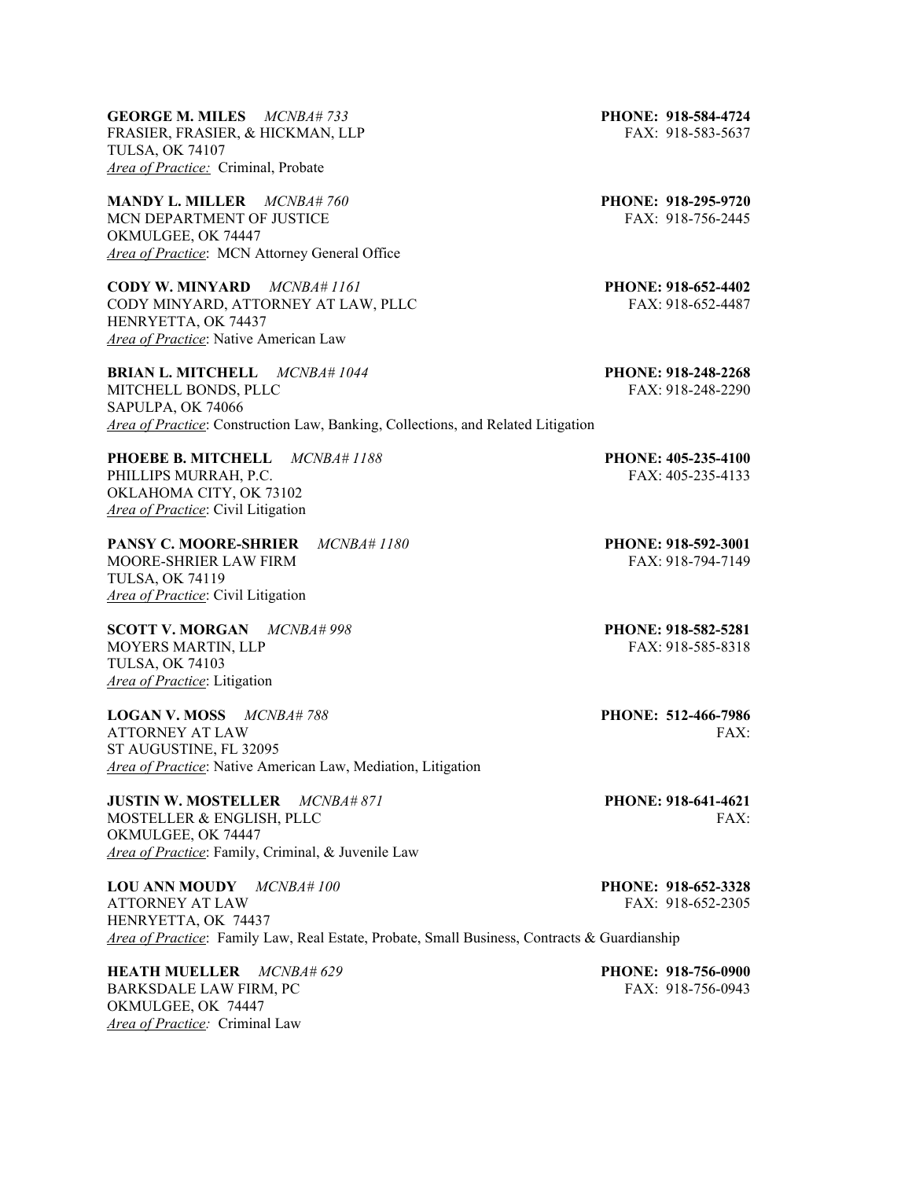**GEORGE M. MILES** *MCNBA# 733* **PHONE: 918-584-4724** FRASIER, FRASIER, & HICKMAN, LLP FAX: 918-583-5637 TULSA, OK 74107 *Area of Practice:* Criminal, Probate

**MANDY L. MILLER** *MCNBA# 760* **PHONE: 918-295-9720**  MCN DEPARTMENT OF JUSTICE FAX: 918-756-2445 OKMULGEE, OK 74447 *Area of Practice*: MCN Attorney General Office

**CODY W. MINYARD** *MCNBA# 1161* **PHONE: 918-652-4402** CODY MINYARD, ATTORNEY AT LAW, PLLC FAX: 918-652-4487 HENRYETTA, OK 74437 *Area of Practice*: Native American Law

**BRIAN L. MITCHELL** *MCNBA# 1044* **PHONE: 918-248-2268** MITCHELL BONDS, PLLC FAX: 918-248-2290 SAPULPA, OK 74066 *Area of Practice*: Construction Law, Banking, Collections, and Related Litigation

**PHOEBE B. MITCHELL** *MCNBA# 1188* **PHONE: 405-235-4100** PHILLIPS MURRAH, P.C. THE EXECUTION OF THE EXECUTION OF THE EXECUTION OF THE EXECUTION OF THE EXECUTION OF THE EXECUTION OF THE EXECUTION OF THE EXECUTION OF THE EXECUTION OF THE EXECUTION OF THE EXECUTION OF THE EXECUTION OKLAHOMA CITY, OK 73102 *Area of Practice*: Civil Litigation

**PANSY C. MOORE-SHRIER** *MCNBA# 1180* **PHONE: 918-592-3001** MOORE-SHRIER LAW FIRM FAX: 918-794-7149 TULSA, OK 74119 *Area of Practice*: Civil Litigation

**SCOTT V. MORGAN** *MCNBA# 998* **PHONE: 918-582-5281** MOYERS MARTIN, LLP FAX: 918-585-8318 TULSA, OK 74103 *Area of Practice*: Litigation

**LOGAN V. MOSS** *MCNBA# 788* **PHONE: 512-466-7986**  ATTORNEY AT LAW FAX: ST AUGUSTINE, FL 32095 *Area of Practice*: Native American Law, Mediation, Litigation

**JUSTIN W. MOSTELLER** *MCNBA# 871* **PHONE: 918-641-4621**  MOSTELLER & ENGLISH, PLLC FAX: FAX: OKMULGEE, OK 74447 *Area of Practice*: Family, Criminal, & Juvenile Law

**LOU ANN MOUDY** *MCNBA# 100* **PHONE: 918-652-3328** ATTORNEY AT LAW FAX: 918-652-2305 HENRYETTA, OK 74437 *Area of Practice*: Family Law, Real Estate, Probate, Small Business, Contracts & Guardianship

**HEATH MUELLER** *MCNBA# 629* **PHONE: 918-756-0900**<br>BARKSDALE LAW FIRM, PC **PHONE: 918-756-0943** BARKSDALE LAW FIRM, PC OKMULGEE, OK 74447 *Area of Practice:* Criminal Law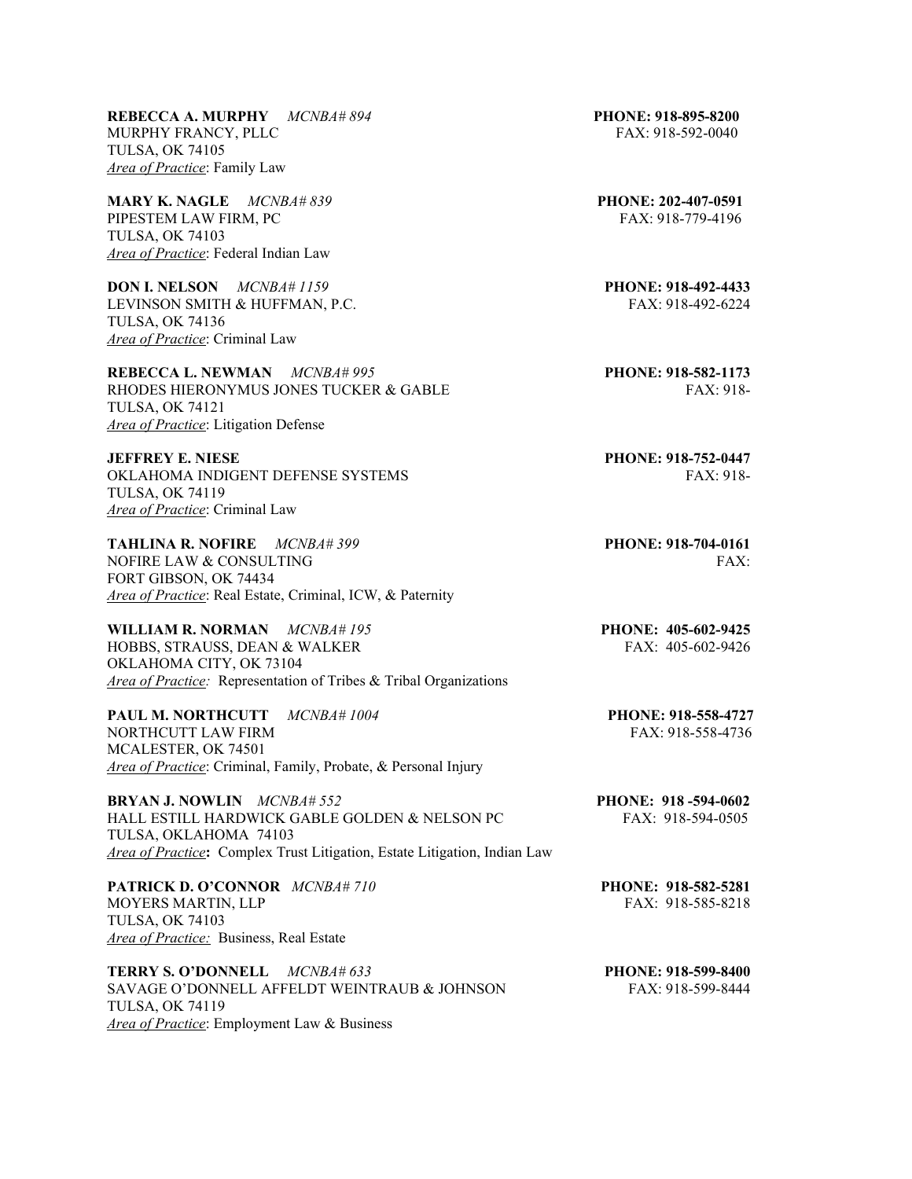**REBECCA A. MURPHY** *MCNBA# 894* **PHONE: 918-895-8200** MURPHY FRANCY, PLLC FAX: 918-592-0040 TULSA, OK 74105 *Area of Practice*: Family Law

**MARY K. NAGLE** *MCNBA# 839* **PHONE: 202-407-0591**  PIPESTEM LAW FIRM, PC FAX: 918-779-4196 TULSA, OK 74103 *Area of Practice*: Federal Indian Law

**DON I. NELSON** *MCNBA# 1159* **PHONE: 918-492-4433** LEVINSON SMITH & HUFFMAN, P.C. FAX: 918-492-6224 TULSA, OK 74136 *Area of Practice*: Criminal Law

**REBECCA L. NEWMAN** *MCNBA# 995* **PHONE: 918-582-1173**  RHODES HIERONYMUS JONES TUCKER & GABLE FAX: 918-TULSA, OK 74121 *Area of Practice*: Litigation Defense

**JEFFREY E. NIESE PHONE: 918-752-0447** OKLAHOMA INDIGENT DEFENSE SYSTEMS FAX: 918-TULSA, OK 74119 *Area of Practice*: Criminal Law

**TAHLINA R. NOFIRE** *MCNBA# 399* **PHONE: 918-704-0161**  NOFIRE LAW & CONSULTING FAX: FORT GIBSON, OK 74434 *Area of Practice*: Real Estate, Criminal, ICW, & Paternity

**WILLIAM R. NORMAN** *MCNBA# 195* **PHONE: 405-602-9425 PHONE: 405-602-9425 PHONE: 405-602-9426** HOBBS, STRAUSS, DEAN & WALKER OKLAHOMA CITY, OK 73104 *Area of Practice:* Representation of Tribes & Tribal Organizations

**PAUL M. NORTHCUTT** *MCNBA# 1004* **PHONE: 918-558-4727** NORTHCUTT LAW FIRM FAX: 918-558-4736 MCALESTER, OK 74501 *Area of Practice*: Criminal, Family, Probate, & Personal Injury

**BRYAN J. NOWLIN** *MCNBA# 552* **PHONE: 918 -594-0602**  HALL ESTILL HARDWICK GABLE GOLDEN & NELSON PC FAX: 918-594-0505 TULSA, OKLAHOMA 74103 *Area of Practice***:** Complex Trust Litigation, Estate Litigation, Indian Law

**PATRICK D. O'CONNOR** *MCNBA# 710* **PHONE: 918-582-5281** MOYERS MARTIN, LLP FAX: 918-585-8218 TULSA, OK 74103 *Area of Practice:* Business, Real Estate

**TERRY S. O'DONNELL** *MCNBA# 633* **PHONE: 918-599-8400** SAVAGE O'DONNELL AFFELDT WEINTRAUB & JOHNSON FAX: 918-599-8444 TULSA, OK 74119 *Area of Practice*: Employment Law & Business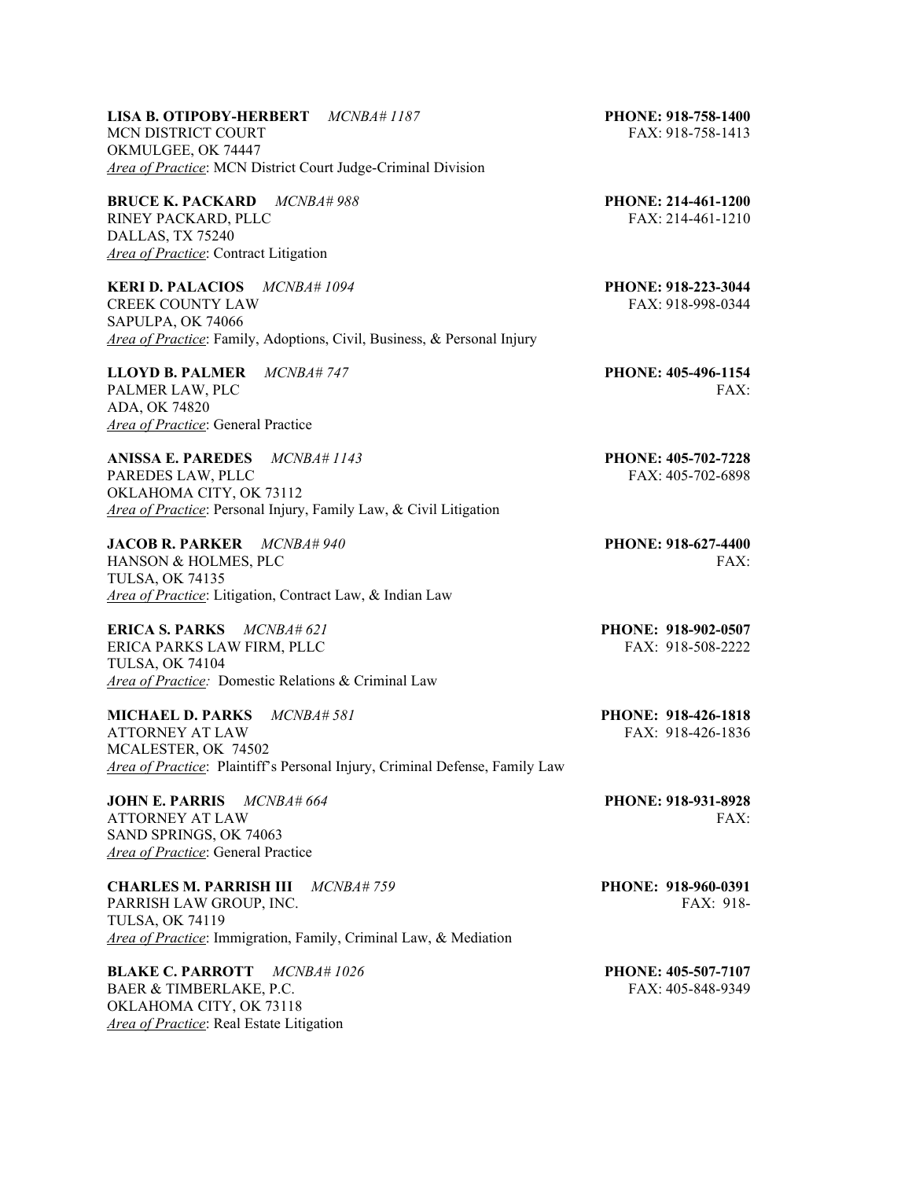**LISA B. OTIPOBY-HERBERT** *MCNBA# 1187* **PHONE: 918-758-1400** MCN DISTRICT COURT FAX: 918-758-1413 OKMULGEE, OK 74447 *Area of Practice*: MCN District Court Judge-Criminal Division

**BRUCE K. PACKARD** *MCNBA# 988* **PHONE: 214-461-1200**  RINEY PACKARD, PLLC FAX: 214-461-1210 DALLAS, TX 75240 *Area of Practice*: Contract Litigation

**KERI D. PALACIOS** *MCNBA# 1094* **PHONE: 918-223-3044** CREEK COUNTY LAW FAX: 918-998-0344 SAPULPA, OK 74066 *Area of Practice*: Family, Adoptions, Civil, Business, & Personal Injury

**LLOYD B. PALMER** *MCNBA# 747* **PHONE: 405-496-1154** PALMER LAW, PLC FAX: ADA, OK 74820 *Area of Practice*: General Practice

**ANISSA E. PAREDES** *MCNBA# 1143* **PHONE: 405-702-7228** PAREDES LAW, PLLC FAX: 405-702-6898 OKLAHOMA CITY, OK 73112 *Area of Practice*: Personal Injury, Family Law, & Civil Litigation

**JACOB R. PARKER** *MCNBA# 940* **PHONE: 918-627-4400** HANSON & HOLMES, PLC FAX: TULSA, OK 74135 *Area of Practice*: Litigation, Contract Law, & Indian Law

**ERICA S. PARKS** *MCNBA# 621* **PHONE: 918-902-0507**  ERICA PARKS LAW FIRM, PLLC FAX: 918-508-2222 TULSA, OK 74104 *Area of Practice:* Domestic Relations & Criminal Law

**MICHAEL D. PARKS** *MCNBA# 581* **PHONE: 918-426-1818** ATTORNEY AT LAW MCALESTER, OK 74502 *Area of Practice*: Plaintiff's Personal Injury, Criminal Defense, Family Law

**JOHN E. PARRIS** *MCNBA# 664* **PHONE: 918-931-8928** ATTORNEY AT LAW FAX: SAND SPRINGS, OK 74063 *Area of Practice*: General Practice

**CHARLES M. PARRISH III** *MCNBA# 759* **PHONE: 918-960-0391** PARRISH LAW GROUP, INC. The contract of the contract of the state of the state of the state of the state of the state of the state of the state of the state of the state of the state of the state of the state of the state TULSA, OK 74119 *Area of Practice*: Immigration, Family, Criminal Law, & Mediation

**BLAKE C. PARROTT** *MCNBA# 1026* **PHONE: 405-507-7107** BAER & TIMBERLAKE, P.C. FAX: 405-848-9349 OKLAHOMA CITY, OK 73118 *Area of Practice*: Real Estate Litigation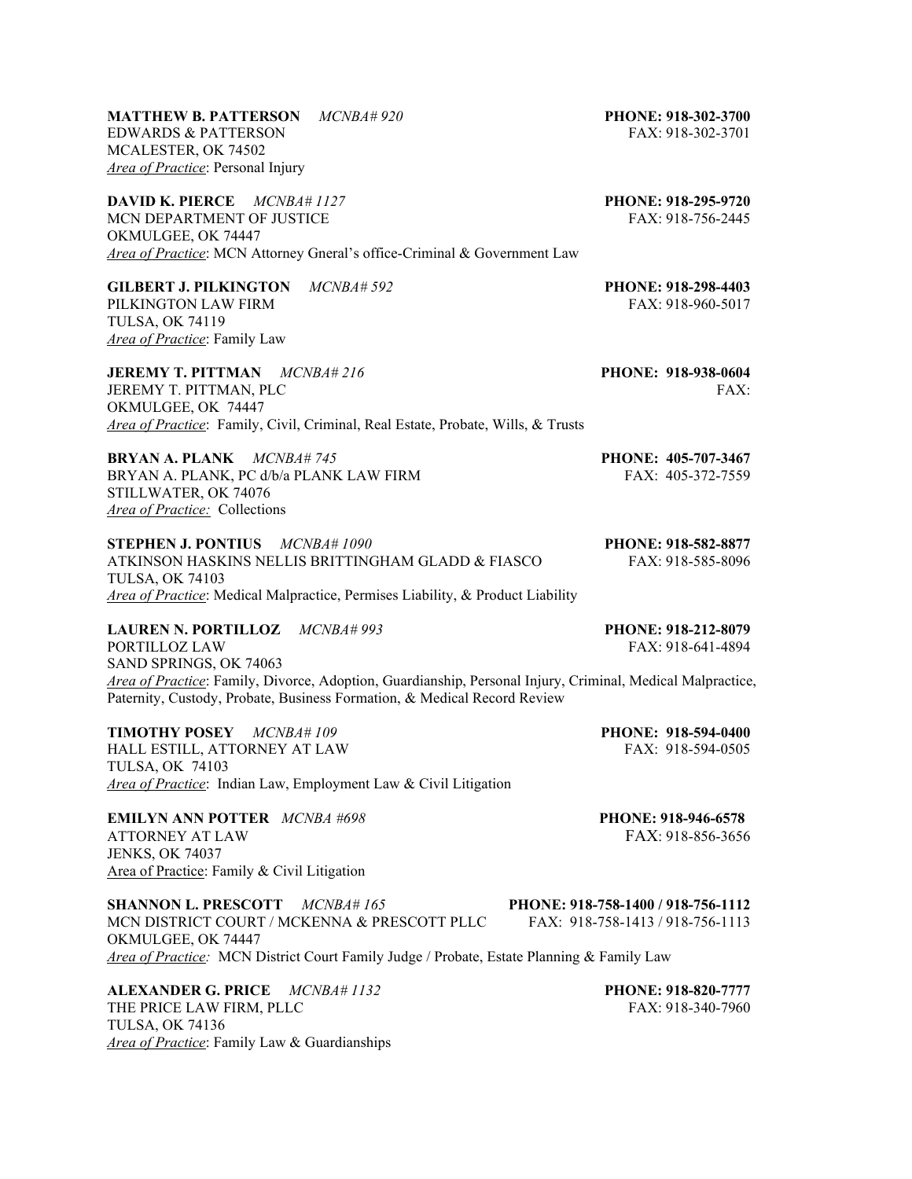| <b>EDWARDS &amp; PATTERSON</b>                                                                             | FAX: 918-302-3701                  |
|------------------------------------------------------------------------------------------------------------|------------------------------------|
| MCALESTER, OK 74502                                                                                        |                                    |
| <b>Area of Practice: Personal Injury</b>                                                                   |                                    |
| <b>DAVID K. PIERCE</b><br>MCNBA#1127                                                                       | PHONE: 918-295-9720                |
| MCN DEPARTMENT OF JUSTICE                                                                                  | FAX: 918-756-2445                  |
| OKMULGEE, OK 74447                                                                                         |                                    |
| Area of Practice: MCN Attorney Gneral's office-Criminal & Government Law                                   |                                    |
| <b>GILBERT J. PILKINGTON</b><br>$MCNBA\#592$                                                               | PHONE: 918-298-4403                |
| PILKINGTON LAW FIRM                                                                                        | FAX: 918-960-5017                  |
| <b>TULSA, OK 74119</b>                                                                                     |                                    |
| Area of Practice: Family Law                                                                               |                                    |
| <b>JEREMY T. PITTMAN</b> MCNBA# 216                                                                        | PHONE: 918-938-0604                |
| JEREMY T. PITTMAN, PLC                                                                                     | FAX:                               |
| OKMULGEE, OK 74447                                                                                         |                                    |
| Area of Practice: Family, Civil, Criminal, Real Estate, Probate, Wills, & Trusts                           |                                    |
| <b>BRYAN A. PLANK</b> MCNBA#745                                                                            | PHONE: 405-707-3467                |
| BRYAN A. PLANK, PC d/b/a PLANK LAW FIRM                                                                    | FAX: 405-372-7559                  |
| STILLWATER, OK 74076                                                                                       |                                    |
| Area of Practice: Collections                                                                              |                                    |
| <b>STEPHEN J. PONTIUS</b> MCNBA# 1090                                                                      | PHONE: 918-582-8877                |
| ATKINSON HASKINS NELLIS BRITTINGHAM GLADD & FIASCO                                                         | FAX: 918-585-8096                  |
| <b>TULSA, OK 74103</b>                                                                                     |                                    |
| Area of Practice: Medical Malpractice, Permises Liability, & Product Liability                             |                                    |
| <b>LAUREN N. PORTILLOZ</b><br>$MCNBA\#993$                                                                 | PHONE: 918-212-8079                |
| PORTILLOZ LAW                                                                                              | FAX: 918-641-4894                  |
| SAND SPRINGS, OK 74063                                                                                     |                                    |
| Area of Practice: Family, Divorce, Adoption, Guardianship, Personal Injury, Criminal, Medical Malpractice, |                                    |
| Paternity, Custody, Probate, Business Formation, & Medical Record Review                                   |                                    |
| <b>TIMOTHY POSEY</b><br>MCNBA#109                                                                          | PHONE: 918-594-0400                |
| HALL ESTILL, ATTORNEY AT LAW                                                                               | FAX: 918-594-0505                  |
| <b>TULSA, OK 74103</b>                                                                                     |                                    |
| Area of Practice: Indian Law, Employment Law & Civil Litigation                                            |                                    |
| <b>EMILYN ANN POTTER</b> MCNBA #698                                                                        | PHONE: 918-946-6578                |
| <b>ATTORNEY AT LAW</b>                                                                                     | FAX: 918-856-3656                  |
| <b>JENKS, OK 74037</b>                                                                                     |                                    |
| Area of Practice: Family & Civil Litigation                                                                |                                    |
| <b>SHANNON L. PRESCOTT</b><br>$MCNB4\#165$                                                                 | PHONE: 918-758-1400 / 918-756-1112 |
| MCN DISTRICT COURT / MCKENNA & PRESCOTT PLLC                                                               | FAX: 918-758-1413/918-756-1113     |
| OKMULGEE, OK 74447                                                                                         |                                    |
| Area of Practice: MCN District Court Family Judge / Probate, Estate Planning & Family Law                  |                                    |
| <b>ALEXANDER G. PRICE</b><br>MCNBA#1132                                                                    | PHONE: 918-820-7777                |
| THE PRICE LAW FIRM, PLLC                                                                                   | FAX: 918-340-7960                  |

TULSA, OK 74136

*Area of Practice*: Family Law & Guardianships

**MATTHEW B. PATTERSON** *MCNBA# 920* **PHONE: 918-302-3700**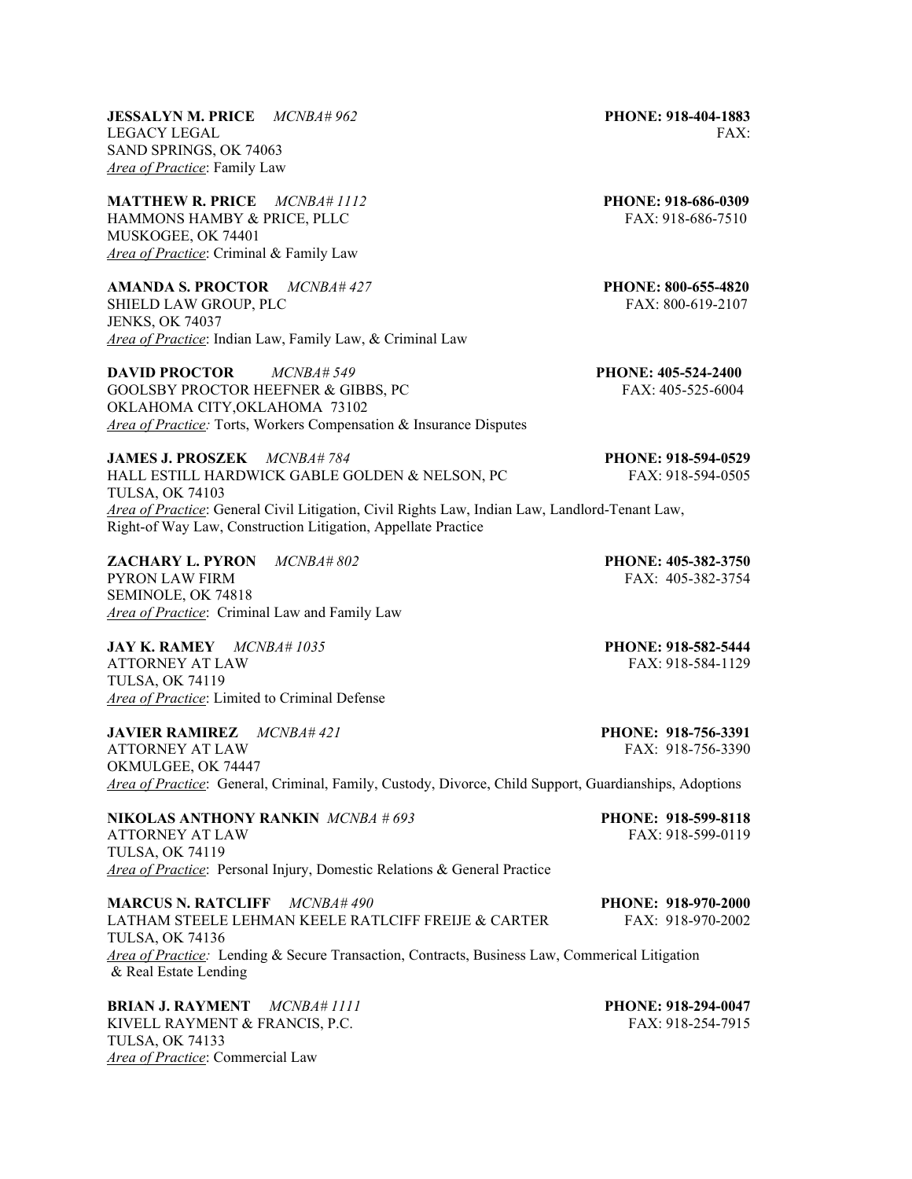**JESSALYN M. PRICE** *MCNBA# 962* **PHONE: 918-404-1883**  LEGACY LEGAL FAX: SAND SPRINGS, OK 74063 *Area of Practice*: Family Law

**MATTHEW R. PRICE** *MCNBA# 1112* **PHONE: 918-686-0309** HAMMONS HAMBY & PRICE, PLLC FAX: 918-686-7510 MUSKOGEE, OK 74401 *Area of Practice*: Criminal & Family Law

**AMANDA S. PROCTOR** *MCNBA# 427* **PHONE: 800-655-4820** SHIELD LAW GROUP, PLC FAX: 800-619-2107 JENKS, OK 74037 *Area of Practice*: Indian Law, Family Law, & Criminal Law

**DAVID PROCTOR** *MCNBA# 549* **PHONE: 405-524-2400**  GOOLSBY PROCTOR HEEFNER & GIBBS, PC FAX: 405-525-6004 OKLAHOMA CITY,OKLAHOMA 73102 *Area of Practice:* Torts, Workers Compensation & Insurance Disputes

**JAMES J. PROSZEK** *MCNBA# 784* **PHONE: 918-594-0529**  HALL ESTILL HARDWICK GABLE GOLDEN & NELSON, PC FAX: 918-594-0505 TULSA, OK 74103 *Area of Practice*: General Civil Litigation, Civil Rights Law, Indian Law, Landlord-Tenant Law, Right-of Way Law, Construction Litigation, Appellate Practice

**ZACHARY L. PYRON** *MCNBA# 802* **PHONE: 405-382-3750**  PYRON LAW FIRM FAX: 405-382-3754 SEMINOLE, OK 74818 *Area of Practice*: Criminal Law and Family Law

**JAY K. RAMEY** *MCNBA# 1035* **PHONE: 918-582-5444** ATTORNEY AT LAW FAX: 918-584-1129 TULSA, OK 74119 *Area of Practice*: Limited to Criminal Defense

**JAVIER RAMIREZ** *MCNBA# 421* **PHONE: 918-756-3391** ATTORNEY AT LAW FAX: 918-756-3390 OKMULGEE, OK 74447 *Area of Practice*: General, Criminal, Family, Custody, Divorce, Child Support, Guardianships, Adoptions

**NIKOLAS ANTHONY RANKIN** *MCNBA # 693* **PHONE: 918-599-8118**  ATTORNEY AT LAW TULSA, OK 74119 *Area of Practice*: Personal Injury, Domestic Relations & General Practice

**MARCUS N. RATCLIFF** *MCNBA# 490* **PHONE: 918-970-2000**  LATHAM STEELE LEHMAN KEELE RATLCIFF FREIJE & CARTER FAX: 918-970-2002 TULSA, OK 74136 *Area of Practice:* Lending & Secure Transaction, Contracts, Business Law, Commerical Litigation & Real Estate Lending

**BRIAN J. RAYMENT** *MCNBA# 1111* **PHONE: 918-294-0047** KIVELL RAYMENT & FRANCIS, P.C. FAX: 918-254-7915 TULSA, OK 74133 *Area of Practice*: Commercial Law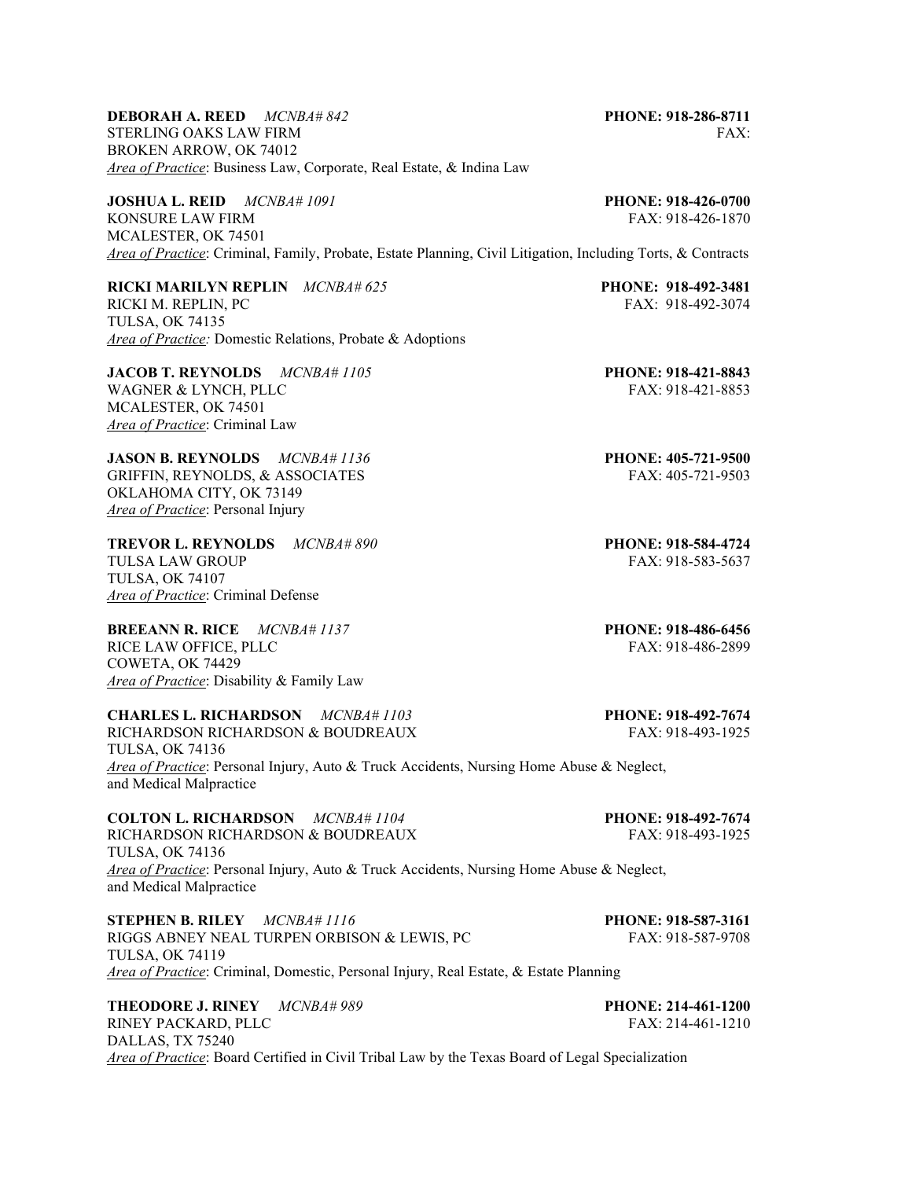**DEBORAH A. REED** *MCNBA# 842* **PHONE: 918-286-8711** STERLING OAKS LAW FIRM FAX: THE STERLING OAKS LAW FIRM BROKEN ARROW, OK 74012 *Area of Practice*: Business Law, Corporate, Real Estate, & Indina Law

**JOSHUA L. REID** *MCNBA# 1091* **PHONE: 918-426-0700** KONSURE LAW FIRM FAX: 918-426-1870 MCALESTER, OK 74501 *Area of Practice*: Criminal, Family, Probate, Estate Planning, Civil Litigation, Including Torts, & Contracts

**RICKI MARILYN REPLIN** *MCNBA# 625* **PHONE: 918-492-3481** RICKI M. REPLIN, PC FAX: 918-492-3074 TULSA, OK 74135 *Area of Practice:* Domestic Relations, Probate & Adoptions

**JACOB T. REYNOLDS** *MCNBA# 1105* **PHONE: 918-421-8843** WAGNER & LYNCH, PLLC FAX: 918-421-8853 MCALESTER, OK 74501 *Area of Practice*: Criminal Law

**JASON B. REYNOLDS** *MCNBA# 1136* **PHONE: 405-721-9500**  GRIFFIN, REYNOLDS, & ASSOCIATES FAX: 405-721-9503 OKLAHOMA CITY, OK 73149 *Area of Practice*: Personal Injury

**TREVOR L. REYNOLDS** *MCNBA# 890* **PHONE: 918-584-4724** TULSA LAW GROUP FAX: 918-583-5637 TULSA, OK 74107 *Area of Practice*: Criminal Defense

RICE LAW OFFICE, PLLC FAX: 918-486-2899 COWETA, OK 74429 *Area of Practice*: Disability & Family Law

**CHARLES L. RICHARDSON** *MCNBA# 1103* **PHONE: 918-492-7674** RICHARDSON RICHARDSON & BOUDREAUX FAX: 918-493-1925 TULSA, OK 74136 *Area of Practice*: Personal Injury, Auto & Truck Accidents, Nursing Home Abuse & Neglect, and Medical Malpractice

**COLTON L. RICHARDSON** *MCNBA# 1104* **PHONE: 918-492-7674** RICHARDSON RICHARDSON & BOUDREAUX TULSA, OK 74136 *Area of Practice*: Personal Injury, Auto & Truck Accidents, Nursing Home Abuse & Neglect, and Medical Malpractice

**STEPHEN B. RILEY**  $MCNBA# 1116$  **PHONE: 918-587-3161**<br>**RIGGS ABNEY NEAL TURPEN ORBISON & LEWIS. PC** FAX: 918-587-9708 RIGGS ABNEY NEAL TURPEN ORBISON & LEWIS, PC TULSA, OK 74119 *Area of Practice*: Criminal, Domestic, Personal Injury, Real Estate, & Estate Planning

**THEODORE J. RINEY** *MCNBA# 989* **PHONE: 214-461-1200**  RINEY PACKARD, PLLC FAX: 214-461-1210 DALLAS, TX 75240 *Area of Practice*: Board Certified in Civil Tribal Law by the Texas Board of Legal Specialization

**BREEANN R. RICE** *MCNBA# 1137* **PHONE: 918-486-6456**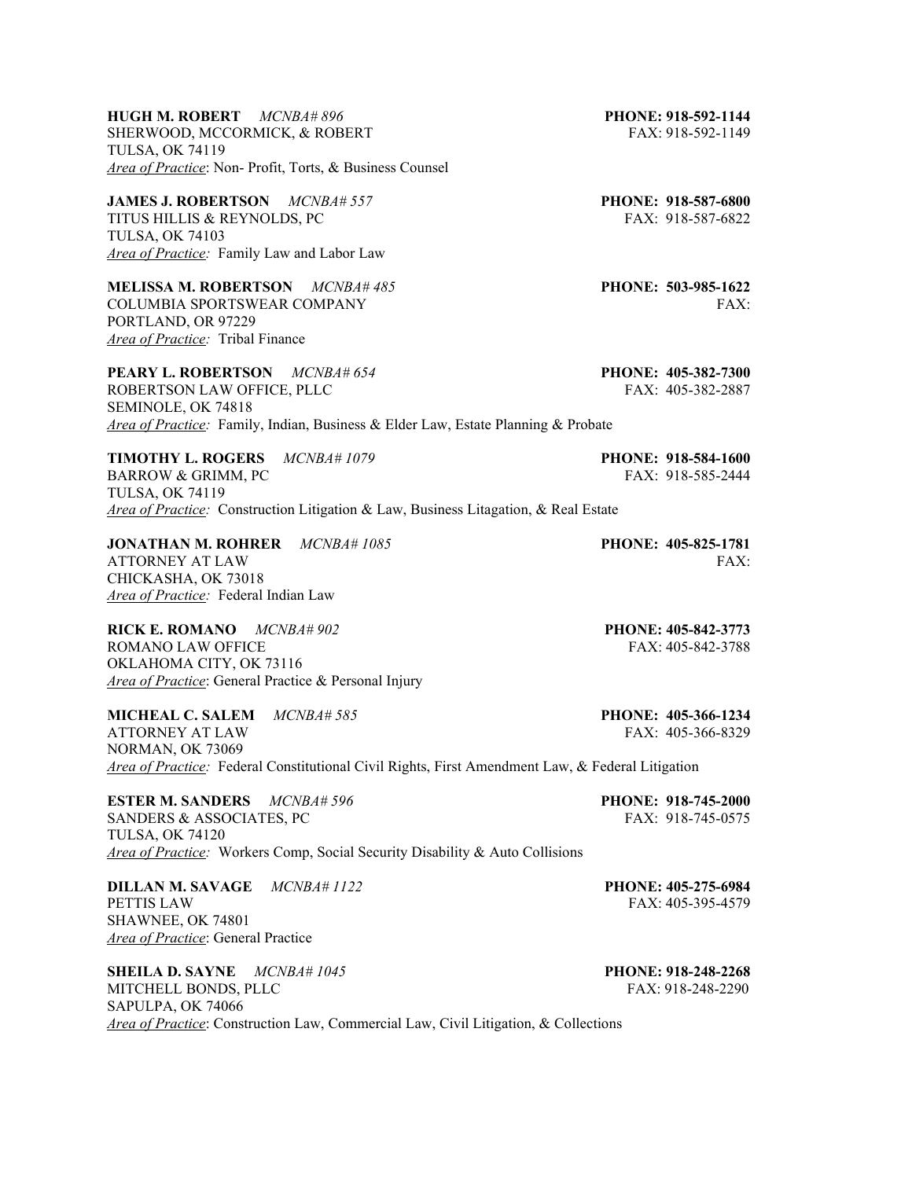**HUGH M. ROBERT** *MCNBA# 896* **PHONE: 918-592-1144**  SHERWOOD, MCCORMICK, & ROBERT FAX: 918-592-1149 TULSA, OK 74119 *Area of Practice*: Non- Profit, Torts, & Business Counsel

**JAMES J. ROBERTSON** *MCNBA# 557* **PHONE: 918-587-6800**  TITUS HILLIS & REYNOLDS, PC
FAX: 918-587-6822
FAX: 918-587-6822
FAX: 918-587-6822
FAX: 918-587-6822
FAX: 918-587-6822
FAX: 918-587-6822
FAX: 918-587-6822
FAX: 918-587-6822
FAX: 918-587-6822
FAX: 918-587-6822
FAX: 918-587-6 TULSA, OK 74103 *Area of Practice:* Family Law and Labor Law

**MELISSA M. ROBERTSON** *MCNBA# 485* **PHONE: 503-985-1622** COLUMBIA SPORTSWEAR COMPANY FAX: PORTLAND, OR 97229 *Area of Practice:* Tribal Finance

**PEARY L. ROBERTSON** *MCNBA# 654* **PHONE: 405-382-7300**  ROBERTSON LAW OFFICE, PLLC FAX: 405-382-2887 SEMINOLE, OK 74818 *Area of Practice:* Family, Indian, Business & Elder Law, Estate Planning & Probate

**TIMOTHY L. ROGERS** *MCNBA# 1079* **PHONE: 918-584-1600**  BARROW & GRIMM, PC FAX: 918-585-2444 TULSA, OK 74119 *Area of Practice:* Construction Litigation & Law, Business Litagation, & Real Estate

**JONATHAN M. ROHRER** *MCNBA# 1085* **PHONE: 405-825-1781**  ATTORNEY AT LAW FAX: CHICKASHA, OK 73018 *Area of Practice:* Federal Indian Law

**RICK E. ROMANO** *MCNBA# 902* **PHONE: 405-842-3773**  ROMANO LAW OFFICE THE ROMANO LAW OFFICE THE ROMANO LAW OFFICE OKLAHOMA CITY, OK 73116 *Area of Practice*: General Practice & Personal Injury

**MICHEAL C. SALEM** *MCNBA# 585* **PHONE: 405-366-1234** ATTORNEY AT LAW NORMAN, OK 73069 *Area of Practice:* Federal Constitutional Civil Rights, First Amendment Law, & Federal Litigation

**ESTER M. SANDERS** *MCNBA# 596* **PHONE: 918-745-2000** SANDERS & ASSOCIATES, PC FAX: 918-745-0575 TULSA, OK 74120 *Area of Practice:* Workers Comp, Social Security Disability & Auto Collisions

**DILLAN M. SAVAGE** *MCNBA# 1122* **PHONE: 405-275-6984**  PETTIS LAW FAX: 405-395-4579 SHAWNEE, OK 74801 *Area of Practice*: General Practice

**SHEILA D. SAYNE** *MCNBA# 1045* **PHONE: 918-248-2268** MITCHELL BONDS, PLLC FAX: 918-248-2290 SAPULPA, OK 74066 *Area of Practice*: Construction Law, Commercial Law, Civil Litigation, & Collections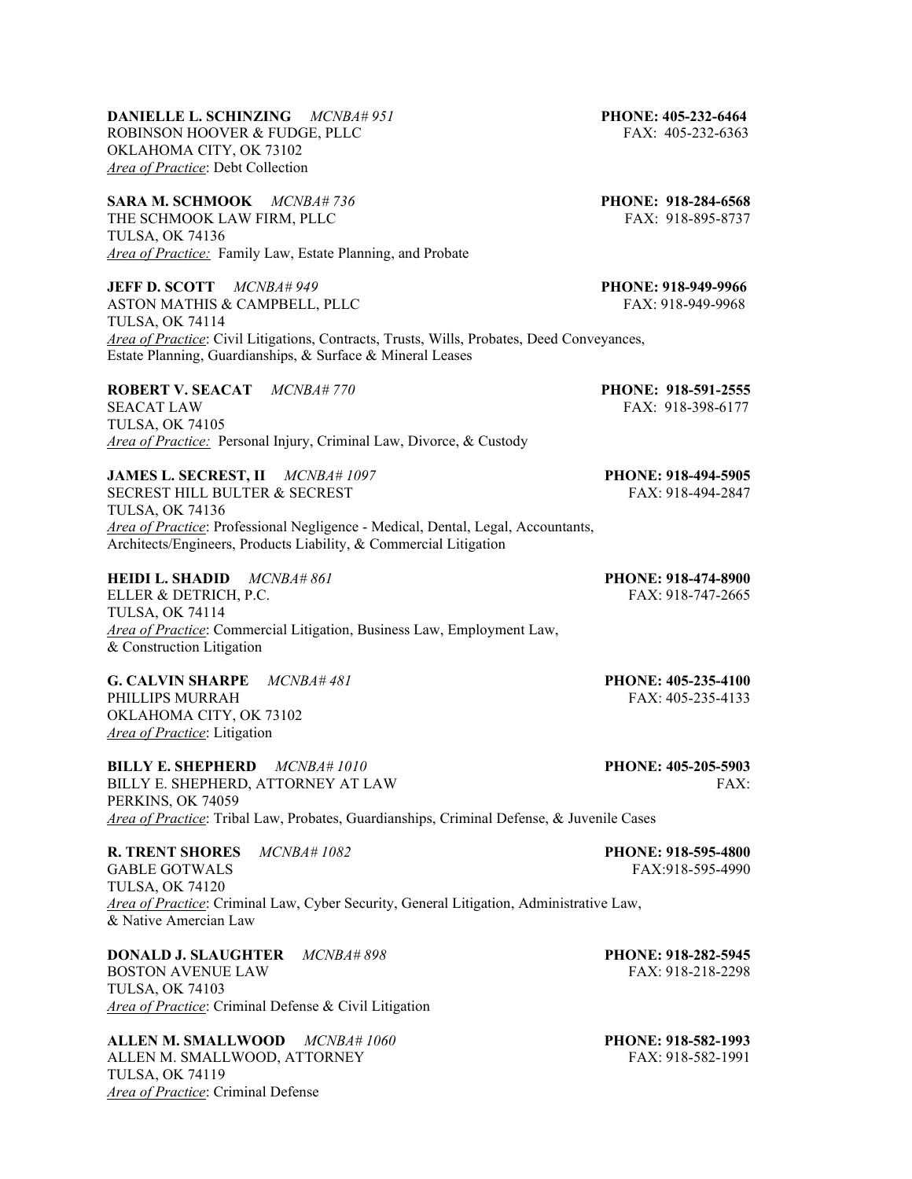| <b>ROBERT V. SEACAT</b> MCNBA#770<br>SEACAT LAW<br><b>TULSA, OK 74105</b><br>Area of Practice: Personal Injury, Criminal Law, Divorce, & Custody                                                                                                    | PHONE: 918-591-2555<br>FAX: 918-398-6177 |
|-----------------------------------------------------------------------------------------------------------------------------------------------------------------------------------------------------------------------------------------------------|------------------------------------------|
| <b>JAMES L. SECREST, II</b> MCNBA#1097<br>SECREST HILL BULTER & SECREST<br>TULSA, OK 74136<br>Area of Practice: Professional Negligence - Medical, Dental, Legal, Accountants,<br>Architects/Engineers, Products Liability, & Commercial Litigation | PHONE: 918-494-5905<br>FAX: 918-494-2847 |
| <b>HEIDI L. SHADID</b> MCNBA#861<br>ELLER & DETRICH, P.C.<br><b>TULSA, OK 74114</b><br>Area of Practice: Commercial Litigation, Business Law, Employment Law,<br>& Construction Litigation                                                          | PHONE: 918-474-8900<br>FAX: 918-747-2665 |
| G. CALVIN SHARPE MCNBA#481<br>PHILLIPS MURRAH<br>OKLAHOMA CITY, OK 73102<br>Area of Practice: Litigation                                                                                                                                            | PHONE: 405-235-4100<br>FAX: 405-235-4133 |
| <b>BILLY E. SHEPHERD</b> MCNBA#1010<br>BILLY E. SHEPHERD, ATTORNEY AT LAW<br>PERKINS, OK 74059<br>Area of Practice: Tribal Law, Probates, Guardianships, Criminal Defense, & Juvenile Cases                                                         | PHONE: 405-205-5903<br>FAX:              |

**JEFF D. SCOTT** *MCNBA# 949* **PHONE: 918-949-9966** ASTON MATHIS & CAMPBELL, PLLC FAX: 918-949-9968 TULSA, OK 74114

*Area of Practice*: Civil Litigations, Contracts, Trusts, Wills, Probates, Deed Conveyances, Estate Planning, Guardianships, & Surface & Mineral Leases

**DANIELLE L. SCHINZING** *MCNBA# 951* **PHONE: 405-232-6464** ROBINSON HOOVER & FUDGE, PLLC FAX: 405-232-6363

*Area of Practice:* Family Law, Estate Planning, and Probate

OKLAHOMA CITY, OK 73102 *Area of Practice*: Debt Collection

TULSA, OK 74136

THE SCHMOOK LAW FIRM, PLLC

**R. TRENT SHORES** *MCNBA# 1082* **PHONE: 918-595-4800** GABLE GOTWALS FAX:918-595-4990 TULSA, OK 74120 *Area of Practice*: Criminal Law, Cyber Security, General Litigation, Administrative Law, & Native Amercian Law

**DONALD J. SLAUGHTER** *MCNBA# 898* **PHONE: 918-282-5945**  BOSTON AVENUE LAW FAX: 918-218-2298 TULSA, OK 74103 *Area of Practice*: Criminal Defense & Civil Litigation

**ALLEN M. SMALLWOOD** *MCNBA# 1060* **PHONE: 918-582-1993**  ALLEN M. SMALLWOOD, ATTORNEY FAX: 918-582-1991 TULSA, OK 74119 *Area of Practice*: Criminal Defense

**SARA M. SCHMOOK**  $MCNBA# 736$  **PHONE: 918-284-6568 PHONE: 918-284-6568 PHONE: 918-284-6568**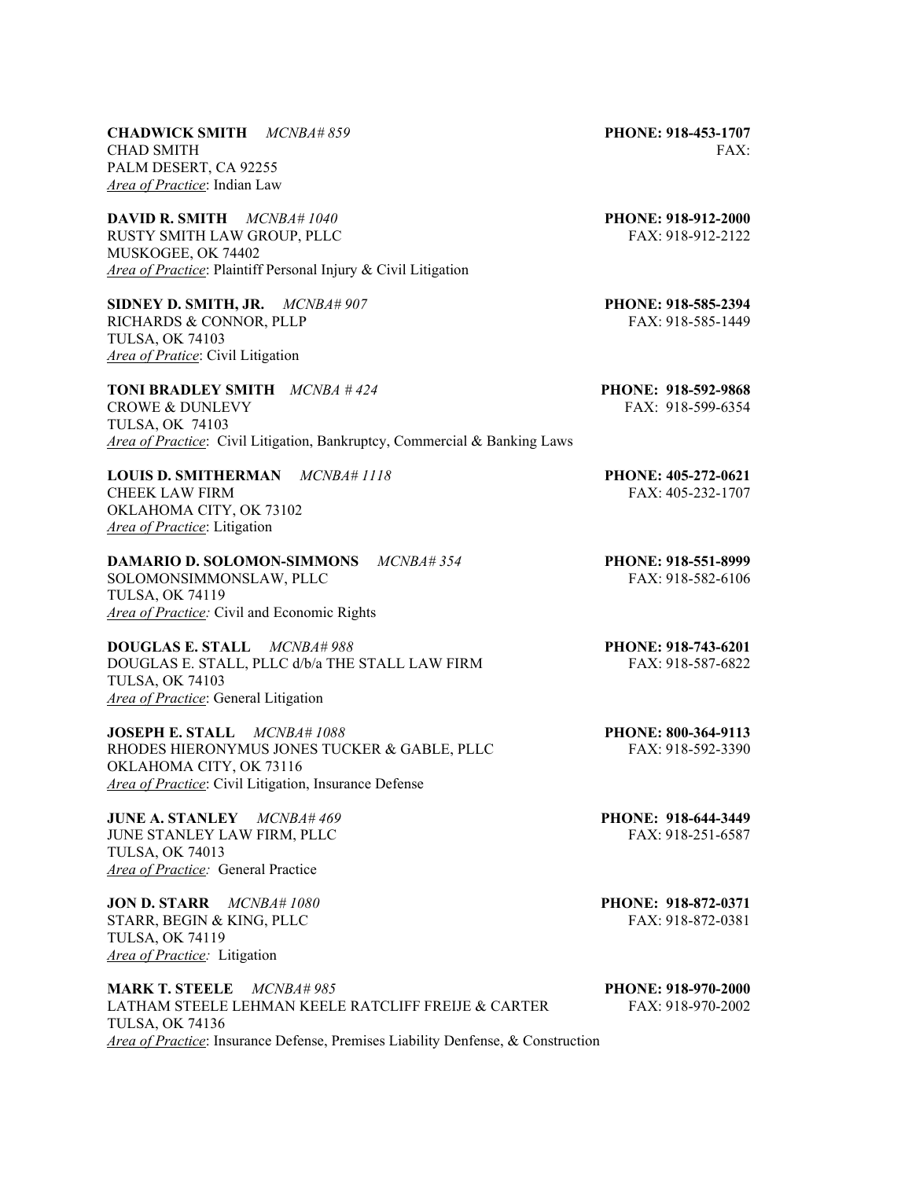**CHADWICK SMITH** *MCNBA# 859* **PHONE: 918-453-1707** CHAD SMITH FAX: PALM DESERT, CA 92255 *Area of Practice*: Indian Law

**DAVID R. SMITH** *MCNBA# 1040* **PHONE: 918-912-2000** RUSTY SMITH LAW GROUP, PLLC FAX: 918-912-2122 MUSKOGEE, OK 74402 *Area of Practice*: Plaintiff Personal Injury & Civil Litigation

**SIDNEY D. SMITH, JR.**  $MCNBA#907$ <br>**RICHARDS & CONNOR, PLLP PHONE: 918-585-2394**<br>**FAX: 918-585-1449** RICHARDS & CONNOR, PLLP TULSA, OK 74103 *Area of Pratice*: Civil Litigation

**TONI BRADLEY SMITH** *MCNBA # 424* **PHONE: 918-592-9868**  CROWE & DUNLEVY **FAX: 918-599-6354** TULSA, OK 74103 *Area of Practice*: Civil Litigation, Bankruptcy, Commercial & Banking Laws

**LOUIS D. SMITHERMAN** *MCNBA# 1118* **PHONE: 405-272-0621** CHEEK LAW FIRM FAX: 405-232-1707 OKLAHOMA CITY, OK 73102 *Area of Practice*: Litigation

**DAMARIO D. SOLOMON-SIMMONS** *MCNBA# 354* **PHONE: 918-551-8999**  SOLOMONSIMMONSLAW, PLLC FAX: 918-582-6106

TULSA, OK 74119 *Area of Practice:* Civil and Economic Rights

**DOUGLAS E. STALL** *MCNBA# 988* **PHONE: 918-743-6201**  DOUGLAS E. STALL, PLLC d/b/a THE STALL LAW FIRM FAX: 918-587-6822 TULSA, OK 74103 *Area of Practice*: General Litigation

**JOSEPH E. STALL** *MCNBA# 1088* **PHONE: 800-364-9113** RHODES HIERONYMUS JONES TUCKER & GABLE, PLLC FAX: 918-592-3390 OKLAHOMA CITY, OK 73116 *Area of Practice*: Civil Litigation, Insurance Defense

**JUNE A. STANLEY** *MCNBA# 469* **PHONE: 918-644-3449**  JUNE STANLEY LAW FIRM, PLLC TULSA, OK 74013 *Area of Practice:* General Practice

**JON D. STARR** *MCNBA# 1080* **PHONE: 918-872-0371** STARR, BEGIN & KING, PLLC FAX: 918-872-0381 TULSA, OK 74119 *Area of Practice:* Litigation

**MARK T. STEELE** *MCNBA# 985* **PHONE: 918-970-2000**  LATHAM STEELE LEHMAN KEELE RATCLIFF FREIJE & CARTER FAX: 918-970-2002 TULSA, OK 74136 *Area of Practice*: Insurance Defense, Premises Liability Denfense, & Construction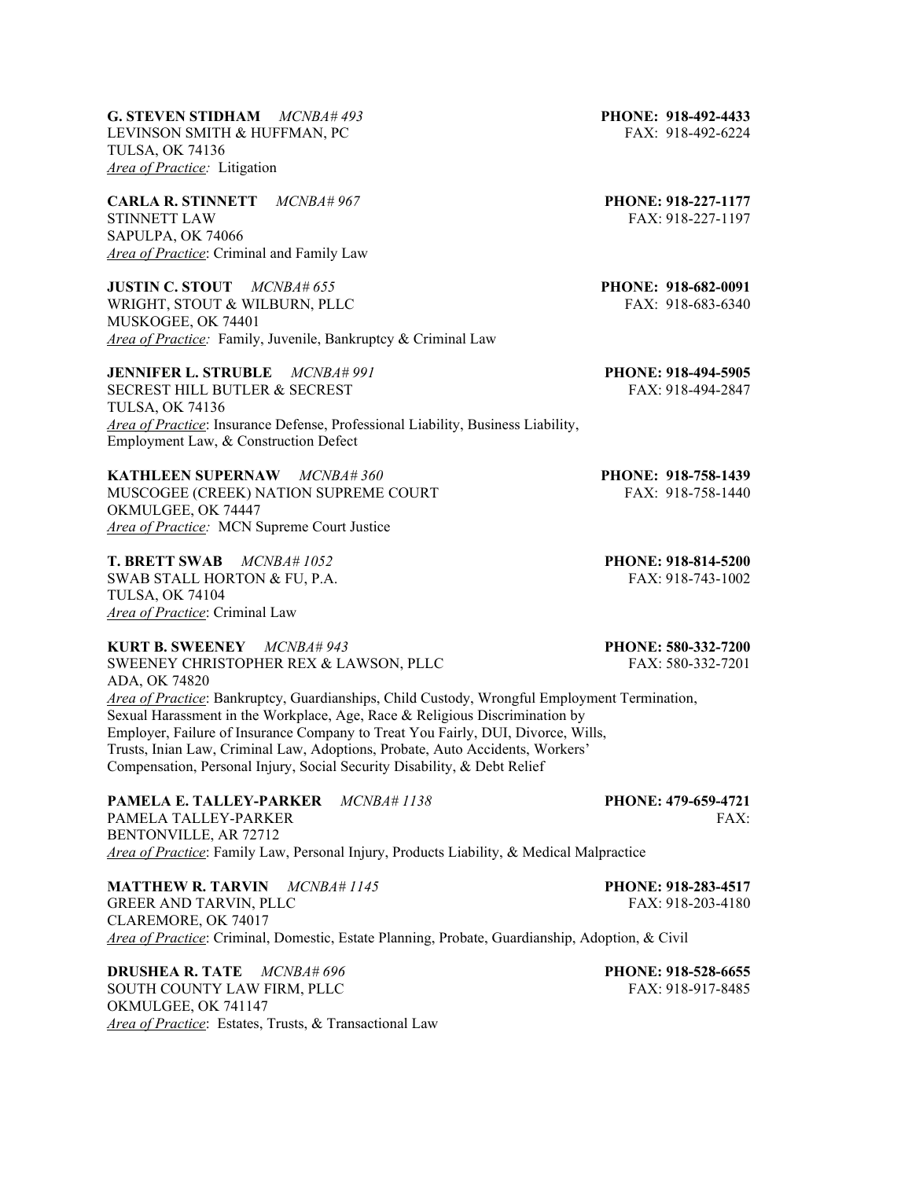**G. STEVEN STIDHAM** *MCNBA# 493* **PHONE: 918-492-4433** LEVINSON SMITH & HUFFMAN, PC FAX: 918-492-6224 TULSA, OK 74136 *Area of Practice:* Litigation

**CARLA R. STINNETT** *MCNBA# 967* **PHONE: 918-227-1177**  STINNETT LAW FAX: 918-227-1197 SAPULPA, OK 74066 *Area of Practice*: Criminal and Family Law

**JUSTIN C. STOUT** *MCNBA# 655* **PHONE: 918-682-0091**  WRIGHT, STOUT & WILBURN, PLLC FAX: 918-683-6340 MUSKOGEE, OK 74401 *Area of Practice:* Family, Juvenile, Bankruptcy & Criminal Law

**JENNIFER L. STRUBLE** *MCNBA# 991* **PHONE: 918-494-5905** SECREST HILL BUTLER & SECREST FAX: 918-494-2847 TULSA, OK 74136 *Area of Practice*: Insurance Defense, Professional Liability, Business Liability, Employment Law, & Construction Defect

**KATHLEEN SUPERNAW** *MCNBA# 360* **PHONE: 918-758-1439**  MUSCOGEE (CREEK) NATION SUPREME COURT FAX: 918-758-1440 OKMULGEE, OK 74447 *Area of Practice:* MCN Supreme Court Justice

**T. BRETT SWAB** *MCNBA# 1052* **PHONE: 918-814-5200** SWAB STALL HORTON & FU, P.A. FAX: 918-743-1002 TULSA, OK 74104 *Area of Practice*: Criminal Law

**KURT B. SWEENEY** *MCNBA# 943* **PHONE: 580-332-7200** SWEENEY CHRISTOPHER REX & LAWSON, PLLC FAX: 580-332-7201 ADA, OK 74820 *Area of Practice*: Bankruptcy, Guardianships, Child Custody, Wrongful Employment Termination, Sexual Harassment in the Workplace, Age, Race & Religious Discrimination by Employer, Failure of Insurance Company to Treat You Fairly, DUI, Divorce, Wills, Trusts, Inian Law, Criminal Law, Adoptions, Probate, Auto Accidents, Workers' Compensation, Personal Injury, Social Security Disability, & Debt Relief

**PAMELA E. TALLEY-PARKER** *MCNBA# 1138* **PHONE: 479-659-4721**  PAMELA TALLEY-PARKER FAX: FAX: BENTONVILLE, AR 72712 *Area of Practice*: Family Law, Personal Injury, Products Liability, & Medical Malpractice

**MATTHEW R. TARVIN** *MCNBA# 1145* **PHONE: 918-283-4517** GREER AND TARVIN, PLLC FAX: 918-203-4180 CLAREMORE, OK 74017 *Area of Practice*: Criminal, Domestic, Estate Planning, Probate, Guardianship, Adoption, & Civil

**DRUSHEA R. TATE** *MCNBA# 696* **PHONE: 918-528-6655 PHONE: 918-528-6655 PHONE: 918-917-8485** SOUTH COUNTY LAW FIRM, PLLC OKMULGEE, OK 741147 *Area of Practice*: Estates, Trusts, & Transactional Law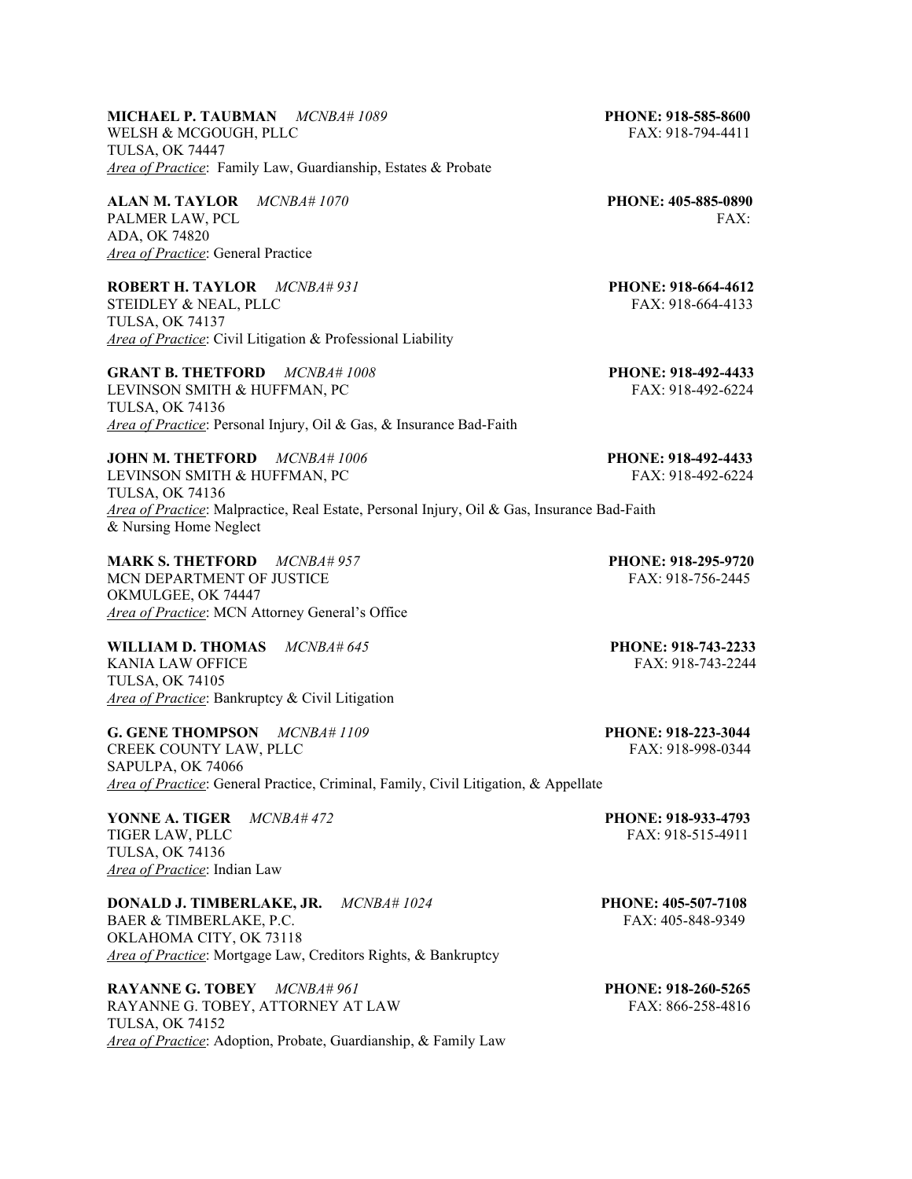## **MICHAEL P. TAUBMAN** *MCNBA# 1089* **PHONE: 918-585-8600** WELSH & MCGOUGH, PLLC FAX: 918-794-4411 TULSA, OK 74447 *Area of Practice*: Family Law, Guardianship, Estates & Probate

**ALAN M. TAYLOR** *MCNBA# 1070* **PHONE: 405-885-0890** PALMER LAW, PCL FAX: ADA, OK 74820 *Area of Practice*: General Practice

**ROBERT H. TAYLOR** *MCNBA# 931* **PHONE: 918-664-4612**  STEIDLEY & NEAL, PLLC FAX: 918-664-4133 TULSA, OK 74137 *Area of Practice*: Civil Litigation & Professional Liability

**GRANT B. THETFORD** *MCNBA# 1008* **PHONE: 918-492-4433** LEVINSON SMITH & HUFFMAN, PC FAX: 918-492-6224 TULSA, OK 74136 *Area of Practice*: Personal Injury, Oil & Gas, & Insurance Bad-Faith

**JOHN M. THETFORD** *MCNBA# 1006* **PHONE: 918-492-4433**  LEVINSON SMITH & HUFFMAN, PC FAX: 918-492-6224 TULSA, OK 74136 *Area of Practice*: Malpractice, Real Estate, Personal Injury, Oil & Gas, Insurance Bad-Faith & Nursing Home Neglect

**MARK S. THETFORD** *MCNBA# 957* **PHONE: 918-295-9720** MCN DEPARTMENT OF JUSTICE THE SERVE OF STRAINING STRAX: 918-756-2445 OKMULGEE, OK 74447 *Area of Practice*: MCN Attorney General's Office

**WILLIAM D. THOMAS** *MCNBA# 645* **PHONE: 918-743-2233** KANIA LAW OFFICE THE RESERVE OF THE RESERVE OF THE RESERVE OF THE RESERVE OF THE RESERVE OF THE RESERVE OF THE RESERVE OF THE RESERVE OF THE RESERVE OF THE RESERVE OF THE RESERVE OF THE RESERVE OF THE RESERVE OF THE RESERV TULSA, OK 74105 *Area of Practice*: Bankruptcy & Civil Litigation

**G. GENE THOMPSON** *MCNBA# 1109* **PHONE: 918-223-3044** CREEK COUNTY LAW, PLLC FAX: 918-998-0344 SAPULPA, OK 74066 *Area of Practice*: General Practice, Criminal, Family, Civil Litigation, & Appellate

**YONNE A. TIGER**  $MCNBA#472$  **PHONE: 918-933-4793**<br>TIGER LAW. PLLC **PHONE: 918-515-4911** TIGER LAW, PLLC TULSA, OK 74136 *Area of Practice*: Indian Law

**DONALD J. TIMBERLAKE, JR.** *MCNBA# 1024* **PHONE: 405-507-7108**  BAER & TIMBERLAKE, P.C. FAX: 405-848-9349 OKLAHOMA CITY, OK 73118 *Area of Practice*: Mortgage Law, Creditors Rights, & Bankruptcy

**RAYANNE G. TOBEY** *MCNBA# 961* **PHONE: 918-260-5265**  RAYANNE G. TOBEY, ATTORNEY AT LAW FAX: 866-258-4816 TULSA, OK 74152 *Area of Practice*: Adoption, Probate, Guardianship, & Family Law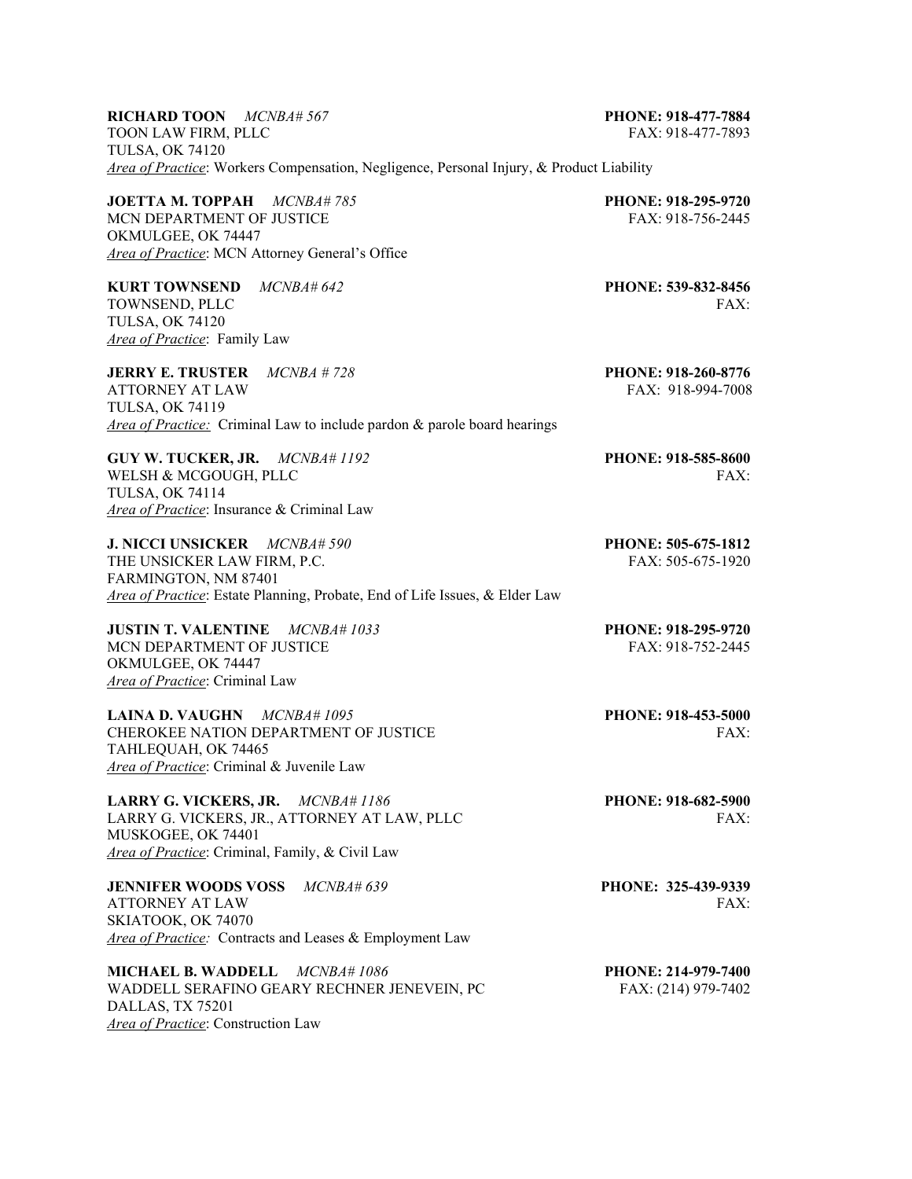| <b>RICHARD TOON</b> $MCNBA# 567$                                                         | PHONE: 918-477-7884        |
|------------------------------------------------------------------------------------------|----------------------------|
| TOON LAW FIRM, PLLC<br><b>TULSA, OK 74120</b>                                            | FAX: 918-477-7893          |
| Area of Practice: Workers Compensation, Negligence, Personal Injury, & Product Liability |                            |
| JOETTA M. TOPPAH MCNBA#785                                                               | PHONE: 918-295-9720        |
| MCN DEPARTMENT OF JUSTICE                                                                | FAX: 918-756-2445          |
| OKMULGEE, OK 74447                                                                       |                            |
| Area of Practice: MCN Attorney General's Office                                          |                            |
| <b>KURT TOWNSEND</b> $MCNBA\#642$                                                        | <b>PHONE: 539-832-8456</b> |
| TOWNSEND, PLLC                                                                           | FAX:                       |
| <b>TULSA, OK 74120</b>                                                                   |                            |
| Area of Practice: Family Law                                                             |                            |
| <b>JERRY E. TRUSTER</b><br><i>MCNBA # 728</i>                                            | PHONE: 918-260-8776        |
| <b>ATTORNEY AT LAW</b>                                                                   | FAX: 918-994-7008          |
| <b>TULSA, OK 74119</b>                                                                   |                            |
| <i>Area of Practice:</i> Criminal Law to include pardon & parole board hearings          |                            |
| GUY W. TUCKER, JR. MCNBA# 1192                                                           | PHONE: 918-585-8600        |
| WELSH & MCGOUGH, PLLC                                                                    | FAX:                       |
| <b>TULSA, OK 74114</b>                                                                   |                            |
| Area of Practice: Insurance & Criminal Law                                               |                            |
| <b>J. NICCI UNSICKER</b><br>$MCNBA\#590$                                                 | PHONE: 505-675-1812        |
| THE UNSICKER LAW FIRM, P.C.                                                              | $FAX: 505-675-1920$        |
| FARMINGTON, NM 87401                                                                     |                            |
| Area of Practice: Estate Planning, Probate, End of Life Issues, & Elder Law              |                            |
| <b>JUSTIN T. VALENTINE</b><br>MCNBA#1033                                                 | PHONE: 918-295-9720        |

MCN DEPARTMENT OF JUSTICE FAX: 918-752-2445 OKMULGEE, OK 74447 *Area of Practice*: Criminal Law

**LAINA D. VAUGHN** *MCNBA# 1095* **PHONE: 918-453-5000 PHONE: 918-453-5000** *PHONE: 918-453-5000* CHEROKEE NATION DEPARTMENT OF JUSTICE TAHLEQUAH, OK 74465 *Area of Practice*: Criminal & Juvenile Law

**LARRY G. VICKERS, JR.** *MCNBA# 1186* **PHONE: 918-682-5900** LARRY G. VICKERS, JR., ATTORNEY AT LAW, PLLC FAX: MUSKOGEE, OK 74401 *Area of Practice*: Criminal, Family, & Civil Law

**JENNIFER WOODS VOSS** *MCNBA# 639* **PHONE: 325-439-9339** ATTORNEY AT LAW FAX: SKIATOOK, OK 74070 *Area of Practice:* Contracts and Leases & Employment Law

**MICHAEL B. WADDELL** *MCNBA# 1086* **PHONE: 214-979-7400** WADDELL SERAFINO GEARY RECHNER JENEVEIN, PC FAX: (214) 979-7402 DALLAS, TX 75201 *Area of Practice*: Construction Law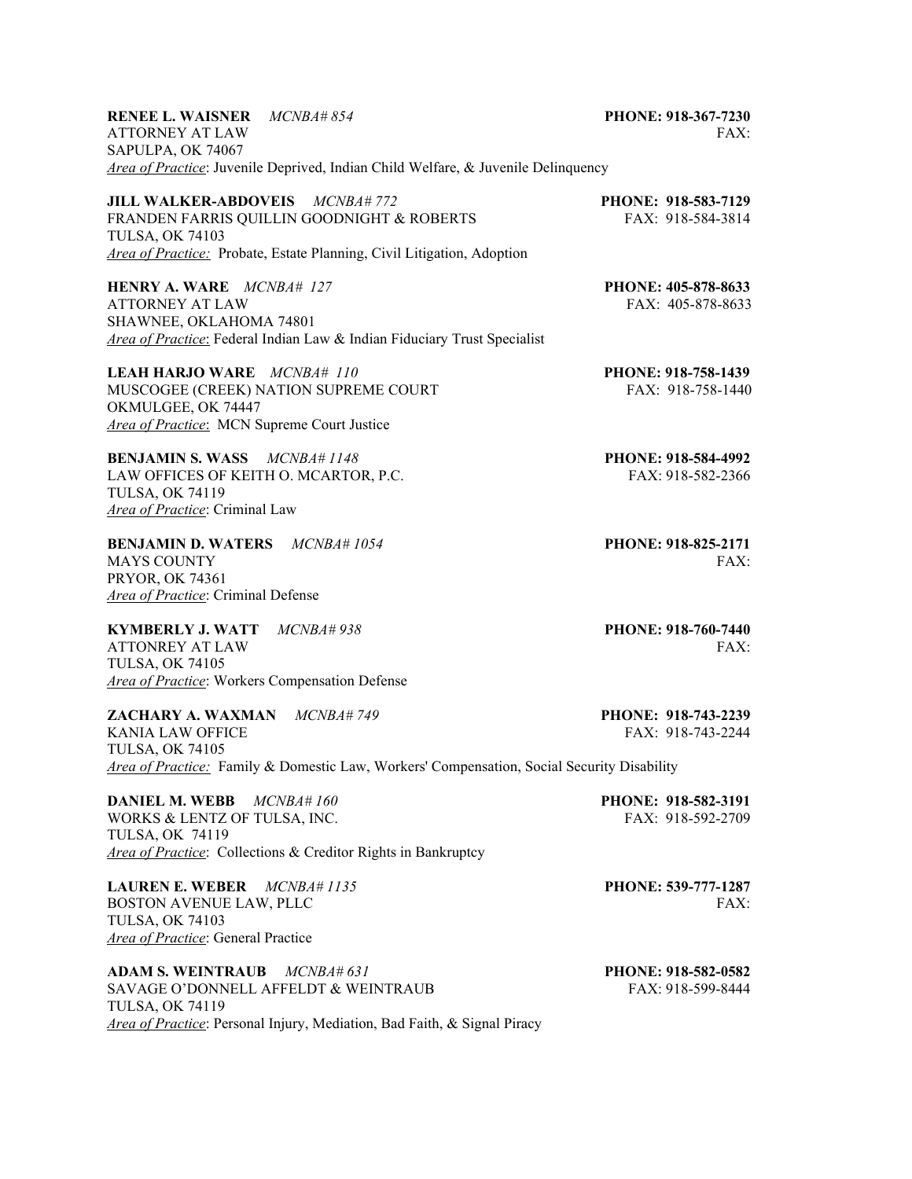| <b>RENEE L. WAISNER</b> MCNBA#854<br><b>ATTORNEY AT LAW</b><br>SAPULPA, OK 74067                                                                                                  | PHONE: 918-367-7230<br>FAX:                     |
|-----------------------------------------------------------------------------------------------------------------------------------------------------------------------------------|-------------------------------------------------|
| Area of Practice: Juvenile Deprived, Indian Child Welfare, & Juvenile Delinquency                                                                                                 |                                                 |
| JILL WALKER-ABDOVEIS MCNBA# 772<br>FRANDEN FARRIS QUILLIN GOODNIGHT & ROBERTS<br><b>TULSA, OK 74103</b><br>Area of Practice: Probate, Estate Planning, Civil Litigation, Adoption | PHONE: 918-583-7129<br>FAX: 918-584-3814        |
| <b>HENRY A. WARE</b> MCNBA# 127<br><b>ATTORNEY AT LAW</b><br>SHAWNEE, OKLAHOMA 74801<br>Area of Practice: Federal Indian Law & Indian Fiduciary Trust Specialist                  | PHONE: 405-878-8633<br>FAX: 405-878-8633        |
| <b>LEAH HARJO WARE</b> MCNBA# 110<br>MUSCOGEE (CREEK) NATION SUPREME COURT<br>OKMULGEE, OK 74447<br>Area of Practice: MCN Supreme Court Justice                                   | <b>PHONE: 918-758-1439</b><br>FAX: 918-758-1440 |
| <b>BENJAMIN S. WASS</b> MCNBA# 1148<br>LAW OFFICES OF KEITH O. MCARTOR, P.C.<br><b>TULSA, OK 74119</b><br>Area of Practice: Criminal Law                                          | PHONE: 918-584-4992<br>FAX: 918-582-2366        |
| <b>BENJAMIN D. WATERS</b> MCNBA#1054<br><b>MAYS COUNTY</b><br><b>PRYOR, OK 74361</b><br>Area of Practice: Criminal Defense                                                        | PHONE: 918-825-2171<br>FAX:                     |
| KYMBERLY J. WATT MCNBA#938<br><b>ATTONREY AT LAW</b><br><b>TULSA, OK 74105</b><br>Area of Practice: Workers Compensation Defense                                                  | <b>PHONE: 918-760-7440</b><br>FAX:              |
| ZACHARY A. WAXMAN MCNBA#749<br><b>KANIA LAW OFFICE</b><br><b>TULSA, OK 74105</b><br>Area of Practice: Family & Domestic Law, Workers' Compensation, Social Security Disability    | PHONE: 918-743-2239<br>FAX: 918-743-2244        |
| <b>MCNBA#160</b><br><b>DANIEL M. WEBB</b><br>WORKS & LENTZ OF TULSA, INC.<br><b>TULSA, OK 74119</b><br>Area of Practice: Collections & Creditor Rights in Bankruptcy              | PHONE: 918-582-3191<br>FAX: 918-592-2709        |
| <b>LAUREN E. WEBER</b><br><i>MCNBA#1135</i><br><b>BOSTON AVENUE LAW, PLLC</b><br><b>TULSA, OK 74103</b><br>Area of Practice: General Practice                                     | PHONE: 539-777-1287<br>FAX:                     |
|                                                                                                                                                                                   |                                                 |

**ADAM S. WEINTRAUB** *MCNBA# 631* **PHONE: 918-582-0582 SAVAGE O'DONNELL AFFELDT & WEINTRAUB PHONE: 918-599-8444** SAVAGE O'DONNELL AFFELDT  $\&$  WEINTRAUB TULSA, OK 74119 *Area of Practice*: Personal Injury, Mediation, Bad Faith, & Signal Piracy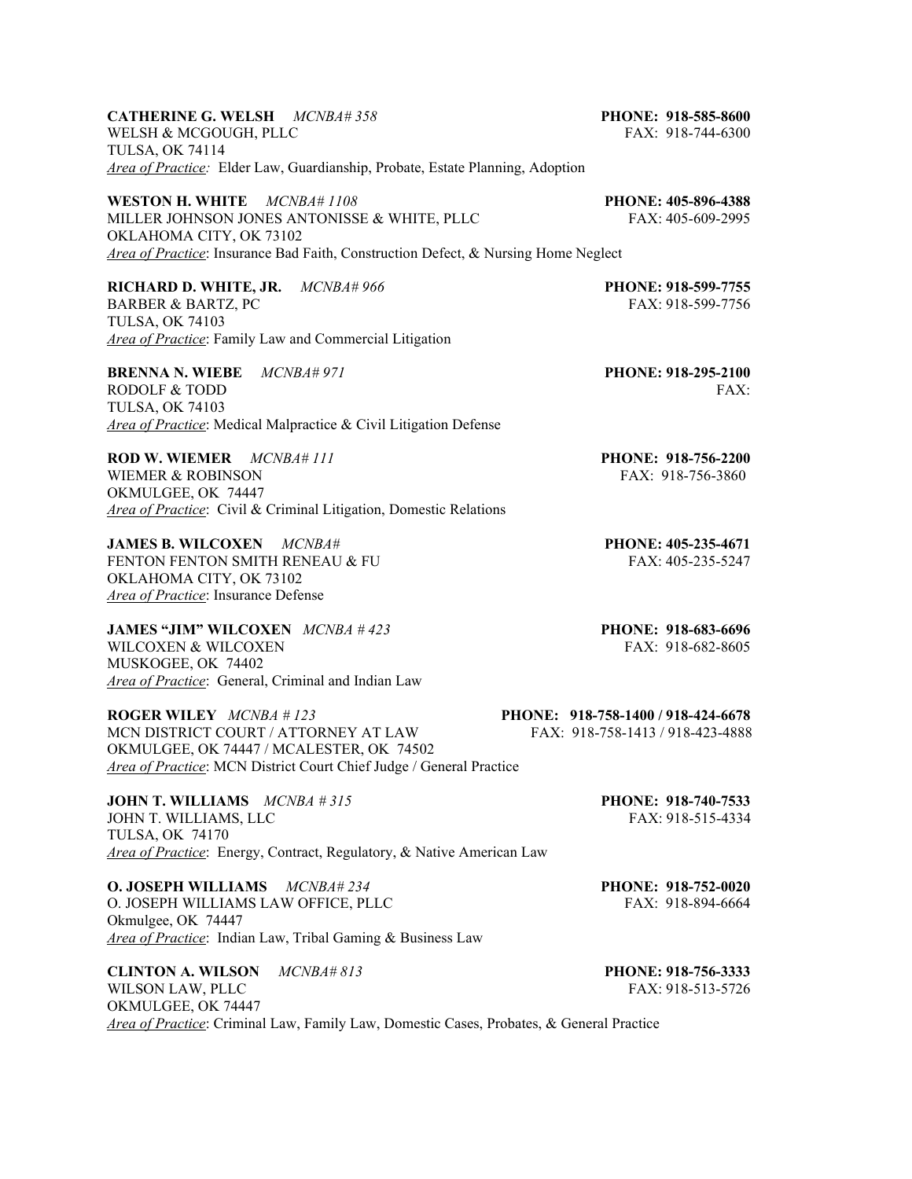**CATHERINE G. WELSH** *MCNBA# 358* **PHONE: 918-585-8600**  WELSH & MCGOUGH, PLLC FAX: 918-744-6300 TULSA, OK 74114 *Area of Practice:* Elder Law, Guardianship, Probate, Estate Planning, Adoption **WESTON H. WHITE** *MCNBA# 1108* **PHONE: 405-896-4388** MILLER JOHNSON JONES ANTONISSE & WHITE, PLLC FAX: 405-609-2995 OKLAHOMA CITY, OK 73102 *Area of Practice*: Insurance Bad Faith, Construction Defect, & Nursing Home Neglect **RICHARD D. WHITE, JR.** *MCNBA# 966* **PHONE: 918-599-7755**  BARBER & BARTZ, PC FAX: 918-599-7756 TULSA, OK 74103 *Area of Practice*: Family Law and Commercial Litigation **BRENNA N. WIEBE** *MCNBA# 971* **PHONE: 918-295-2100** RODOLF & TODD FAX: TULSA, OK 74103 *Area of Practice*: Medical Malpractice & Civil Litigation Defense **ROD W. WIEMER** *MCNBA# 111* **PHONE: 918-756-2200**  WIEMER & ROBINSON FAX: 918-756-3860 OKMULGEE, OK 74447 *Area of Practice*: Civil & Criminal Litigation, Domestic Relations **JAMES B. WILCOXEN** *MCNBA#* **PHONE: 405-235-4671** FENTON FENTON SMITH RENEAU & FU **FAX:** 405-235-5247 OKLAHOMA CITY, OK 73102 *Area of Practice*: Insurance Defense **JAMES "JIM" WILCOXEN** *MCNBA # 423* **PHONE: 918-683-6696**  WILCOXEN & WILCOXEN FAX: 918-682-8605 MUSKOGEE, OK 74402 *Area of Practice*: General, Criminal and Indian Law **ROGER WILEY**  $MCNBA$  # 123<br> **PHONE:** 918-758-1400 / 918-424-6678<br>
FAX: 918-758-1413 / 918-423-4888 MCN DISTRICT COURT / ATTORNEY AT LAW OKMULGEE, OK 74447 / MCALESTER, OK 74502 *Area of Practice*: MCN District Court Chief Judge / General Practice **JOHN T. WILLIAMS** *MCNBA # 315* **PHONE: 918-740-7533** JOHN T. WILLIAMS, LLC FAX: 918-515-4334 TULSA, OK 74170 *Area of Practice*: Energy, Contract, Regulatory, & Native American Law **O. JOSEPH WILLIAMS** *MCNBA# 234* **PHONE: 918-752-0020**  O. JOSEPH WILLIAMS LAW OFFICE, PLLC FAX: 918-894-6664 Okmulgee, OK 74447 *Area of Practice*: Indian Law, Tribal Gaming & Business Law

**CLINTON A. WILSON** *MCNBA# 813* **PHONE: 918-756-3333** WILSON LAW, PLLC FAX: 918-513-5726 OKMULGEE, OK 74447 *Area of Practice*: Criminal Law, Family Law, Domestic Cases, Probates, & General Practice